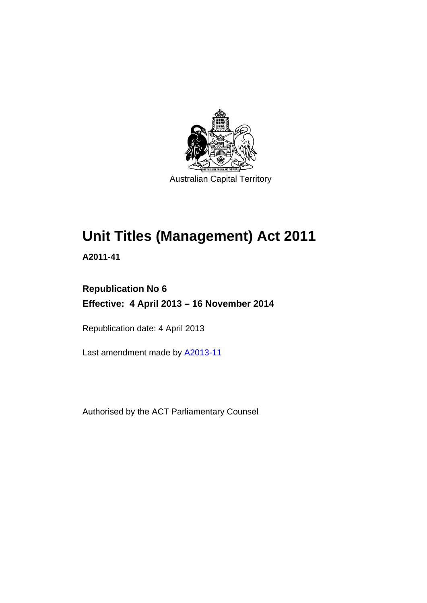

# **Unit Titles (Management) Act 2011**

**A2011-41** 

## **Republication No 6 Effective: 4 April 2013 – 16 November 2014**

Republication date: 4 April 2013

Last amendment made by [A2013-11](http://www.legislation.act.gov.au/a/2013-11)

Authorised by the ACT Parliamentary Counsel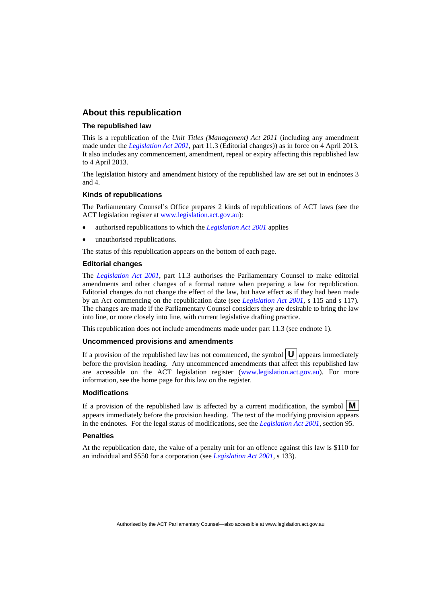#### **About this republication**

#### **The republished law**

This is a republication of the *Unit Titles (Management) Act 2011* (including any amendment made under the *[Legislation Act 2001](http://www.legislation.act.gov.au/a/2001-14)*, part 11.3 (Editorial changes)) as in force on 4 April 2013*.*  It also includes any commencement, amendment, repeal or expiry affecting this republished law to 4 April 2013.

The legislation history and amendment history of the republished law are set out in endnotes 3 and 4.

#### **Kinds of republications**

The Parliamentary Counsel's Office prepares 2 kinds of republications of ACT laws (see the ACT legislation register at [www.legislation.act.gov.au](http://www.legislation.act.gov.au/)):

- authorised republications to which the *[Legislation Act 2001](http://www.legislation.act.gov.au/a/2001-14)* applies
- unauthorised republications.

The status of this republication appears on the bottom of each page.

#### **Editorial changes**

The *[Legislation Act 2001](http://www.legislation.act.gov.au/a/2001-14)*, part 11.3 authorises the Parliamentary Counsel to make editorial amendments and other changes of a formal nature when preparing a law for republication. Editorial changes do not change the effect of the law, but have effect as if they had been made by an Act commencing on the republication date (see *[Legislation Act 2001](http://www.legislation.act.gov.au/a/2001-14)*, s 115 and s 117). The changes are made if the Parliamentary Counsel considers they are desirable to bring the law into line, or more closely into line, with current legislative drafting practice.

This republication does not include amendments made under part 11.3 (see endnote 1).

#### **Uncommenced provisions and amendments**

If a provision of the republished law has not commenced, the symbol  $\mathbf{U}$  appears immediately before the provision heading. Any uncommenced amendments that affect this republished law are accessible on the ACT legislation register [\(www.legislation.act.gov.au\)](http://www.legislation.act.gov.au/). For more information, see the home page for this law on the register.

#### **Modifications**

If a provision of the republished law is affected by a current modification, the symbol  $\mathbf{M}$ appears immediately before the provision heading. The text of the modifying provision appears in the endnotes. For the legal status of modifications, see the *[Legislation Act 2001](http://www.legislation.act.gov.au/a/2001-14)*, section 95.

#### **Penalties**

At the republication date, the value of a penalty unit for an offence against this law is \$110 for an individual and \$550 for a corporation (see *[Legislation Act 2001](http://www.legislation.act.gov.au/a/2001-14)*, s 133).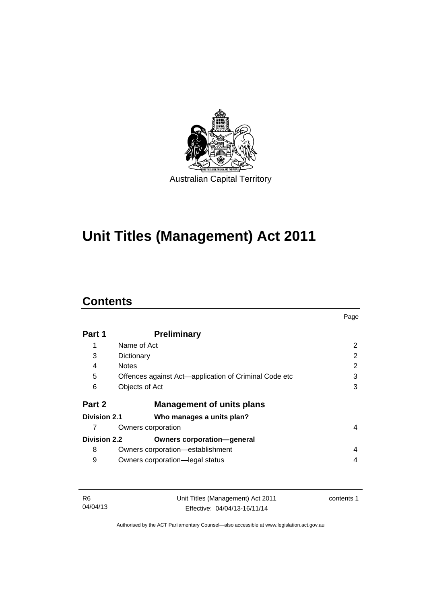

# **Unit Titles (Management) Act 2011**

### **Contents**

|                     |                                                       | Page |
|---------------------|-------------------------------------------------------|------|
| Part 1              | <b>Preliminary</b>                                    |      |
| 1                   | Name of Act                                           | 2    |
| 3                   | Dictionary                                            | 2    |
| 4                   | <b>Notes</b>                                          | 2    |
| 5                   | Offences against Act—application of Criminal Code etc | 3    |
| 6                   | Objects of Act                                        | 3    |
| Part 2              | <b>Management of units plans</b>                      |      |
| Division 2.1        | Who manages a units plan?                             |      |
|                     | Owners corporation                                    | 4    |
| <b>Division 2.2</b> | <b>Owners corporation-general</b>                     |      |
| 8                   | Owners corporation-establishment                      | 4    |
| 9                   | Owners corporation-legal status                       | 4    |

| -R6      | Unit Titles (Management) Act 2011 | contents 1 |
|----------|-----------------------------------|------------|
| 04/04/13 | Effective: 04/04/13-16/11/14      |            |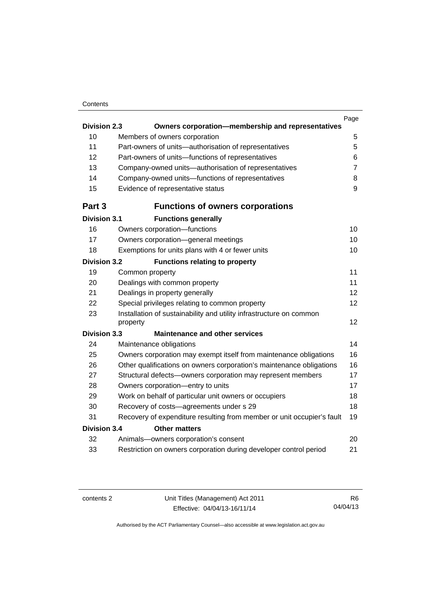#### **Contents**

|                     |                                                                                 | Page             |
|---------------------|---------------------------------------------------------------------------------|------------------|
| <b>Division 2.3</b> | Owners corporation-membership and representatives                               |                  |
| 10                  | Members of owners corporation                                                   | 5                |
| 11                  | Part-owners of units-authorisation of representatives                           | 5                |
| 12                  | Part-owners of units-functions of representatives                               | 6                |
| 13                  | Company-owned units-authorisation of representatives                            | $\overline{7}$   |
| 14                  | Company-owned units-functions of representatives                                | 8                |
| 15                  | Evidence of representative status                                               | $\boldsymbol{9}$ |
| Part 3              | <b>Functions of owners corporations</b>                                         |                  |
| <b>Division 3.1</b> | <b>Functions generally</b>                                                      |                  |
| 16                  | Owners corporation-functions                                                    | 10               |
| 17                  | Owners corporation-general meetings                                             | 10               |
| 18                  | Exemptions for units plans with 4 or fewer units                                | 10               |
| <b>Division 3.2</b> | <b>Functions relating to property</b>                                           |                  |
| 19                  | Common property                                                                 | 11               |
| 20                  | Dealings with common property                                                   | 11               |
| 21                  | Dealings in property generally                                                  | 12               |
| 22                  | Special privileges relating to common property                                  | 12               |
| 23                  | Installation of sustainability and utility infrastructure on common<br>property | 12               |
| <b>Division 3.3</b> | <b>Maintenance and other services</b>                                           |                  |
| 24                  | Maintenance obligations                                                         | 14               |
| 25                  | Owners corporation may exempt itself from maintenance obligations               | 16               |
| 26                  | Other qualifications on owners corporation's maintenance obligations            | 16               |
| 27                  | Structural defects-owners corporation may represent members                     | 17               |
| 28                  | Owners corporation-entry to units                                               | 17               |
| 29                  | Work on behalf of particular unit owners or occupiers                           | 18               |
| 30                  | Recovery of costs-agreements under s 29                                         | 18               |
| 31                  | Recovery of expenditure resulting from member or unit occupier's fault          | 19               |
| <b>Division 3.4</b> | <b>Other matters</b>                                                            |                  |
| 32                  | Animals-owners corporation's consent                                            | 20               |
| 33                  | Restriction on owners corporation during developer control period               | 21               |
|                     |                                                                                 |                  |

R6 04/04/13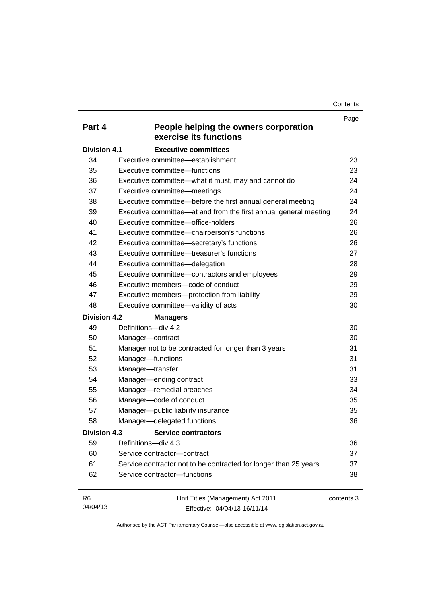**Contents** 

|                     |                                                                  | Page       |
|---------------------|------------------------------------------------------------------|------------|
| Part 4              | People helping the owners corporation<br>exercise its functions  |            |
| <b>Division 4.1</b> | <b>Executive committees</b>                                      |            |
| 34                  | Executive committee—establishment                                | 23         |
| 35                  | Executive committee-functions                                    | 23         |
| 36                  | Executive committee-what it must, may and cannot do              | 24         |
| 37                  | Executive committee-meetings                                     | 24         |
| 38                  | Executive committee-before the first annual general meeting      | 24         |
| 39                  | Executive committee—at and from the first annual general meeting | 24         |
| 40                  | Executive committee-office-holders                               | 26         |
| 41                  | Executive committee-chairperson's functions                      | 26         |
| 42                  | Executive committee-secretary's functions                        | 26         |
| 43                  | Executive committee—treasurer's functions                        | 27         |
| 44                  | Executive committee-delegation                                   | 28         |
| 45                  | Executive committee-contractors and employees                    | 29         |
| 46                  | Executive members-code of conduct                                | 29         |
| 47                  | Executive members-protection from liability                      | 29         |
| 48                  | Executive committee-validity of acts                             | 30         |
| <b>Division 4.2</b> | <b>Managers</b>                                                  |            |
| 49                  | Definitions-div 4.2                                              | 30         |
| 50                  | Manager-contract                                                 | 30         |
| 51                  | Manager not to be contracted for longer than 3 years             | 31         |
| 52                  | Manager-functions                                                | 31         |
| 53                  | Manager-transfer                                                 | 31         |
| 54                  | Manager-ending contract                                          | 33         |
| 55                  | Manager-remedial breaches                                        | 34         |
| 56                  | Manager-code of conduct                                          | 35         |
| 57                  | Manager-public liability insurance                               | 35         |
| 58                  | Manager-delegated functions                                      | 36         |
| <b>Division 4.3</b> | <b>Service contractors</b>                                       |            |
| 59                  | Definitions-div 4.3                                              | 36         |
| 60                  | Service contractor-contract                                      | 37         |
| 61                  | Service contractor not to be contracted for longer than 25 years | 37         |
| 62                  | Service contractor-functions                                     | 38         |
|                     |                                                                  |            |
| R <sub>6</sub>      | Unit Titles (Management) Act 2011                                | contents 3 |

04/04/13

Unit Titles (Management) Act 2011 Effective: 04/04/13-16/11/14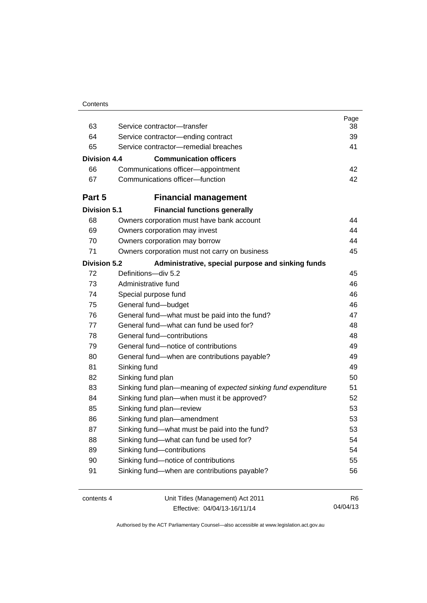| Contents |
|----------|
|----------|

| 63                  | Service contractor-transfer                                    | Page<br>38     |
|---------------------|----------------------------------------------------------------|----------------|
| 64                  | Service contractor-ending contract                             | 39             |
| 65                  | Service contractor-remedial breaches                           | 41             |
|                     |                                                                |                |
| Division 4.4        | <b>Communication officers</b>                                  |                |
| 66                  | Communications officer-appointment                             | 42             |
| 67                  | Communications officer-function                                | 42             |
| Part 5              | <b>Financial management</b>                                    |                |
| <b>Division 5.1</b> | <b>Financial functions generally</b>                           |                |
| 68                  | Owners corporation must have bank account                      | 44             |
| 69                  | Owners corporation may invest                                  | 44             |
| 70                  | Owners corporation may borrow                                  | 44             |
| 71                  | Owners corporation must not carry on business                  | 45             |
| <b>Division 5.2</b> | Administrative, special purpose and sinking funds              |                |
| 72                  | Definitions-div 5.2                                            | 45             |
| 73                  | Administrative fund                                            | 46             |
| 74                  | Special purpose fund                                           | 46             |
| 75                  | General fund-budget                                            | 46             |
| 76                  | General fund-what must be paid into the fund?                  | 47             |
| 77                  | General fund—what can fund be used for?                        | 48             |
| 78                  | General fund-contributions                                     | 48             |
| 79                  | General fund-notice of contributions                           | 49             |
| 80                  | General fund—when are contributions payable?                   | 49             |
| 81                  | Sinking fund                                                   | 49             |
| 82                  | Sinking fund plan                                              | 50             |
| 83                  | Sinking fund plan—meaning of expected sinking fund expenditure | 51             |
| 84                  | Sinking fund plan—when must it be approved?                    | 52             |
| 85                  | Sinking fund plan-review                                       | 53             |
| 86                  | Sinking fund plan-amendment                                    | 53             |
| 87                  | Sinking fund-what must be paid into the fund?                  | 53             |
| 88                  | Sinking fund-what can fund be used for?                        | 54             |
| 89                  | Sinking fund-contributions                                     | 54             |
| 90                  | Sinking fund-notice of contributions                           | 55             |
| 91                  | Sinking fund-when are contributions payable?                   | 56             |
| contents 4          | Unit Titles (Management) Act 2011                              | R <sub>6</sub> |

Effective: 04/04/13-16/11/14

04/04/13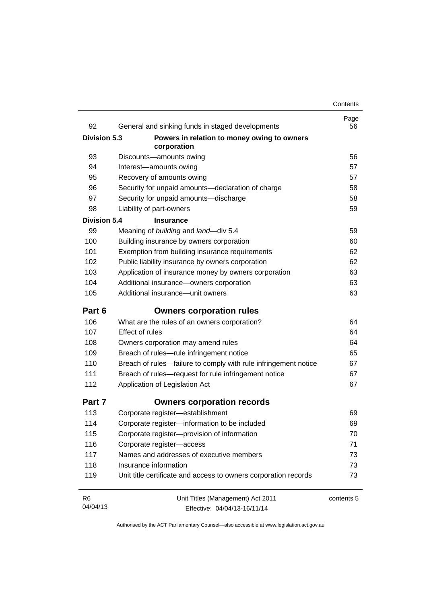| 92                  | General and sinking funds in staged developments                | Page<br>56 |
|---------------------|-----------------------------------------------------------------|------------|
| <b>Division 5.3</b> | Powers in relation to money owing to owners                     |            |
|                     | corporation                                                     |            |
| 93                  | Discounts-amounts owing                                         | 56         |
| 94                  | Interest-amounts owing                                          | 57         |
| 95                  | Recovery of amounts owing                                       | 57         |
| 96                  | Security for unpaid amounts-declaration of charge               | 58         |
| 97                  | Security for unpaid amounts-discharge                           | 58         |
| 98                  | Liability of part-owners                                        | 59         |
| <b>Division 5.4</b> | <b>Insurance</b>                                                |            |
| 99                  | Meaning of building and land-div 5.4                            | 59         |
| 100                 | Building insurance by owners corporation                        | 60         |
| 101                 | Exemption from building insurance requirements                  | 62         |
| 102                 | Public liability insurance by owners corporation                | 62         |
| 103                 | Application of insurance money by owners corporation            | 63         |
| 104                 | Additional insurance-owners corporation                         | 63         |
| 105                 | Additional insurance-unit owners                                | 63         |
| Part 6              | <b>Owners corporation rules</b>                                 |            |
| 106                 | What are the rules of an owners corporation?                    | 64         |
| 107                 | <b>Effect of rules</b>                                          | 64         |
| 108                 | Owners corporation may amend rules                              | 64         |
| 109                 | Breach of rules-rule infringement notice                        | 65         |
| 110                 | Breach of rules—failure to comply with rule infringement notice | 67         |
| 111                 | Breach of rules-request for rule infringement notice            | 67         |
| 112                 | Application of Legislation Act                                  | 67         |
| Part 7              | <b>Owners corporation records</b>                               |            |
| 113                 | Corporate register-establishment                                | 69         |
| 114                 | Corporate register-information to be included                   | 69         |
| 115                 | Corporate register-provision of information                     | 70         |
| 116                 | Corporate register-access                                       | 71         |
| 117                 | Names and addresses of executive members                        | 73         |
| 118                 | Insurance information                                           | 73         |
| 119                 | Unit title certificate and access to owners corporation records | 73         |
| R <sub>6</sub>      | Unit Titles (Management) Act 2011                               | contents 5 |
| 04/04/13            | Effective: 04/04/13-16/11/14                                    |            |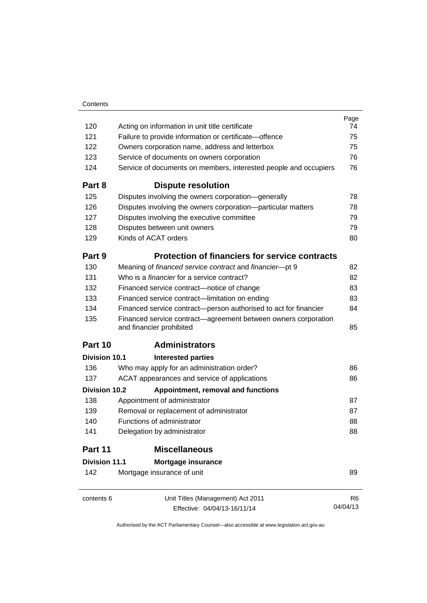|                                    |                                                                                            | Page           |
|------------------------------------|--------------------------------------------------------------------------------------------|----------------|
| 120                                | Acting on information in unit title certificate                                            | 74             |
| 121                                | Failure to provide information or certificate-offence                                      | 75             |
| 122                                | Owners corporation name, address and letterbox                                             |                |
| 123                                | Service of documents on owners corporation                                                 |                |
| 124                                | Service of documents on members, interested people and occupiers                           | 76             |
| Part 8                             | <b>Dispute resolution</b>                                                                  |                |
| 125                                | Disputes involving the owners corporation-generally                                        | 78             |
| 126                                | Disputes involving the owners corporation-particular matters                               | 78             |
| 127                                | Disputes involving the executive committee                                                 | 79             |
| 128                                | Disputes between unit owners                                                               | 79             |
| 129                                | Kinds of ACAT orders                                                                       | 80             |
| Part 9                             | <b>Protection of financiers for service contracts</b>                                      |                |
| 130                                | Meaning of financed service contract and financier-pt 9                                    | 82             |
| 131                                | Who is a <i>financier</i> for a service contract?                                          | 82             |
| 132                                | Financed service contract-notice of change                                                 | 83             |
| 133                                | Financed service contract—limitation on ending                                             | 83             |
| 134                                | Financed service contract-person authorised to act for financier                           | 84             |
| 135                                | Financed service contract—agreement between owners corporation<br>and financier prohibited | 85             |
| Part 10                            | <b>Administrators</b>                                                                      |                |
| Division 10.1                      | <b>Interested parties</b>                                                                  |                |
| 136                                | Who may apply for an administration order?                                                 | 86             |
| 137                                | ACAT appearances and service of applications                                               | 86             |
| Division 10.2                      | Appointment, removal and functions                                                         |                |
| 138                                | Appointment of administrator                                                               | 87             |
| 139                                | Removal or replacement of administrator                                                    | 87             |
| 140                                | Functions of administrator                                                                 | 88             |
| 141<br>Delegation by administrator |                                                                                            | 88             |
| Part 11                            | <b>Miscellaneous</b>                                                                       |                |
| <b>Division 11.1</b>               | Mortgage insurance                                                                         |                |
| 142                                | Mortgage insurance of unit                                                                 | 89             |
| contents 6                         | Unit Titles (Management) Act 2011                                                          | R <sub>6</sub> |
|                                    | Effective: 04/04/13-16/11/14                                                               | 04/04/13       |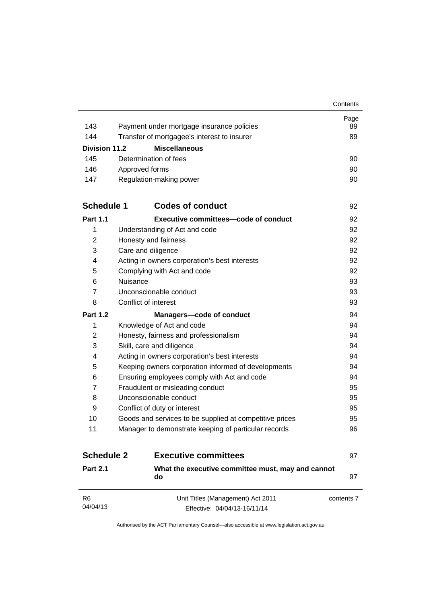|                      |                                                         | Contents   |
|----------------------|---------------------------------------------------------|------------|
|                      |                                                         | Page       |
| 143                  | Payment under mortgage insurance policies               | 89         |
| 144                  | Transfer of mortgagee's interest to insurer             | 89         |
| <b>Division 11.2</b> | <b>Miscellaneous</b>                                    |            |
| 145                  | Determination of fees                                   | 90         |
| 146                  | Approved forms                                          | 90         |
| 147                  | Regulation-making power                                 | 90         |
| <b>Schedule 1</b>    | <b>Codes of conduct</b>                                 | 92         |
| <b>Part 1.1</b>      | Executive committees—code of conduct                    | 92         |
| 1                    | Understanding of Act and code                           | 92         |
| 2                    | Honesty and fairness                                    | 92         |
| 3                    | Care and diligence                                      | 92         |
| 4                    | Acting in owners corporation's best interests           | 92         |
| 5                    | Complying with Act and code                             | 92         |
| 6                    | Nuisance                                                | 93         |
| $\overline{7}$       | Unconscionable conduct                                  | 93         |
| 8                    | Conflict of interest                                    | 93         |
| <b>Part 1.2</b>      | <b>Managers-code of conduct</b>                         | 94         |
| 1                    | Knowledge of Act and code                               | 94         |
| 2                    | Honesty, fairness and professionalism                   | 94         |
| 3                    | Skill, care and diligence                               | 94         |
| 4                    | Acting in owners corporation's best interests           | 94         |
| 5                    | Keeping owners corporation informed of developments     | 94         |
| 6                    | Ensuring employees comply with Act and code             | 94         |
| $\overline{7}$       | Fraudulent or misleading conduct                        | 95         |
| 8                    | Unconscionable conduct                                  | 95         |
| 9                    | Conflict of duty or interest                            | 95         |
| 10                   | Goods and services to be supplied at competitive prices | 95         |
| 11                   | Manager to demonstrate keeping of particular records    | 96         |
| <b>Schedule 2</b>    | <b>Executive committees</b>                             | 97         |
| <b>Part 2.1</b>      | What the executive committee must, may and cannot<br>do | 97         |
| R <sub>6</sub>       | Unit Titles (Management) Act 2011                       | contents 7 |
| 04/04/13             | Effective: 04/04/13-16/11/14                            |            |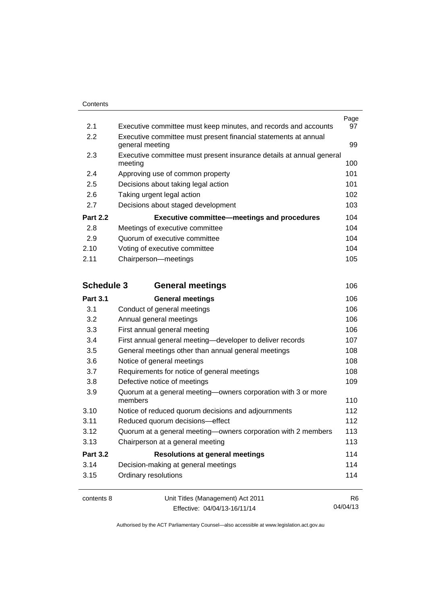|                   |                                                                                    | Page           |
|-------------------|------------------------------------------------------------------------------------|----------------|
| 2.1<br>2.2        | Executive committee must keep minutes, and records and accounts                    | 97             |
|                   | Executive committee must present financial statements at annual<br>general meeting | 99             |
| 2.3               | Executive committee must present insurance details at annual general<br>meeting    | 100            |
| 2.4               | Approving use of common property                                                   | 101            |
| 2.5               | Decisions about taking legal action                                                | 101            |
| 2.6               | Taking urgent legal action                                                         | 102            |
| 2.7               | Decisions about staged development                                                 | 103            |
| <b>Part 2.2</b>   | <b>Executive committee-meetings and procedures</b>                                 | 104            |
| 2.8               | Meetings of executive committee                                                    | 104            |
| 2.9               | Quorum of executive committee                                                      | 104            |
| 2.10              | Voting of executive committee                                                      | 104            |
| 2.11              | Chairperson-meetings                                                               | 105            |
| <b>Schedule 3</b> | <b>General meetings</b>                                                            | 106            |
| <b>Part 3.1</b>   | <b>General meetings</b>                                                            | 106            |
| 3.1               | Conduct of general meetings                                                        | 106            |
| 3.2               | Annual general meetings                                                            | 106            |
| 3.3               | First annual general meeting                                                       | 106            |
| 3.4               | First annual general meeting-developer to deliver records                          | 107            |
| 3.5               | General meetings other than annual general meetings                                | 108            |
| 3.6               | Notice of general meetings                                                         | 108            |
| 3.7               | Requirements for notice of general meetings                                        | 108            |
| 3.8               | Defective notice of meetings                                                       | 109            |
| 3.9               | Quorum at a general meeting-owners corporation with 3 or more<br>members           | 110            |
| 3.10              | Notice of reduced quorum decisions and adjournments                                | 112            |
| 3.11              | Reduced quorum decisions-effect                                                    | 112            |
| 3.12              | Quorum at a general meeting-owners corporation with 2 members                      | 113            |
| 3.13              | Chairperson at a general meeting                                                   | 113            |
| <b>Part 3.2</b>   | <b>Resolutions at general meetings</b>                                             | 114            |
| 3.14              | Decision-making at general meetings                                                | 114            |
| 3.15              | Ordinary resolutions                                                               | 114            |
| contents 8        | Unit Titles (Management) Act 2011                                                  | R <sub>6</sub> |

Effective: 04/04/13-16/11/14

04/04/13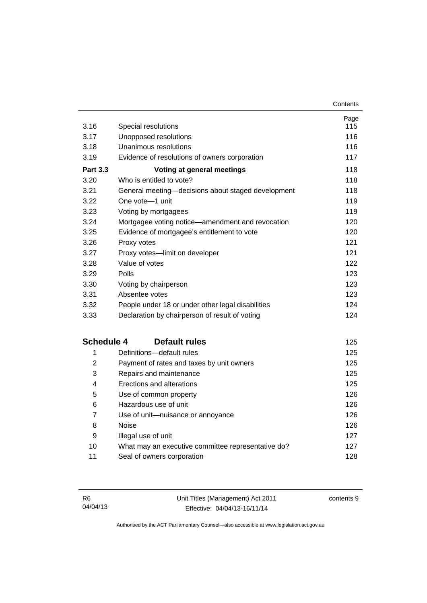| 3.16              | Special resolutions                                | Page<br>115 |
|-------------------|----------------------------------------------------|-------------|
| 3.17              | Unopposed resolutions                              | 116         |
| 3.18              | Unanimous resolutions                              | 116         |
| 3.19              | Evidence of resolutions of owners corporation      | 117         |
| <b>Part 3.3</b>   | Voting at general meetings                         | 118         |
| 3.20              | Who is entitled to vote?                           | 118         |
| 3.21              | General meeting-decisions about staged development | 118         |
| 3.22              | One vote-1 unit                                    | 119         |
| 3.23              | Voting by mortgagees                               | 119         |
| 3.24              | Mortgagee voting notice-amendment and revocation   | 120         |
| 3.25              | Evidence of mortgagee's entitlement to vote        | 120         |
| 3.26              | Proxy votes                                        | 121         |
| 3.27              | Proxy votes-limit on developer                     | 121         |
| 3.28              | Value of votes                                     | 122         |
| 3.29              | Polls                                              | 123         |
| 3.30              | Voting by chairperson                              | 123         |
| 3.31              | Absentee votes                                     | 123         |
| 3.32              | People under 18 or under other legal disabilities  | 124         |
| 3.33              | Declaration by chairperson of result of voting     | 124         |
| <b>Schedule 4</b> | <b>Default rules</b>                               | 125         |
| 1                 | Definitions-default rules                          | 125         |
| $\overline{2}$    | Payment of rates and taxes by unit owners          | 125         |
| 3                 | Repairs and maintenance                            | 125         |
| 4                 | Erections and alterations                          | 125         |
| 5                 | Use of common property                             | 126         |
| 6                 | Hazardous use of unit                              | 126         |
| $\overline{7}$    | Use of unit-nuisance or annoyance                  | 126         |
| 8                 | <b>Noise</b>                                       | 126         |
| 9                 | Illegal use of unit                                | 127         |
| 10                | What may an executive committee representative do? | 127         |
| 11                | Seal of owners corporation                         | 128         |

contents 9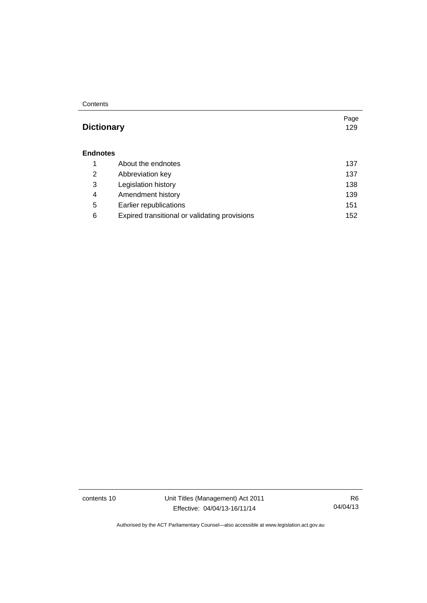#### **Contents**

### **Dictionary** [129](#page-140-0)

#### **[Endnotes](#page-148-0)**

|   | About the endnotes                            | 137 |
|---|-----------------------------------------------|-----|
| 2 | Abbreviation key                              | 137 |
| 3 | Legislation history                           | 138 |
| 4 | Amendment history                             | 139 |
| 5 | Earlier republications                        | 151 |
| 6 | Expired transitional or validating provisions | 152 |

contents 10 Unit Titles (Management) Act 2011 Effective: 04/04/13-16/11/14

R6 04/04/13

Page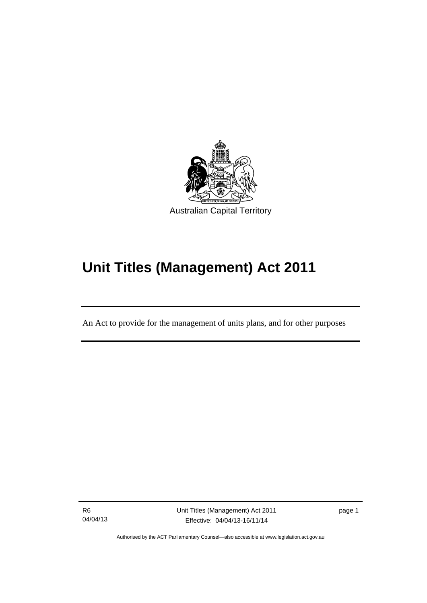

# **Unit Titles (Management) Act 2011**

An Act to provide for the management of units plans, and for other purposes

R6 04/04/13

l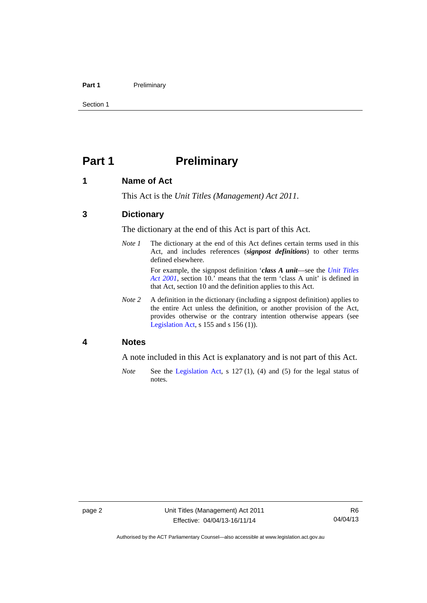#### Part 1 **Preliminary**

Section 1

### <span id="page-13-0"></span>**Part 1** Preliminary

#### <span id="page-13-1"></span>**1 Name of Act**

This Act is the *Unit Titles (Management) Act 2011*.

#### <span id="page-13-2"></span>**3 Dictionary**

The dictionary at the end of this Act is part of this Act.

*Note 1* The dictionary at the end of this Act defines certain terms used in this Act, and includes references (*signpost definitions*) to other terms defined elsewhere.

> For example, the signpost definition '*class A unit*—see the *[Unit Titles](http://www.legislation.act.gov.au/a/2001-16)  [Act 2001](http://www.legislation.act.gov.au/a/2001-16)*, section 10.' means that the term 'class A unit' is defined in that Act, section 10 and the definition applies to this Act.

*Note 2* A definition in the dictionary (including a signpost definition) applies to the entire Act unless the definition, or another provision of the Act, provides otherwise or the contrary intention otherwise appears (see [Legislation Act,](http://www.legislation.act.gov.au/a/2001-14) s 155 and s 156 (1)).

#### <span id="page-13-3"></span>**4 Notes**

A note included in this Act is explanatory and is not part of this Act.

*Note* See the [Legislation Act,](http://www.legislation.act.gov.au/a/2001-14) s 127 (1), (4) and (5) for the legal status of notes.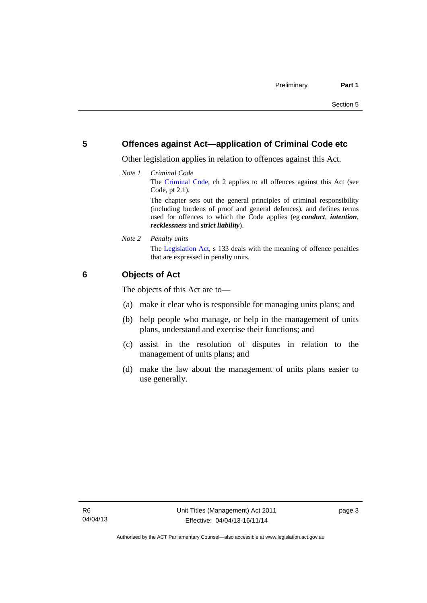#### <span id="page-14-0"></span>**5 Offences against Act—application of Criminal Code etc**

Other legislation applies in relation to offences against this Act.

*Note 1 Criminal Code* The [Criminal Code](http://www.legislation.act.gov.au/a/2002-51), ch 2 applies to all offences against this Act (see Code, pt 2.1). The chapter sets out the general principles of criminal responsibility

(including burdens of proof and general defences), and defines terms used for offences to which the Code applies (eg *conduct*, *intention*, *recklessness* and *strict liability*).

*Note 2 Penalty units* 

The [Legislation Act](http://www.legislation.act.gov.au/a/2001-14), s 133 deals with the meaning of offence penalties that are expressed in penalty units.

#### <span id="page-14-1"></span>**6 Objects of Act**

The objects of this Act are to—

- (a) make it clear who is responsible for managing units plans; and
- (b) help people who manage, or help in the management of units plans, understand and exercise their functions; and
- (c) assist in the resolution of disputes in relation to the management of units plans; and
- (d) make the law about the management of units plans easier to use generally.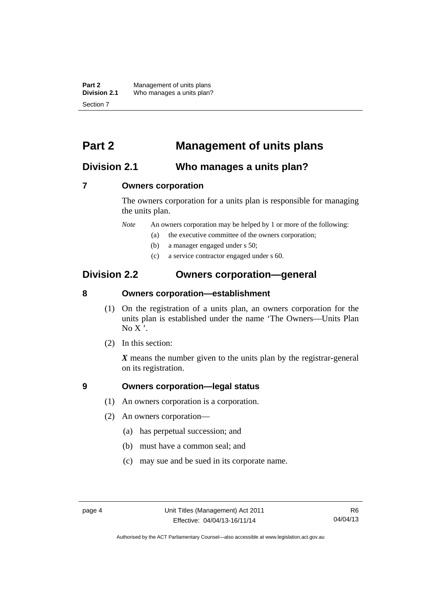**Part 2** Management of units plans<br>**Division 2.1** Who manages a units plan? Who manages a units plan? Section 7

### <span id="page-15-0"></span>**Part 2 Management of units plans**

### <span id="page-15-1"></span>**Division 2.1 Who manages a units plan?**

#### <span id="page-15-2"></span>**7 Owners corporation**

The owners corporation for a units plan is responsible for managing the units plan.

*Note* An owners corporation may be helped by 1 or more of the following:

- (a) the executive committee of the owners corporation;
- (b) a manager engaged under s 50;
- (c) a service contractor engaged under s 60.

### <span id="page-15-3"></span>**Division 2.2 Owners corporation—general**

#### <span id="page-15-4"></span>**8 Owners corporation—establishment**

- (1) On the registration of a units plan, an owners corporation for the units plan is established under the name 'The Owners—Units Plan  $No X'.$
- (2) In this section:

*X* means the number given to the units plan by the registrar-general on its registration.

#### <span id="page-15-5"></span>**9 Owners corporation—legal status**

- (1) An owners corporation is a corporation.
- (2) An owners corporation—
	- (a) has perpetual succession; and
	- (b) must have a common seal; and
	- (c) may sue and be sued in its corporate name.

Authorised by the ACT Parliamentary Counsel—also accessible at www.legislation.act.gov.au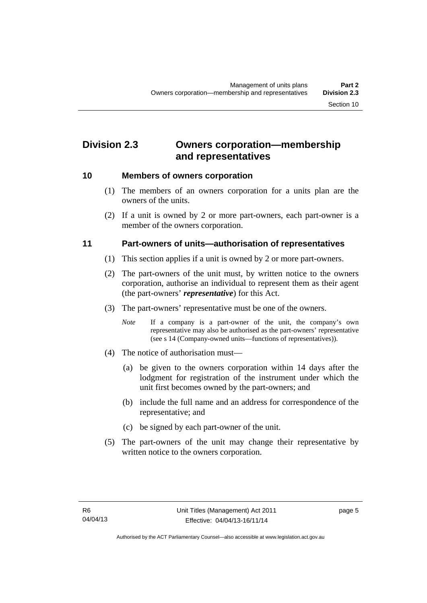### <span id="page-16-0"></span>**Division 2.3 Owners corporation—membership and representatives**

#### <span id="page-16-1"></span>**10 Members of owners corporation**

- (1) The members of an owners corporation for a units plan are the owners of the units.
- (2) If a unit is owned by 2 or more part-owners, each part-owner is a member of the owners corporation.

#### <span id="page-16-2"></span>**11 Part-owners of units—authorisation of representatives**

- (1) This section applies if a unit is owned by 2 or more part-owners.
- (2) The part-owners of the unit must, by written notice to the owners corporation, authorise an individual to represent them as their agent (the part-owners' *representative*) for this Act.
- (3) The part-owners' representative must be one of the owners.
	- *Note* If a company is a part-owner of the unit, the company's own representative may also be authorised as the part-owners' representative (see s 14 (Company-owned units—functions of representatives)).
- (4) The notice of authorisation must—
	- (a) be given to the owners corporation within 14 days after the lodgment for registration of the instrument under which the unit first becomes owned by the part-owners; and
	- (b) include the full name and an address for correspondence of the representative; and
	- (c) be signed by each part-owner of the unit.
- (5) The part-owners of the unit may change their representative by written notice to the owners corporation.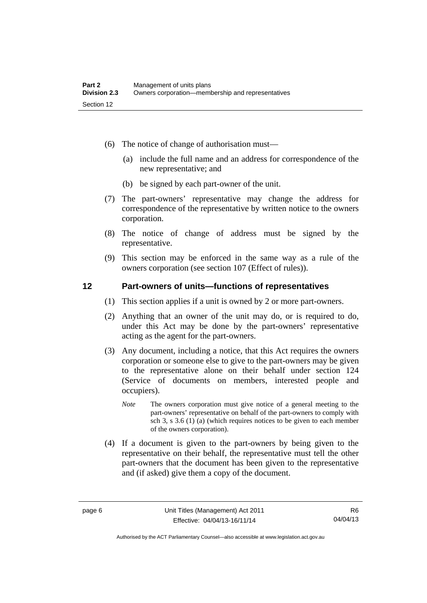- (6) The notice of change of authorisation must—
	- (a) include the full name and an address for correspondence of the new representative; and
	- (b) be signed by each part-owner of the unit.
- (7) The part-owners' representative may change the address for correspondence of the representative by written notice to the owners corporation.
- (8) The notice of change of address must be signed by the representative.
- (9) This section may be enforced in the same way as a rule of the owners corporation (see section 107 (Effect of rules)).

#### <span id="page-17-0"></span>**12 Part-owners of units—functions of representatives**

- (1) This section applies if a unit is owned by 2 or more part-owners.
- (2) Anything that an owner of the unit may do, or is required to do, under this Act may be done by the part-owners' representative acting as the agent for the part-owners.
- (3) Any document, including a notice, that this Act requires the owners corporation or someone else to give to the part-owners may be given to the representative alone on their behalf under section 124 (Service of documents on members, interested people and occupiers).
	- *Note* The owners corporation must give notice of a general meeting to the part-owners' representative on behalf of the part-owners to comply with sch 3, s 3.6 (1) (a) (which requires notices to be given to each member of the owners corporation).
- (4) If a document is given to the part-owners by being given to the representative on their behalf, the representative must tell the other part-owners that the document has been given to the representative and (if asked) give them a copy of the document.

Authorised by the ACT Parliamentary Counsel—also accessible at www.legislation.act.gov.au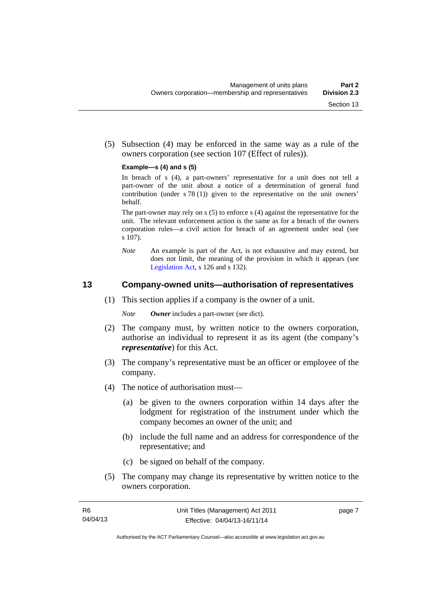(5) Subsection (4) may be enforced in the same way as a rule of the owners corporation (see section 107 (Effect of rules)).

#### **Example—s (4) and s (5)**

In breach of s (4), a part-owners' representative for a unit does not tell a part-owner of the unit about a notice of a determination of general fund contribution (under s 78 (1)) given to the representative on the unit owners' behalf.

The part-owner may rely on s (5) to enforce s (4) against the representative for the unit. The relevant enforcement action is the same as for a breach of the owners corporation rules—a civil action for breach of an agreement under seal (see s 107).

*Note* An example is part of the Act, is not exhaustive and may extend, but does not limit, the meaning of the provision in which it appears (see [Legislation Act,](http://www.legislation.act.gov.au/a/2001-14) s 126 and s 132).

#### <span id="page-18-0"></span>**13 Company-owned units—authorisation of representatives**

(1) This section applies if a company is the owner of a unit.

*Note Owner* includes a part-owner (see dict).

- (2) The company must, by written notice to the owners corporation, authorise an individual to represent it as its agent (the company's *representative*) for this Act.
- (3) The company's representative must be an officer or employee of the company.
- (4) The notice of authorisation must—
	- (a) be given to the owners corporation within 14 days after the lodgment for registration of the instrument under which the company becomes an owner of the unit; and
	- (b) include the full name and an address for correspondence of the representative; and
	- (c) be signed on behalf of the company.
- (5) The company may change its representative by written notice to the owners corporation.

page 7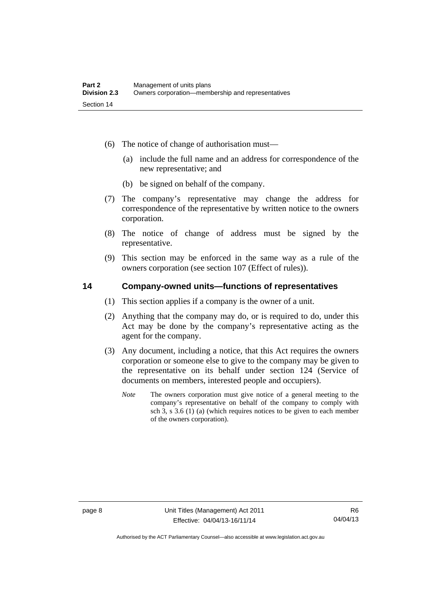- (6) The notice of change of authorisation must—
	- (a) include the full name and an address for correspondence of the new representative; and
	- (b) be signed on behalf of the company.
- (7) The company's representative may change the address for correspondence of the representative by written notice to the owners corporation.
- (8) The notice of change of address must be signed by the representative.
- (9) This section may be enforced in the same way as a rule of the owners corporation (see section 107 (Effect of rules)).

#### <span id="page-19-0"></span>**14 Company-owned units—functions of representatives**

- (1) This section applies if a company is the owner of a unit.
- (2) Anything that the company may do, or is required to do, under this Act may be done by the company's representative acting as the agent for the company.
- (3) Any document, including a notice, that this Act requires the owners corporation or someone else to give to the company may be given to the representative on its behalf under section 124 (Service of documents on members, interested people and occupiers).
	- *Note* The owners corporation must give notice of a general meeting to the company's representative on behalf of the company to comply with sch 3, s 3.6 (1) (a) (which requires notices to be given to each member of the owners corporation).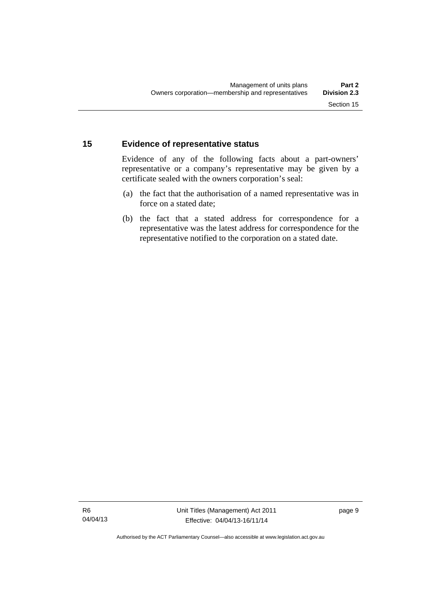#### <span id="page-20-0"></span>**15 Evidence of representative status**

Evidence of any of the following facts about a part-owners' representative or a company's representative may be given by a certificate sealed with the owners corporation's seal:

- (a) the fact that the authorisation of a named representative was in force on a stated date;
- (b) the fact that a stated address for correspondence for a representative was the latest address for correspondence for the representative notified to the corporation on a stated date.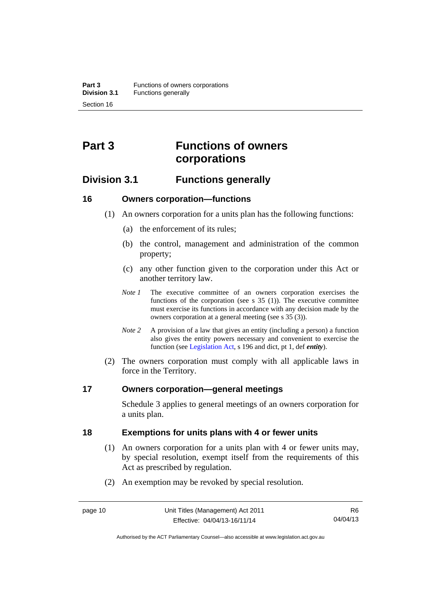## <span id="page-21-0"></span>**Part 3 Functions of owners corporations**

### <span id="page-21-1"></span>**Division 3.1 Functions generally**

#### <span id="page-21-2"></span>**16 Owners corporation—functions**

- (1) An owners corporation for a units plan has the following functions:
	- (a) the enforcement of its rules;
	- (b) the control, management and administration of the common property;
	- (c) any other function given to the corporation under this Act or another territory law.
	- *Note 1* The executive committee of an owners corporation exercises the functions of the corporation (see s  $35$  (1)). The executive committee must exercise its functions in accordance with any decision made by the owners corporation at a general meeting (see s 35 (3)).
	- *Note 2* A provision of a law that gives an entity (including a person) a function also gives the entity powers necessary and convenient to exercise the function (see [Legislation Act](http://www.legislation.act.gov.au/a/2001-14), s 196 and dict, pt 1, def *entity*).
- (2) The owners corporation must comply with all applicable laws in force in the Territory.

#### <span id="page-21-3"></span>**17 Owners corporation—general meetings**

Schedule 3 applies to general meetings of an owners corporation for a units plan.

#### <span id="page-21-4"></span>**18 Exemptions for units plans with 4 or fewer units**

- (1) An owners corporation for a units plan with 4 or fewer units may, by special resolution, exempt itself from the requirements of this Act as prescribed by regulation.
- (2) An exemption may be revoked by special resolution.

Authorised by the ACT Parliamentary Counsel—also accessible at www.legislation.act.gov.au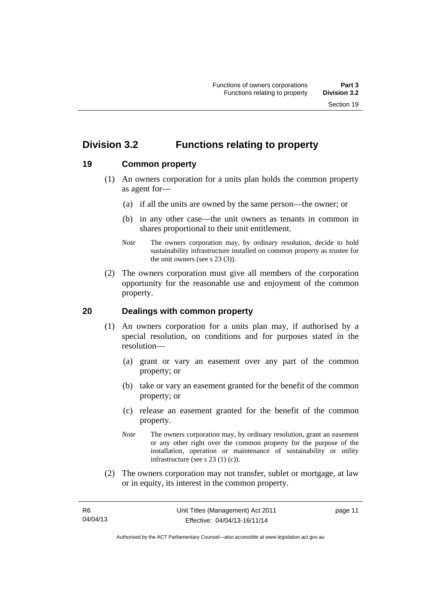### <span id="page-22-0"></span>**Division 3.2 Functions relating to property**

#### <span id="page-22-1"></span>**19 Common property**

- (1) An owners corporation for a units plan holds the common property as agent for—
	- (a) if all the units are owned by the same person—the owner; or
	- (b) in any other case—the unit owners as tenants in common in shares proportional to their unit entitlement.
	- *Note* The owners corporation may, by ordinary resolution, decide to hold sustainability infrastructure installed on common property as trustee for the unit owners (see s 23 (3)).
- (2) The owners corporation must give all members of the corporation opportunity for the reasonable use and enjoyment of the common property.

#### <span id="page-22-2"></span>**20 Dealings with common property**

- (1) An owners corporation for a units plan may, if authorised by a special resolution, on conditions and for purposes stated in the resolution—
	- (a) grant or vary an easement over any part of the common property; or
	- (b) take or vary an easement granted for the benefit of the common property; or
	- (c) release an easement granted for the benefit of the common property.
	- *Note* The owners corporation may, by ordinary resolution, grant an easement or any other right over the common property for the purpose of the installation, operation or maintenance of sustainability or utility infrastructure (see s 23 (1) (c)).
- (2) The owners corporation may not transfer, sublet or mortgage, at law or in equity, its interest in the common property.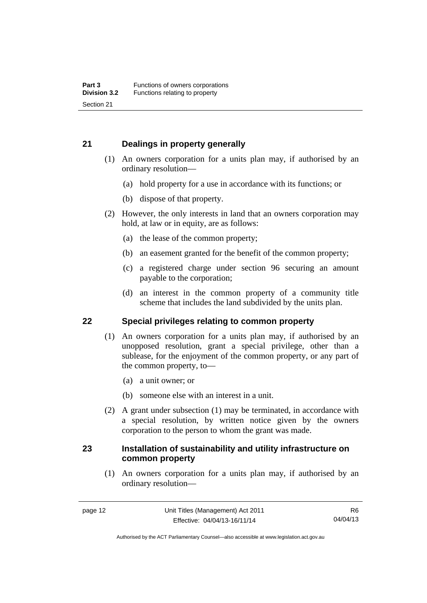#### <span id="page-23-0"></span>**21 Dealings in property generally**

- (1) An owners corporation for a units plan may, if authorised by an ordinary resolution—
	- (a) hold property for a use in accordance with its functions; or
	- (b) dispose of that property.
- (2) However, the only interests in land that an owners corporation may hold, at law or in equity, are as follows:
	- (a) the lease of the common property;
	- (b) an easement granted for the benefit of the common property;
	- (c) a registered charge under section 96 securing an amount payable to the corporation;
	- (d) an interest in the common property of a community title scheme that includes the land subdivided by the units plan.

#### <span id="page-23-1"></span>**22 Special privileges relating to common property**

- (1) An owners corporation for a units plan may, if authorised by an unopposed resolution, grant a special privilege, other than a sublease, for the enjoyment of the common property, or any part of the common property, to—
	- (a) a unit owner; or
	- (b) someone else with an interest in a unit.
- (2) A grant under subsection (1) may be terminated, in accordance with a special resolution, by written notice given by the owners corporation to the person to whom the grant was made.

#### <span id="page-23-2"></span>**23 Installation of sustainability and utility infrastructure on common property**

 (1) An owners corporation for a units plan may, if authorised by an ordinary resolution—

Authorised by the ACT Parliamentary Counsel—also accessible at www.legislation.act.gov.au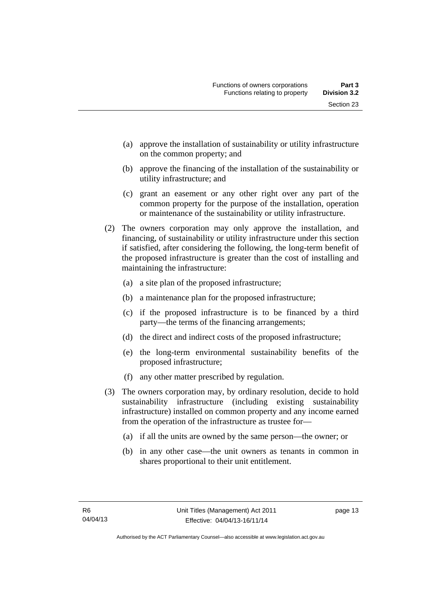- (a) approve the installation of sustainability or utility infrastructure on the common property; and
- (b) approve the financing of the installation of the sustainability or utility infrastructure; and
- (c) grant an easement or any other right over any part of the common property for the purpose of the installation, operation or maintenance of the sustainability or utility infrastructure.
- (2) The owners corporation may only approve the installation, and financing, of sustainability or utility infrastructure under this section if satisfied, after considering the following, the long-term benefit of the proposed infrastructure is greater than the cost of installing and maintaining the infrastructure:
	- (a) a site plan of the proposed infrastructure;
	- (b) a maintenance plan for the proposed infrastructure;
	- (c) if the proposed infrastructure is to be financed by a third party—the terms of the financing arrangements;
	- (d) the direct and indirect costs of the proposed infrastructure;
	- (e) the long-term environmental sustainability benefits of the proposed infrastructure;
	- (f) any other matter prescribed by regulation.
- (3) The owners corporation may, by ordinary resolution, decide to hold sustainability infrastructure (including existing sustainability infrastructure) installed on common property and any income earned from the operation of the infrastructure as trustee for—
	- (a) if all the units are owned by the same person—the owner; or
	- (b) in any other case—the unit owners as tenants in common in shares proportional to their unit entitlement.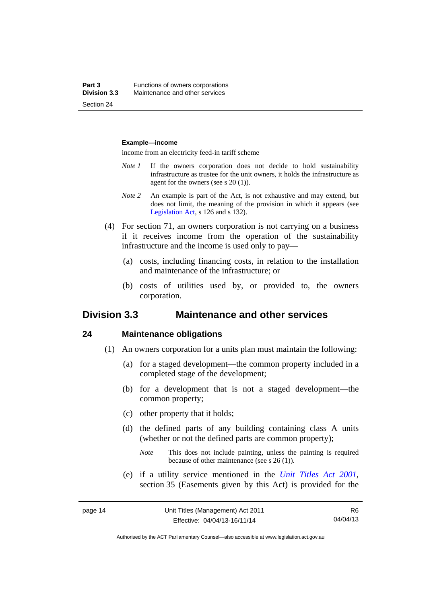#### **Example—income**

income from an electricity feed-in tariff scheme

- *Note 1* If the owners corporation does not decide to hold sustainability infrastructure as trustee for the unit owners, it holds the infrastructure as agent for the owners (see s 20 (1)).
- *Note 2* An example is part of the Act, is not exhaustive and may extend, but does not limit, the meaning of the provision in which it appears (see [Legislation Act,](http://www.legislation.act.gov.au/a/2001-14) s 126 and s 132).
- (4) For section 71, an owners corporation is not carrying on a business if it receives income from the operation of the sustainability infrastructure and the income is used only to pay—
	- (a) costs, including financing costs, in relation to the installation and maintenance of the infrastructure; or
	- (b) costs of utilities used by, or provided to, the owners corporation.

#### <span id="page-25-0"></span>**Division 3.3 Maintenance and other services**

#### <span id="page-25-1"></span>**24 Maintenance obligations**

- (1) An owners corporation for a units plan must maintain the following:
	- (a) for a staged development—the common property included in a completed stage of the development;
	- (b) for a development that is not a staged development—the common property;
	- (c) other property that it holds;
	- (d) the defined parts of any building containing class A units (whether or not the defined parts are common property);
		- *Note* This does not include painting, unless the painting is required because of other maintenance (see s 26 (1)).
	- (e) if a utility service mentioned in the *[Unit Titles Act 2001](http://www.legislation.act.gov.au/a/2001-16)*, section 35 (Easements given by this Act) is provided for the

R6 04/04/13

Authorised by the ACT Parliamentary Counsel—also accessible at www.legislation.act.gov.au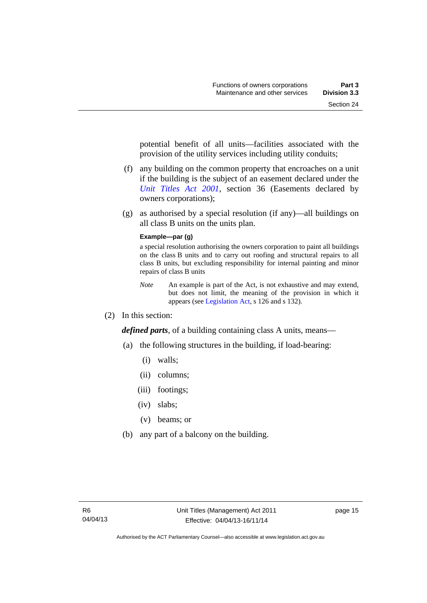potential benefit of all units—facilities associated with the provision of the utility services including utility conduits;

- (f) any building on the common property that encroaches on a unit if the building is the subject of an easement declared under the *[Unit Titles Act 2001](http://www.legislation.act.gov.au/a/2001-16)*, section 36 (Easements declared by owners corporations);
- (g) as authorised by a special resolution (if any)—all buildings on all class B units on the units plan.

#### **Example—par (g)**

a special resolution authorising the owners corporation to paint all buildings on the class B units and to carry out roofing and structural repairs to all class B units, but excluding responsibility for internal painting and minor repairs of class B units

- *Note* An example is part of the Act, is not exhaustive and may extend, but does not limit, the meaning of the provision in which it appears (see [Legislation Act,](http://www.legislation.act.gov.au/a/2001-14) s 126 and s 132).
- (2) In this section:

*defined parts*, of a building containing class A units, means—

- (a) the following structures in the building, if load-bearing:
	- (i) walls;
	- (ii) columns;
	- (iii) footings;
	- (iv) slabs;
	- (v) beams; or
- (b) any part of a balcony on the building.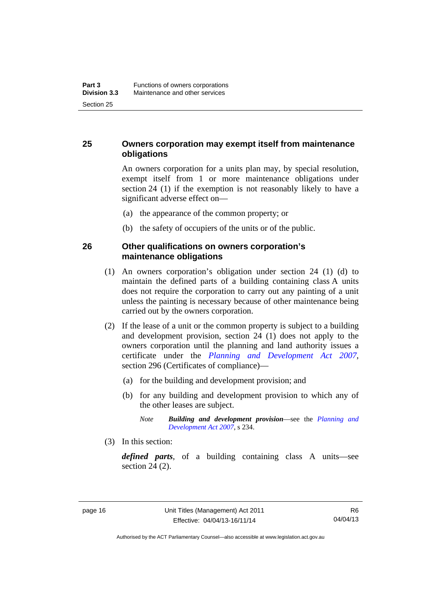#### <span id="page-27-0"></span>**25 Owners corporation may exempt itself from maintenance obligations**

An owners corporation for a units plan may, by special resolution, exempt itself from 1 or more maintenance obligations under section 24 (1) if the exemption is not reasonably likely to have a significant adverse effect on—

- (a) the appearance of the common property; or
- (b) the safety of occupiers of the units or of the public.

#### <span id="page-27-1"></span>**26 Other qualifications on owners corporation's maintenance obligations**

- (1) An owners corporation's obligation under section 24 (1) (d) to maintain the defined parts of a building containing class A units does not require the corporation to carry out any painting of a unit unless the painting is necessary because of other maintenance being carried out by the owners corporation.
- (2) If the lease of a unit or the common property is subject to a building and development provision, section 24 (1) does not apply to the owners corporation until the planning and land authority issues a certificate under the *[Planning and Development Act 2007](http://www.legislation.act.gov.au/a/2007-24)*, section 296 (Certificates of compliance)—
	- (a) for the building and development provision; and
	- (b) for any building and development provision to which any of the other leases are subject.

*Note Building and development provision*—see the *[Planning and](http://www.legislation.act.gov.au/a/2007-24)  [Development Act 2007](http://www.legislation.act.gov.au/a/2007-24)*, s 234.

(3) In this section:

*defined parts*, of a building containing class A units—see section 24 (2).

Authorised by the ACT Parliamentary Counsel—also accessible at www.legislation.act.gov.au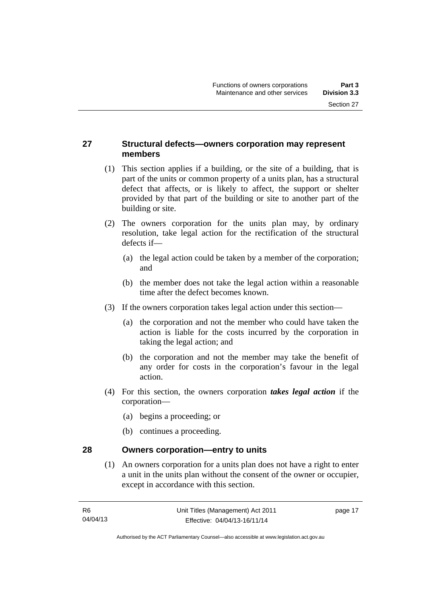#### <span id="page-28-0"></span>**27 Structural defects—owners corporation may represent members**

- (1) This section applies if a building, or the site of a building, that is part of the units or common property of a units plan, has a structural defect that affects, or is likely to affect, the support or shelter provided by that part of the building or site to another part of the building or site.
- (2) The owners corporation for the units plan may, by ordinary resolution, take legal action for the rectification of the structural defects if—
	- (a) the legal action could be taken by a member of the corporation; and
	- (b) the member does not take the legal action within a reasonable time after the defect becomes known.
- (3) If the owners corporation takes legal action under this section—
	- (a) the corporation and not the member who could have taken the action is liable for the costs incurred by the corporation in taking the legal action; and
	- (b) the corporation and not the member may take the benefit of any order for costs in the corporation's favour in the legal action.
- (4) For this section, the owners corporation *takes legal action* if the corporation—
	- (a) begins a proceeding; or
	- (b) continues a proceeding.

#### <span id="page-28-1"></span>**28 Owners corporation—entry to units**

(1) An owners corporation for a units plan does not have a right to enter a unit in the units plan without the consent of the owner or occupier, except in accordance with this section.

page 17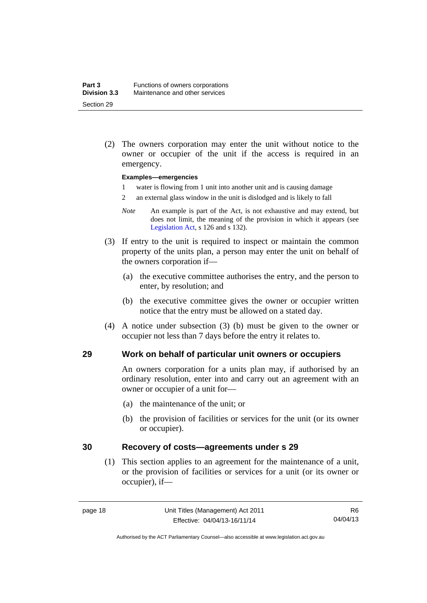(2) The owners corporation may enter the unit without notice to the owner or occupier of the unit if the access is required in an emergency.

#### **Examples—emergencies**

- 1 water is flowing from 1 unit into another unit and is causing damage
- 2 an external glass window in the unit is dislodged and is likely to fall
- *Note* An example is part of the Act, is not exhaustive and may extend, but does not limit, the meaning of the provision in which it appears (see [Legislation Act,](http://www.legislation.act.gov.au/a/2001-14) s 126 and s 132).
- (3) If entry to the unit is required to inspect or maintain the common property of the units plan, a person may enter the unit on behalf of the owners corporation if—
	- (a) the executive committee authorises the entry, and the person to enter, by resolution; and
	- (b) the executive committee gives the owner or occupier written notice that the entry must be allowed on a stated day.
- (4) A notice under subsection (3) (b) must be given to the owner or occupier not less than 7 days before the entry it relates to.

#### <span id="page-29-0"></span>**29 Work on behalf of particular unit owners or occupiers**

An owners corporation for a units plan may, if authorised by an ordinary resolution, enter into and carry out an agreement with an owner or occupier of a unit for—

- (a) the maintenance of the unit; or
- (b) the provision of facilities or services for the unit (or its owner or occupier).

#### <span id="page-29-1"></span>**30 Recovery of costs—agreements under s 29**

(1) This section applies to an agreement for the maintenance of a unit, or the provision of facilities or services for a unit (or its owner or occupier), if—

Authorised by the ACT Parliamentary Counsel—also accessible at www.legislation.act.gov.au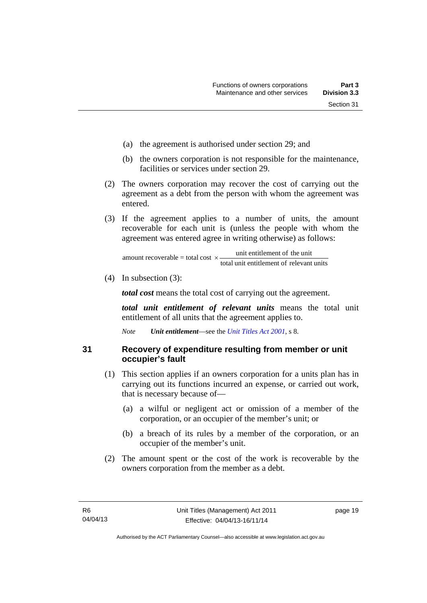- (a) the agreement is authorised under section 29; and
- (b) the owners corporation is not responsible for the maintenance, facilities or services under section 29.
- (2) The owners corporation may recover the cost of carrying out the agreement as a debt from the person with whom the agreement was entered.
- (3) If the agreement applies to a number of units, the amount recoverable for each unit is (unless the people with whom the agreement was entered agree in writing otherwise) as follows:

total unit entitlement of relevant units unit entitlement of the unit amount recoverable = total cost  $\times$ -

(4) In subsection (3):

*total cost* means the total cost of carrying out the agreement.

*total unit entitlement of relevant units* means the total unit entitlement of all units that the agreement applies to.

*Note Unit entitlement*—see the *[Unit Titles Act 2001](http://www.legislation.act.gov.au/a/2001-16)*, s 8.

<span id="page-30-0"></span>**31 Recovery of expenditure resulting from member or unit occupier's fault** 

- (1) This section applies if an owners corporation for a units plan has in carrying out its functions incurred an expense, or carried out work, that is necessary because of—
	- (a) a wilful or negligent act or omission of a member of the corporation, or an occupier of the member's unit; or
	- (b) a breach of its rules by a member of the corporation, or an occupier of the member's unit.
- (2) The amount spent or the cost of the work is recoverable by the owners corporation from the member as a debt.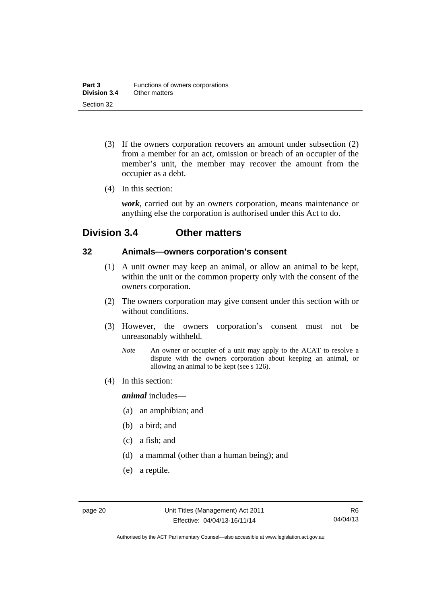- (3) If the owners corporation recovers an amount under subsection (2) from a member for an act, omission or breach of an occupier of the member's unit, the member may recover the amount from the occupier as a debt.
- (4) In this section:

*work*, carried out by an owners corporation, means maintenance or anything else the corporation is authorised under this Act to do.

### <span id="page-31-0"></span>**Division 3.4 Other matters**

#### <span id="page-31-1"></span>**32 Animals—owners corporation's consent**

- (1) A unit owner may keep an animal, or allow an animal to be kept, within the unit or the common property only with the consent of the owners corporation.
- (2) The owners corporation may give consent under this section with or without conditions.
- (3) However, the owners corporation's consent must not be unreasonably withheld.
	- *Note* An owner or occupier of a unit may apply to the ACAT to resolve a dispute with the owners corporation about keeping an animal, or allowing an animal to be kept (see s 126).
- (4) In this section:

*animal* includes—

- (a) an amphibian; and
- (b) a bird; and
- (c) a fish; and
- (d) a mammal (other than a human being); and
- (e) a reptile.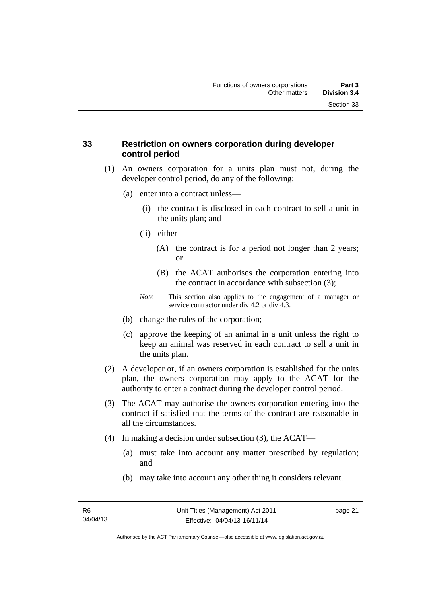#### <span id="page-32-0"></span>**33 Restriction on owners corporation during developer control period**

- (1) An owners corporation for a units plan must not, during the developer control period, do any of the following:
	- (a) enter into a contract unless—
		- (i) the contract is disclosed in each contract to sell a unit in the units plan; and
		- (ii) either—
			- (A) the contract is for a period not longer than 2 years; or
			- (B) the ACAT authorises the corporation entering into the contract in accordance with subsection (3);
		- *Note* This section also applies to the engagement of a manager or service contractor under div 4.2 or div 4.3.
	- (b) change the rules of the corporation;
	- (c) approve the keeping of an animal in a unit unless the right to keep an animal was reserved in each contract to sell a unit in the units plan.
- (2) A developer or, if an owners corporation is established for the units plan, the owners corporation may apply to the ACAT for the authority to enter a contract during the developer control period.
- (3) The ACAT may authorise the owners corporation entering into the contract if satisfied that the terms of the contract are reasonable in all the circumstances.
- (4) In making a decision under subsection (3), the ACAT—
	- (a) must take into account any matter prescribed by regulation; and
	- (b) may take into account any other thing it considers relevant.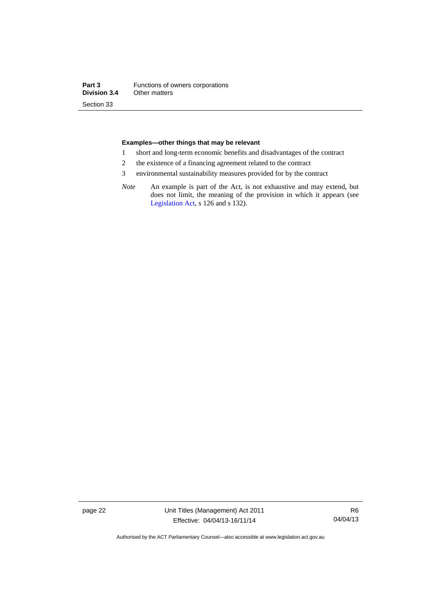#### **Examples—other things that may be relevant**

- 1 short and long-term economic benefits and disadvantages of the contract
- 2 the existence of a financing agreement related to the contract
- 3 environmental sustainability measures provided for by the contract
- *Note* An example is part of the Act, is not exhaustive and may extend, but does not limit, the meaning of the provision in which it appears (see [Legislation Act,](http://www.legislation.act.gov.au/a/2001-14) s 126 and s 132).

page 22 Unit Titles (Management) Act 2011 Effective: 04/04/13-16/11/14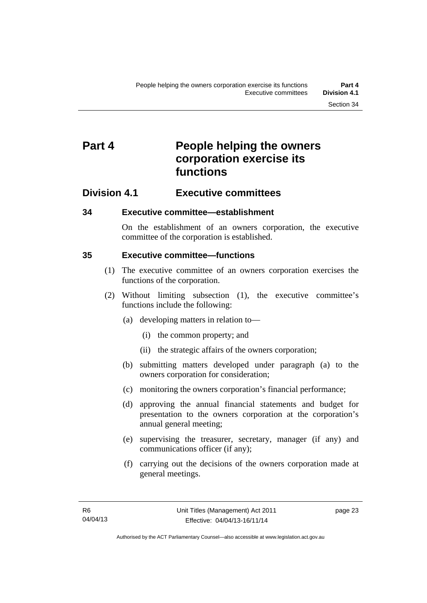## <span id="page-34-0"></span>**Part 4** People helping the owners **corporation exercise its functions**

### <span id="page-34-1"></span>**Division 4.1 Executive committees**

#### <span id="page-34-2"></span>**34 Executive committee—establishment**

On the establishment of an owners corporation, the executive committee of the corporation is established.

#### <span id="page-34-3"></span>**35 Executive committee—functions**

- (1) The executive committee of an owners corporation exercises the functions of the corporation.
- (2) Without limiting subsection (1), the executive committee's functions include the following:
	- (a) developing matters in relation to—
		- (i) the common property; and
		- (ii) the strategic affairs of the owners corporation;
	- (b) submitting matters developed under paragraph (a) to the owners corporation for consideration;
	- (c) monitoring the owners corporation's financial performance;
	- (d) approving the annual financial statements and budget for presentation to the owners corporation at the corporation's annual general meeting;
	- (e) supervising the treasurer, secretary, manager (if any) and communications officer (if any);
	- (f) carrying out the decisions of the owners corporation made at general meetings.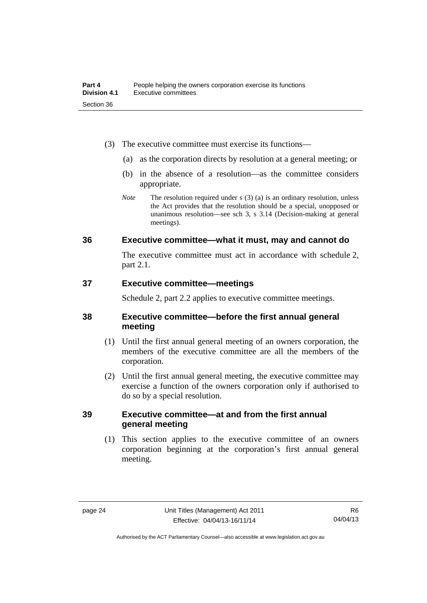- (3) The executive committee must exercise its functions—
	- (a) as the corporation directs by resolution at a general meeting; or
	- (b) in the absence of a resolution—as the committee considers appropriate.
	- *Note* The resolution required under s (3) (a) is an ordinary resolution, unless the Act provides that the resolution should be a special, unopposed or unanimous resolution—see sch 3, s 3.14 (Decision-making at general meetings).

#### <span id="page-35-0"></span>**36 Executive committee—what it must, may and cannot do**

The executive committee must act in accordance with schedule 2, part 2.1.

#### <span id="page-35-1"></span>**37 Executive committee—meetings**

Schedule 2, part 2.2 applies to executive committee meetings.

#### <span id="page-35-2"></span>**38 Executive committee—before the first annual general meeting**

- (1) Until the first annual general meeting of an owners corporation, the members of the executive committee are all the members of the corporation.
- (2) Until the first annual general meeting, the executive committee may exercise a function of the owners corporation only if authorised to do so by a special resolution.

#### <span id="page-35-3"></span>**39 Executive committee—at and from the first annual general meeting**

(1) This section applies to the executive committee of an owners corporation beginning at the corporation's first annual general meeting.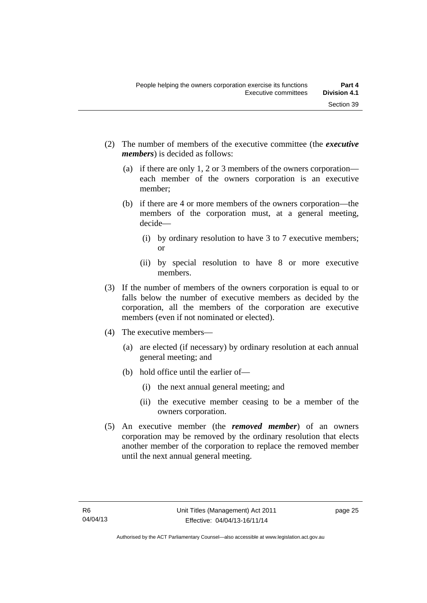- (2) The number of members of the executive committee (the *executive members*) is decided as follows:
	- (a) if there are only 1, 2 or 3 members of the owners corporation each member of the owners corporation is an executive member;
	- (b) if there are 4 or more members of the owners corporation—the members of the corporation must, at a general meeting, decide—
		- (i) by ordinary resolution to have 3 to 7 executive members; or
		- (ii) by special resolution to have 8 or more executive members.
- (3) If the number of members of the owners corporation is equal to or falls below the number of executive members as decided by the corporation, all the members of the corporation are executive members (even if not nominated or elected).
- (4) The executive members—
	- (a) are elected (if necessary) by ordinary resolution at each annual general meeting; and
	- (b) hold office until the earlier of—
		- (i) the next annual general meeting; and
		- (ii) the executive member ceasing to be a member of the owners corporation.
- (5) An executive member (the *removed member*) of an owners corporation may be removed by the ordinary resolution that elects another member of the corporation to replace the removed member until the next annual general meeting.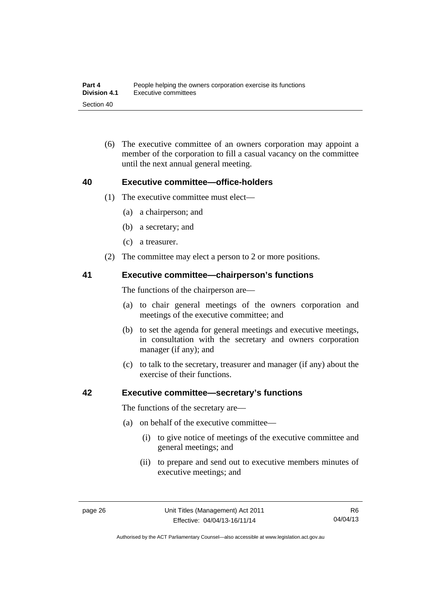(6) The executive committee of an owners corporation may appoint a member of the corporation to fill a casual vacancy on the committee until the next annual general meeting.

#### **40 Executive committee—office-holders**

- (1) The executive committee must elect—
	- (a) a chairperson; and
	- (b) a secretary; and
	- (c) a treasurer.
- (2) The committee may elect a person to 2 or more positions.

#### **41 Executive committee—chairperson's functions**

The functions of the chairperson are—

- (a) to chair general meetings of the owners corporation and meetings of the executive committee; and
- (b) to set the agenda for general meetings and executive meetings, in consultation with the secretary and owners corporation manager (if any); and
- (c) to talk to the secretary, treasurer and manager (if any) about the exercise of their functions.

#### **42 Executive committee—secretary's functions**

The functions of the secretary are—

- (a) on behalf of the executive committee—
	- (i) to give notice of meetings of the executive committee and general meetings; and
	- (ii) to prepare and send out to executive members minutes of executive meetings; and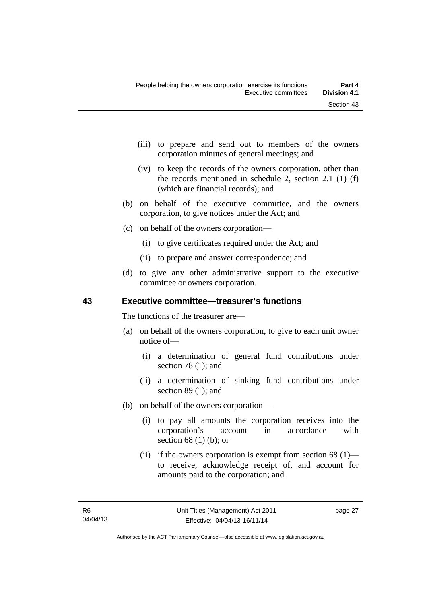- (iii) to prepare and send out to members of the owners corporation minutes of general meetings; and
- (iv) to keep the records of the owners corporation, other than the records mentioned in schedule 2, section 2.1 (1) (f) (which are financial records); and
- (b) on behalf of the executive committee, and the owners corporation, to give notices under the Act; and
- (c) on behalf of the owners corporation—
	- (i) to give certificates required under the Act; and
	- (ii) to prepare and answer correspondence; and
- (d) to give any other administrative support to the executive committee or owners corporation.

### **43 Executive committee—treasurer's functions**

The functions of the treasurer are—

- (a) on behalf of the owners corporation, to give to each unit owner notice of—
	- (i) a determination of general fund contributions under section 78 (1); and
	- (ii) a determination of sinking fund contributions under section 89 (1); and
- (b) on behalf of the owners corporation—
	- (i) to pay all amounts the corporation receives into the corporation's account in accordance with section 68 (1) (b); or
	- (ii) if the owners corporation is exempt from section  $68$  (1) to receive, acknowledge receipt of, and account for amounts paid to the corporation; and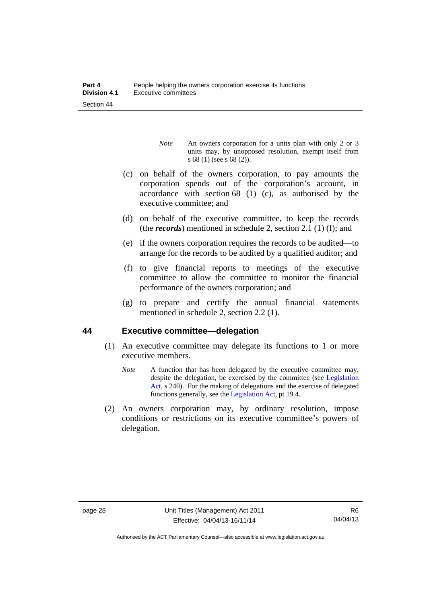- *Note* An owners corporation for a units plan with only 2 or 3 units may, by unopposed resolution, exempt itself from s 68 (1) (see s 68 (2)).
- (c) on behalf of the owners corporation, to pay amounts the corporation spends out of the corporation's account, in accordance with section 68 (1) (c), as authorised by the executive committee; and
- (d) on behalf of the executive committee, to keep the records (the *records*) mentioned in schedule 2, section 2.1 (1) (f); and
- (e) if the owners corporation requires the records to be audited—to arrange for the records to be audited by a qualified auditor; and
- (f) to give financial reports to meetings of the executive committee to allow the committee to monitor the financial performance of the owners corporation; and
- (g) to prepare and certify the annual financial statements mentioned in schedule 2, section 2.2 (1).

#### **44 Executive committee—delegation**

- (1) An executive committee may delegate its functions to 1 or more executive members.
	- *Note* A function that has been delegated by the executive committee may, despite the delegation, be exercised by the committee (see [Legislation](http://www.legislation.act.gov.au/a/2001-14)  [Act](http://www.legislation.act.gov.au/a/2001-14), s 240). For the making of delegations and the exercise of delegated functions generally, see the [Legislation Act,](http://www.legislation.act.gov.au/a/2001-14) pt 19.4.
- (2) An owners corporation may, by ordinary resolution, impose conditions or restrictions on its executive committee's powers of delegation.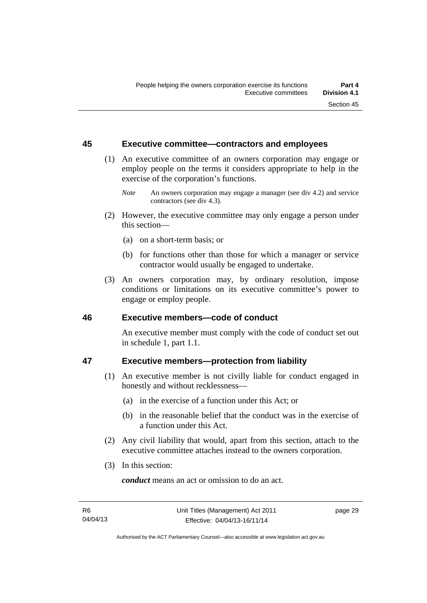#### **45 Executive committee—contractors and employees**

- (1) An executive committee of an owners corporation may engage or employ people on the terms it considers appropriate to help in the exercise of the corporation's functions.
	- *Note* An owners corporation may engage a manager (see div 4.2) and service contractors (see div 4.3).
- (2) However, the executive committee may only engage a person under this section—
	- (a) on a short-term basis; or
	- (b) for functions other than those for which a manager or service contractor would usually be engaged to undertake.
- (3) An owners corporation may, by ordinary resolution, impose conditions or limitations on its executive committee's power to engage or employ people.

#### **46 Executive members—code of conduct**

An executive member must comply with the code of conduct set out in schedule 1, part 1.1.

## **47 Executive members—protection from liability**

- (1) An executive member is not civilly liable for conduct engaged in honestly and without recklessness—
	- (a) in the exercise of a function under this Act; or
	- (b) in the reasonable belief that the conduct was in the exercise of a function under this Act.
- (2) Any civil liability that would, apart from this section, attach to the executive committee attaches instead to the owners corporation.
- (3) In this section:

*conduct* means an act or omission to do an act.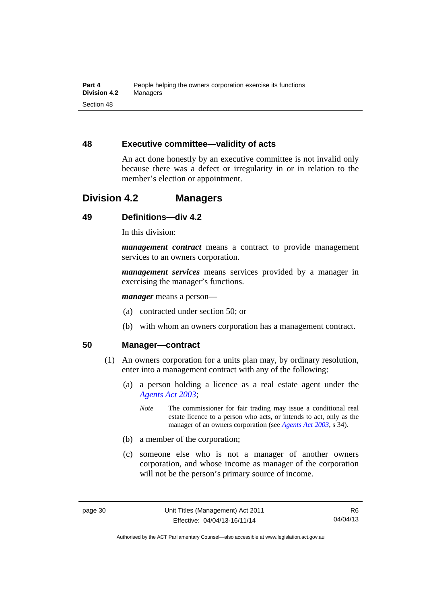#### **48 Executive committee—validity of acts**

An act done honestly by an executive committee is not invalid only because there was a defect or irregularity in or in relation to the member's election or appointment.

## **Division 4.2 Managers**

## **49 Definitions—div 4.2**

In this division:

*management contract* means a contract to provide management services to an owners corporation.

*management services* means services provided by a manager in exercising the manager's functions.

*manager* means a person—

- (a) contracted under section 50; or
- (b) with whom an owners corporation has a management contract.

#### **50 Manager—contract**

- (1) An owners corporation for a units plan may, by ordinary resolution, enter into a management contract with any of the following:
	- (a) a person holding a licence as a real estate agent under the *[Agents Act 2003](http://www.legislation.act.gov.au/a/2003-20)*;
		- *Note* The commissioner for fair trading may issue a conditional real estate licence to a person who acts, or intends to act, only as the manager of an owners corporation (see *[Agents Act 2003](http://www.legislation.act.gov.au/a/2003-20)*, s 34).
	- (b) a member of the corporation;
	- (c) someone else who is not a manager of another owners corporation, and whose income as manager of the corporation will not be the person's primary source of income.

Authorised by the ACT Parliamentary Counsel—also accessible at www.legislation.act.gov.au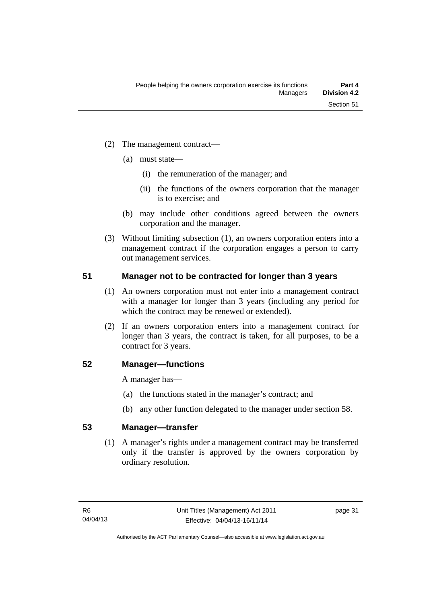- (2) The management contract—
	- (a) must state—
		- (i) the remuneration of the manager; and
		- (ii) the functions of the owners corporation that the manager is to exercise; and
	- (b) may include other conditions agreed between the owners corporation and the manager.
- (3) Without limiting subsection (1), an owners corporation enters into a management contract if the corporation engages a person to carry out management services.

#### **51 Manager not to be contracted for longer than 3 years**

- (1) An owners corporation must not enter into a management contract with a manager for longer than 3 years (including any period for which the contract may be renewed or extended).
- (2) If an owners corporation enters into a management contract for longer than 3 years, the contract is taken, for all purposes, to be a contract for 3 years.

#### **52 Manager—functions**

A manager has—

- (a) the functions stated in the manager's contract; and
- (b) any other function delegated to the manager under section 58.

#### **53 Manager—transfer**

(1) A manager's rights under a management contract may be transferred only if the transfer is approved by the owners corporation by ordinary resolution.

page 31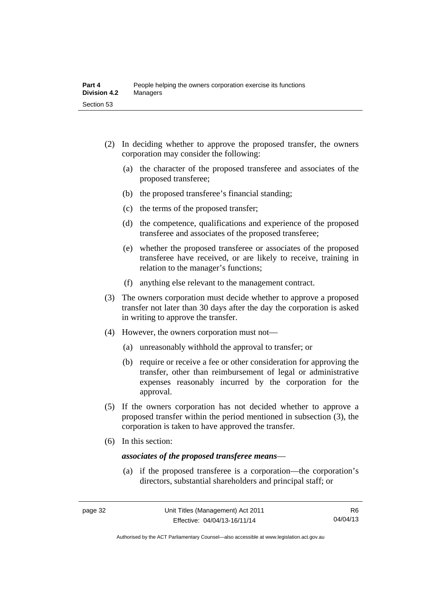- (2) In deciding whether to approve the proposed transfer, the owners corporation may consider the following:
	- (a) the character of the proposed transferee and associates of the proposed transferee;
	- (b) the proposed transferee's financial standing;
	- (c) the terms of the proposed transfer;
	- (d) the competence, qualifications and experience of the proposed transferee and associates of the proposed transferee;
	- (e) whether the proposed transferee or associates of the proposed transferee have received, or are likely to receive, training in relation to the manager's functions;
	- (f) anything else relevant to the management contract.
- (3) The owners corporation must decide whether to approve a proposed transfer not later than 30 days after the day the corporation is asked in writing to approve the transfer.
- (4) However, the owners corporation must not—
	- (a) unreasonably withhold the approval to transfer; or
	- (b) require or receive a fee or other consideration for approving the transfer, other than reimbursement of legal or administrative expenses reasonably incurred by the corporation for the approval.
- (5) If the owners corporation has not decided whether to approve a proposed transfer within the period mentioned in subsection (3), the corporation is taken to have approved the transfer.
- (6) In this section:

#### *associates of the proposed transferee means*—

 (a) if the proposed transferee is a corporation—the corporation's directors, substantial shareholders and principal staff; or

Authorised by the ACT Parliamentary Counsel—also accessible at www.legislation.act.gov.au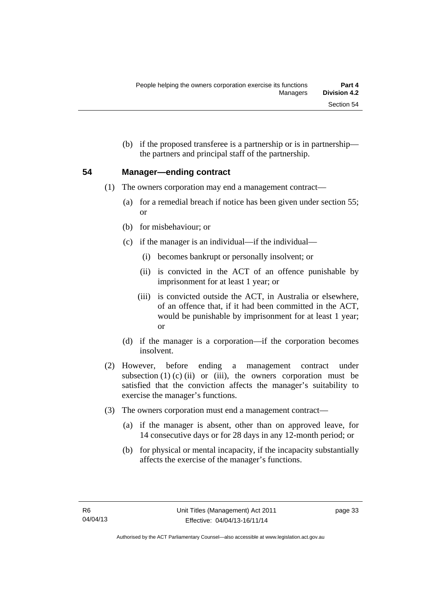(b) if the proposed transferee is a partnership or is in partnership the partners and principal staff of the partnership.

#### **54 Manager—ending contract**

- (1) The owners corporation may end a management contract—
	- (a) for a remedial breach if notice has been given under section 55; or
	- (b) for misbehaviour; or
	- (c) if the manager is an individual—if the individual—
		- (i) becomes bankrupt or personally insolvent; or
		- (ii) is convicted in the ACT of an offence punishable by imprisonment for at least 1 year; or
		- (iii) is convicted outside the ACT, in Australia or elsewhere, of an offence that, if it had been committed in the ACT, would be punishable by imprisonment for at least 1 year; or
	- (d) if the manager is a corporation—if the corporation becomes insolvent.
- (2) However, before ending a management contract under subsection  $(1)$   $(c)$   $(ii)$  or  $(iii)$ , the owners corporation must be satisfied that the conviction affects the manager's suitability to exercise the manager's functions.
- (3) The owners corporation must end a management contract—
	- (a) if the manager is absent, other than on approved leave, for 14 consecutive days or for 28 days in any 12-month period; or
	- (b) for physical or mental incapacity, if the incapacity substantially affects the exercise of the manager's functions.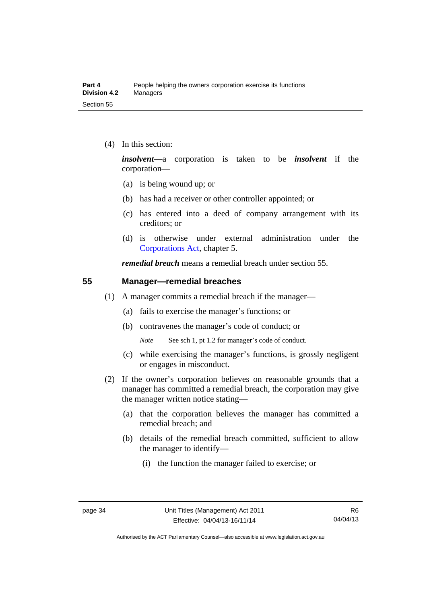(4) In this section:

*insolvent—*a corporation is taken to be *insolvent* if the corporation—

- (a) is being wound up; or
- (b) has had a receiver or other controller appointed; or
- (c) has entered into a deed of company arrangement with its creditors; or
- (d) is otherwise under external administration under the [Corporations Act,](http://www.comlaw.gov.au/Series/C2004A00818) chapter 5.

*remedial breach* means a remedial breach under section 55.

#### **55 Manager—remedial breaches**

- (1) A manager commits a remedial breach if the manager—
	- (a) fails to exercise the manager's functions; or
	- (b) contravenes the manager's code of conduct; or

*Note* See sch 1, pt 1.2 for manager's code of conduct.

- (c) while exercising the manager's functions, is grossly negligent or engages in misconduct.
- (2) If the owner's corporation believes on reasonable grounds that a manager has committed a remedial breach, the corporation may give the manager written notice stating—
	- (a) that the corporation believes the manager has committed a remedial breach; and
	- (b) details of the remedial breach committed, sufficient to allow the manager to identify—
		- (i) the function the manager failed to exercise; or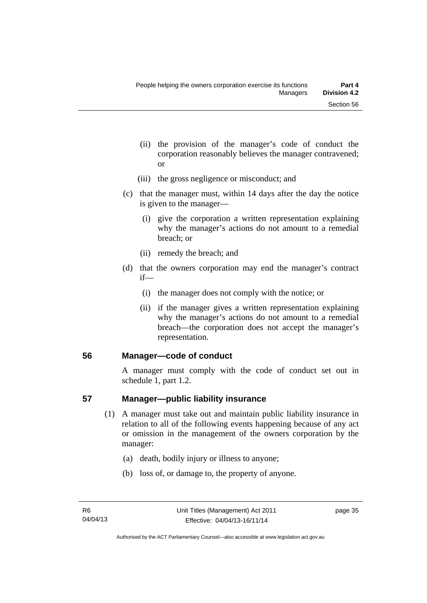- (ii) the provision of the manager's code of conduct the corporation reasonably believes the manager contravened; or
- (iii) the gross negligence or misconduct; and
- (c) that the manager must, within 14 days after the day the notice is given to the manager—
	- (i) give the corporation a written representation explaining why the manager's actions do not amount to a remedial breach; or
	- (ii) remedy the breach; and
- (d) that the owners corporation may end the manager's contract if—
	- (i) the manager does not comply with the notice; or
	- (ii) if the manager gives a written representation explaining why the manager's actions do not amount to a remedial breach—the corporation does not accept the manager's representation.

#### **56 Manager—code of conduct**

A manager must comply with the code of conduct set out in schedule 1, part 1.2.

#### **57 Manager—public liability insurance**

- (1) A manager must take out and maintain public liability insurance in relation to all of the following events happening because of any act or omission in the management of the owners corporation by the manager:
	- (a) death, bodily injury or illness to anyone;
	- (b) loss of, or damage to, the property of anyone.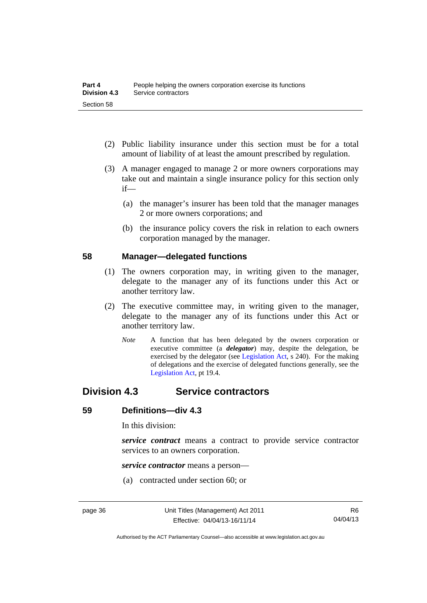- (2) Public liability insurance under this section must be for a total amount of liability of at least the amount prescribed by regulation.
- (3) A manager engaged to manage 2 or more owners corporations may take out and maintain a single insurance policy for this section only if—
	- (a) the manager's insurer has been told that the manager manages 2 or more owners corporations; and
	- (b) the insurance policy covers the risk in relation to each owners corporation managed by the manager.

#### **58 Manager—delegated functions**

- (1) The owners corporation may, in writing given to the manager, delegate to the manager any of its functions under this Act or another territory law.
- (2) The executive committee may, in writing given to the manager, delegate to the manager any of its functions under this Act or another territory law.
	- *Note* A function that has been delegated by the owners corporation or executive committee (a *delegator*) may, despite the delegation, be exercised by the delegator (see [Legislation Act,](http://www.legislation.act.gov.au/a/2001-14) s 240). For the making of delegations and the exercise of delegated functions generally, see the [Legislation Act,](http://www.legislation.act.gov.au/a/2001-14) pt 19.4.

## **Division 4.3 Service contractors**

#### **59 Definitions—div 4.3**

In this division:

*service contract* means a contract to provide service contractor services to an owners corporation.

*service contractor* means a person—

(a) contracted under section 60; or

Authorised by the ACT Parliamentary Counsel—also accessible at www.legislation.act.gov.au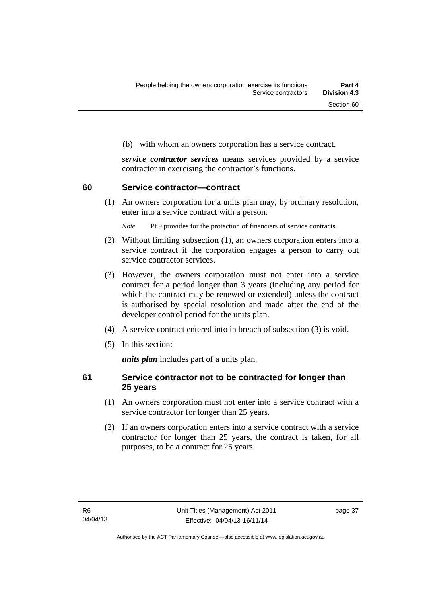(b) with whom an owners corporation has a service contract.

*service contractor services* means services provided by a service contractor in exercising the contractor's functions.

#### **60 Service contractor—contract**

(1) An owners corporation for a units plan may, by ordinary resolution, enter into a service contract with a person.

*Note* Pt 9 provides for the protection of financiers of service contracts.

- (2) Without limiting subsection (1), an owners corporation enters into a service contract if the corporation engages a person to carry out service contractor services.
- (3) However, the owners corporation must not enter into a service contract for a period longer than 3 years (including any period for which the contract may be renewed or extended) unless the contract is authorised by special resolution and made after the end of the developer control period for the units plan.
- (4) A service contract entered into in breach of subsection (3) is void.
- (5) In this section:

*units plan* includes part of a units plan.

#### **61 Service contractor not to be contracted for longer than 25 years**

- (1) An owners corporation must not enter into a service contract with a service contractor for longer than 25 years.
- (2) If an owners corporation enters into a service contract with a service contractor for longer than 25 years, the contract is taken, for all purposes, to be a contract for 25 years.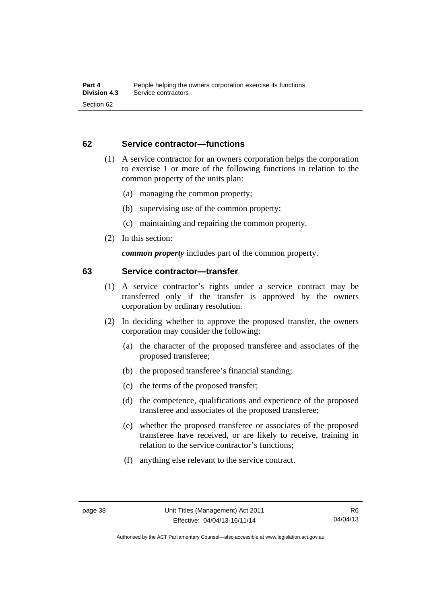#### **62 Service contractor—functions**

- (1) A service contractor for an owners corporation helps the corporation to exercise 1 or more of the following functions in relation to the common property of the units plan:
	- (a) managing the common property;
	- (b) supervising use of the common property;
	- (c) maintaining and repairing the common property.
- (2) In this section:

*common property* includes part of the common property.

#### **63 Service contractor—transfer**

- (1) A service contractor's rights under a service contract may be transferred only if the transfer is approved by the owners corporation by ordinary resolution.
- (2) In deciding whether to approve the proposed transfer, the owners corporation may consider the following:
	- (a) the character of the proposed transferee and associates of the proposed transferee;
	- (b) the proposed transferee's financial standing;
	- (c) the terms of the proposed transfer;
	- (d) the competence, qualifications and experience of the proposed transferee and associates of the proposed transferee;
	- (e) whether the proposed transferee or associates of the proposed transferee have received, or are likely to receive, training in relation to the service contractor's functions;
	- (f) anything else relevant to the service contract.

Authorised by the ACT Parliamentary Counsel—also accessible at www.legislation.act.gov.au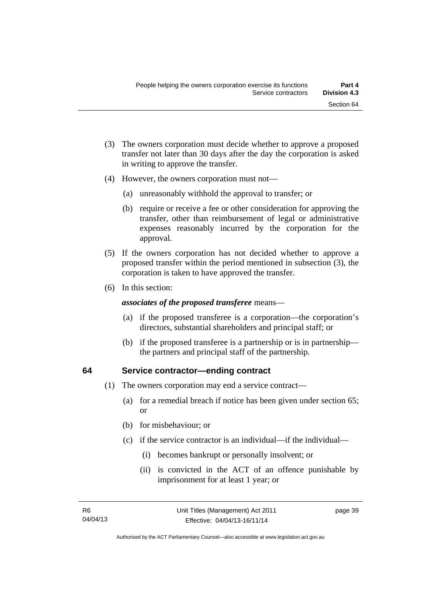- (3) The owners corporation must decide whether to approve a proposed transfer not later than 30 days after the day the corporation is asked in writing to approve the transfer.
- (4) However, the owners corporation must not—
	- (a) unreasonably withhold the approval to transfer; or
	- (b) require or receive a fee or other consideration for approving the transfer, other than reimbursement of legal or administrative expenses reasonably incurred by the corporation for the approval.
- (5) If the owners corporation has not decided whether to approve a proposed transfer within the period mentioned in subsection (3), the corporation is taken to have approved the transfer.
- (6) In this section:

#### *associates of the proposed transferee* means—

- (a) if the proposed transferee is a corporation—the corporation's directors, substantial shareholders and principal staff; or
- (b) if the proposed transferee is a partnership or is in partnership the partners and principal staff of the partnership.

#### **64 Service contractor—ending contract**

- (1) The owners corporation may end a service contract—
	- (a) for a remedial breach if notice has been given under section 65; or
	- (b) for misbehaviour; or
	- (c) if the service contractor is an individual—if the individual—
		- (i) becomes bankrupt or personally insolvent; or
		- (ii) is convicted in the ACT of an offence punishable by imprisonment for at least 1 year; or

page 39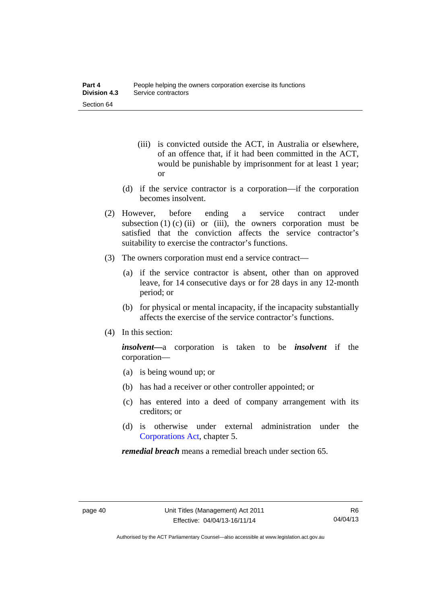- (iii) is convicted outside the ACT, in Australia or elsewhere, of an offence that, if it had been committed in the ACT, would be punishable by imprisonment for at least 1 year; or
- (d) if the service contractor is a corporation—if the corporation becomes insolvent.
- (2) However, before ending a service contract under subsection  $(1)$  (c)  $(ii)$  or  $(iii)$ , the owners corporation must be satisfied that the conviction affects the service contractor's suitability to exercise the contractor's functions.
- (3) The owners corporation must end a service contract—
	- (a) if the service contractor is absent, other than on approved leave, for 14 consecutive days or for 28 days in any 12-month period; or
	- (b) for physical or mental incapacity, if the incapacity substantially affects the exercise of the service contractor's functions.
- (4) In this section:

*insolvent—*a corporation is taken to be *insolvent* if the corporation—

- (a) is being wound up; or
- (b) has had a receiver or other controller appointed; or
- (c) has entered into a deed of company arrangement with its creditors; or
- (d) is otherwise under external administration under the [Corporations Act,](http://www.comlaw.gov.au/Series/C2004A00818) chapter 5.

*remedial breach* means a remedial breach under section 65.

Authorised by the ACT Parliamentary Counsel—also accessible at www.legislation.act.gov.au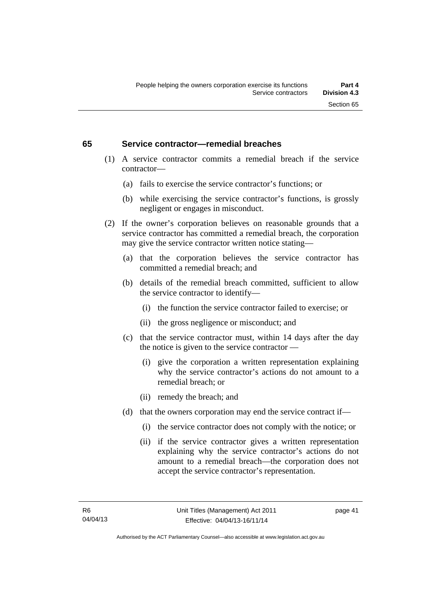#### **65 Service contractor—remedial breaches**

- (1) A service contractor commits a remedial breach if the service contractor—
	- (a) fails to exercise the service contractor's functions; or
	- (b) while exercising the service contractor's functions, is grossly negligent or engages in misconduct.
- (2) If the owner's corporation believes on reasonable grounds that a service contractor has committed a remedial breach, the corporation may give the service contractor written notice stating—
	- (a) that the corporation believes the service contractor has committed a remedial breach; and
	- (b) details of the remedial breach committed, sufficient to allow the service contractor to identify—
		- (i) the function the service contractor failed to exercise; or
		- (ii) the gross negligence or misconduct; and
	- (c) that the service contractor must, within 14 days after the day the notice is given to the service contractor —
		- (i) give the corporation a written representation explaining why the service contractor's actions do not amount to a remedial breach; or
		- (ii) remedy the breach; and
	- (d) that the owners corporation may end the service contract if—
		- (i) the service contractor does not comply with the notice; or
		- (ii) if the service contractor gives a written representation explaining why the service contractor's actions do not amount to a remedial breach—the corporation does not accept the service contractor's representation.

page 41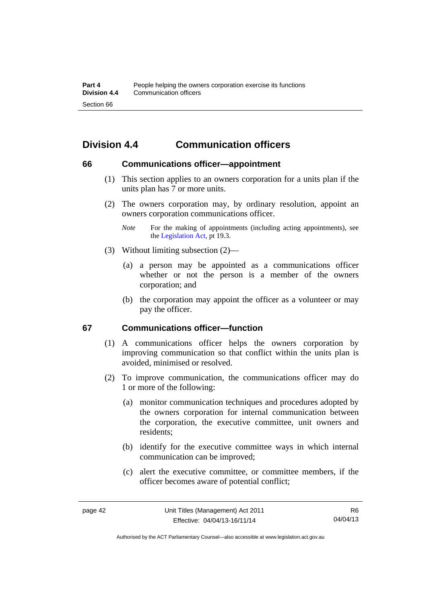# **Division 4.4 Communication officers**

#### **66 Communications officer—appointment**

- (1) This section applies to an owners corporation for a units plan if the units plan has 7 or more units.
- (2) The owners corporation may, by ordinary resolution, appoint an owners corporation communications officer.
	- *Note* For the making of appointments (including acting appointments), see the [Legislation Act,](http://www.legislation.act.gov.au/a/2001-14) pt 19.3.
- (3) Without limiting subsection (2)—
	- (a) a person may be appointed as a communications officer whether or not the person is a member of the owners corporation; and
	- (b) the corporation may appoint the officer as a volunteer or may pay the officer.

#### **67 Communications officer—function**

- (1) A communications officer helps the owners corporation by improving communication so that conflict within the units plan is avoided, minimised or resolved.
- (2) To improve communication, the communications officer may do 1 or more of the following:
	- (a) monitor communication techniques and procedures adopted by the owners corporation for internal communication between the corporation, the executive committee, unit owners and residents;
	- (b) identify for the executive committee ways in which internal communication can be improved;
	- (c) alert the executive committee, or committee members, if the officer becomes aware of potential conflict;

Authorised by the ACT Parliamentary Counsel—also accessible at www.legislation.act.gov.au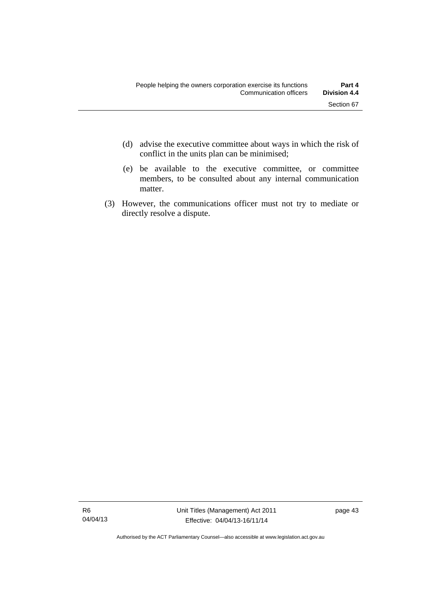- (d) advise the executive committee about ways in which the risk of conflict in the units plan can be minimised;
- (e) be available to the executive committee, or committee members, to be consulted about any internal communication matter.
- (3) However, the communications officer must not try to mediate or directly resolve a dispute.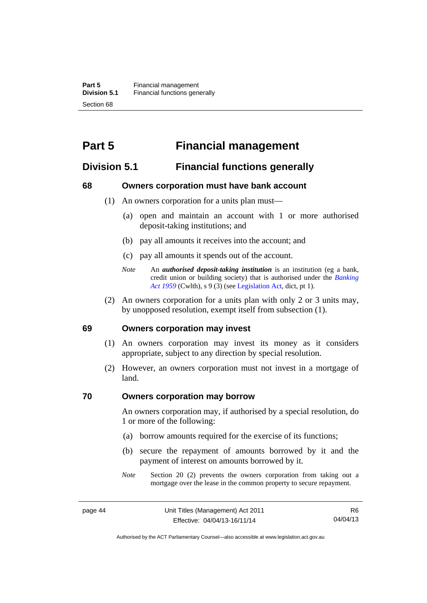# **Part 5 Financial management**

## **Division 5.1 Financial functions generally**

#### **68 Owners corporation must have bank account**

- (1) An owners corporation for a units plan must—
	- (a) open and maintain an account with 1 or more authorised deposit-taking institutions; and
	- (b) pay all amounts it receives into the account; and
	- (c) pay all amounts it spends out of the account.
	- *Note* An *authorised deposit-taking institution* is an institution (eg a bank, credit union or building society) that is authorised under the *[Banking](http://www.comlaw.gov.au/Details/C2012C00911)  [Act 1959](http://www.comlaw.gov.au/Details/C2012C00911)* (Cwlth), s 9 (3) (see [Legislation Act,](http://www.legislation.act.gov.au/a/2001-14) dict, pt 1).
- (2) An owners corporation for a units plan with only 2 or 3 units may, by unopposed resolution, exempt itself from subsection (1).

#### **69 Owners corporation may invest**

- (1) An owners corporation may invest its money as it considers appropriate, subject to any direction by special resolution.
- (2) However, an owners corporation must not invest in a mortgage of land.

#### **70 Owners corporation may borrow**

An owners corporation may, if authorised by a special resolution, do 1 or more of the following:

- (a) borrow amounts required for the exercise of its functions;
- (b) secure the repayment of amounts borrowed by it and the payment of interest on amounts borrowed by it.
- *Note* Section 20 (2) prevents the owners corporation from taking out a mortgage over the lease in the common property to secure repayment.

R6 04/04/13

Authorised by the ACT Parliamentary Counsel—also accessible at www.legislation.act.gov.au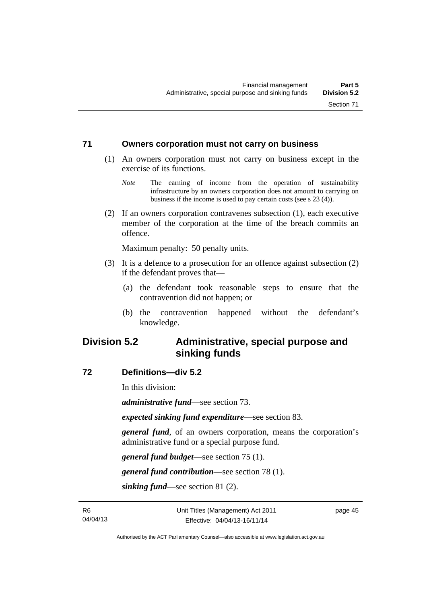#### **71 Owners corporation must not carry on business**

- (1) An owners corporation must not carry on business except in the exercise of its functions.
	- *Note* The earning of income from the operation of sustainability infrastructure by an owners corporation does not amount to carrying on business if the income is used to pay certain costs (see s 23 (4)).
- (2) If an owners corporation contravenes subsection (1), each executive member of the corporation at the time of the breach commits an offence.

Maximum penalty: 50 penalty units.

- (3) It is a defence to a prosecution for an offence against subsection (2) if the defendant proves that—
	- (a) the defendant took reasonable steps to ensure that the contravention did not happen; or
	- (b) the contravention happened without the defendant's knowledge.

## **Division 5.2 Administrative, special purpose and sinking funds**

#### **72 Definitions—div 5.2**

In this division:

*administrative fund*—see section 73.

*expected sinking fund expenditure*—see section 83.

*general fund*, of an owners corporation, means the corporation's administrative fund or a special purpose fund.

*general fund budget*—see section 75 (1).

*general fund contribution*—see section 78 (1).

*sinking fund*—see section 81 (2).

page 45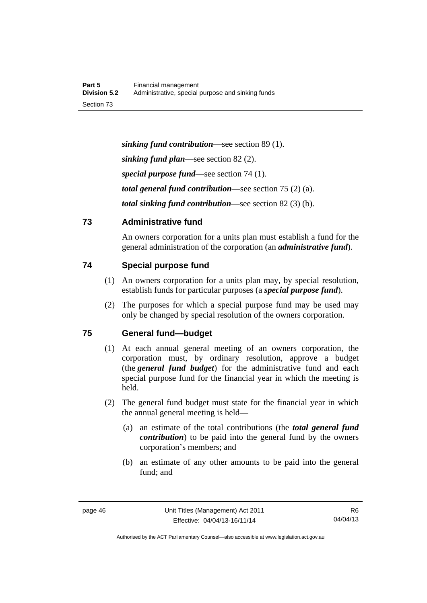*sinking fund contribution*—see section 89 (1). *sinking fund plan*—see section 82 (2). *special purpose fund*—see section 74 (1). *total general fund contribution*—see section 75 (2) (a). *total sinking fund contribution*—see section 82 (3) (b).

## **73 Administrative fund**

An owners corporation for a units plan must establish a fund for the general administration of the corporation (an *administrative fund*).

## **74 Special purpose fund**

- (1) An owners corporation for a units plan may, by special resolution, establish funds for particular purposes (a *special purpose fund*).
- (2) The purposes for which a special purpose fund may be used may only be changed by special resolution of the owners corporation.

## **75 General fund—budget**

- (1) At each annual general meeting of an owners corporation, the corporation must, by ordinary resolution, approve a budget (the *general fund budget*) for the administrative fund and each special purpose fund for the financial year in which the meeting is held.
- (2) The general fund budget must state for the financial year in which the annual general meeting is held—
	- (a) an estimate of the total contributions (the *total general fund contribution*) to be paid into the general fund by the owners corporation's members; and
	- (b) an estimate of any other amounts to be paid into the general fund; and

Authorised by the ACT Parliamentary Counsel—also accessible at www.legislation.act.gov.au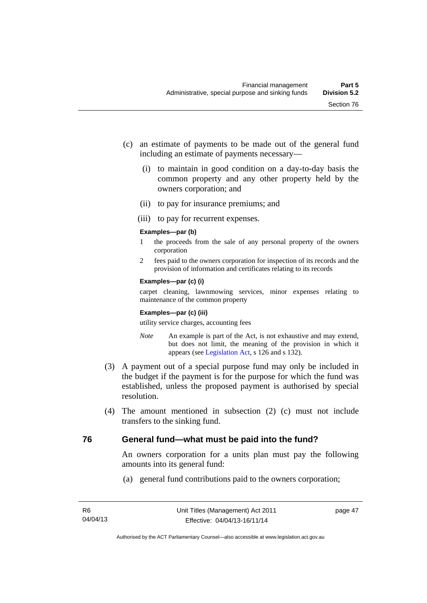- (c) an estimate of payments to be made out of the general fund including an estimate of payments necessary—
	- (i) to maintain in good condition on a day-to-day basis the common property and any other property held by the owners corporation; and
	- (ii) to pay for insurance premiums; and
	- (iii) to pay for recurrent expenses.

#### **Examples—par (b)**

- 1 the proceeds from the sale of any personal property of the owners corporation
- 2 fees paid to the owners corporation for inspection of its records and the provision of information and certificates relating to its records

#### **Examples—par (c) (i)**

carpet cleaning, lawnmowing services, minor expenses relating to maintenance of the common property

#### **Examples—par (c) (iii)**

utility service charges, accounting fees

- *Note* An example is part of the Act, is not exhaustive and may extend, but does not limit, the meaning of the provision in which it appears (see [Legislation Act,](http://www.legislation.act.gov.au/a/2001-14) s 126 and s 132).
- (3) A payment out of a special purpose fund may only be included in the budget if the payment is for the purpose for which the fund was established, unless the proposed payment is authorised by special resolution.
- (4) The amount mentioned in subsection (2) (c) must not include transfers to the sinking fund.

## **76 General fund—what must be paid into the fund?**

An owners corporation for a units plan must pay the following amounts into its general fund:

(a) general fund contributions paid to the owners corporation;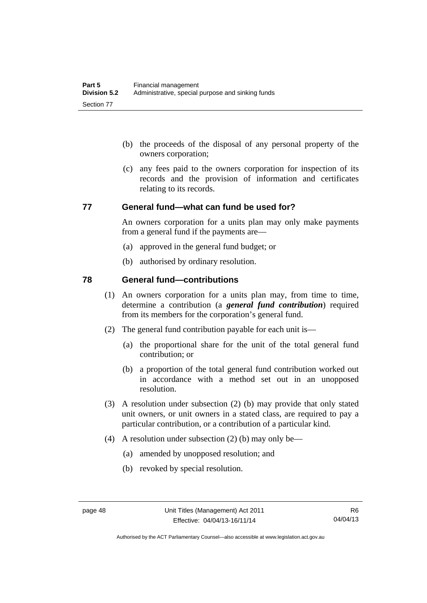- (b) the proceeds of the disposal of any personal property of the owners corporation;
- (c) any fees paid to the owners corporation for inspection of its records and the provision of information and certificates relating to its records.

#### **77 General fund—what can fund be used for?**

An owners corporation for a units plan may only make payments from a general fund if the payments are—

- (a) approved in the general fund budget; or
- (b) authorised by ordinary resolution.

#### **78 General fund—contributions**

- (1) An owners corporation for a units plan may, from time to time, determine a contribution (a *general fund contribution*) required from its members for the corporation's general fund.
- (2) The general fund contribution payable for each unit is—
	- (a) the proportional share for the unit of the total general fund contribution; or
	- (b) a proportion of the total general fund contribution worked out in accordance with a method set out in an unopposed resolution.
- (3) A resolution under subsection (2) (b) may provide that only stated unit owners, or unit owners in a stated class, are required to pay a particular contribution, or a contribution of a particular kind.
- (4) A resolution under subsection (2) (b) may only be—
	- (a) amended by unopposed resolution; and
	- (b) revoked by special resolution.

Authorised by the ACT Parliamentary Counsel—also accessible at www.legislation.act.gov.au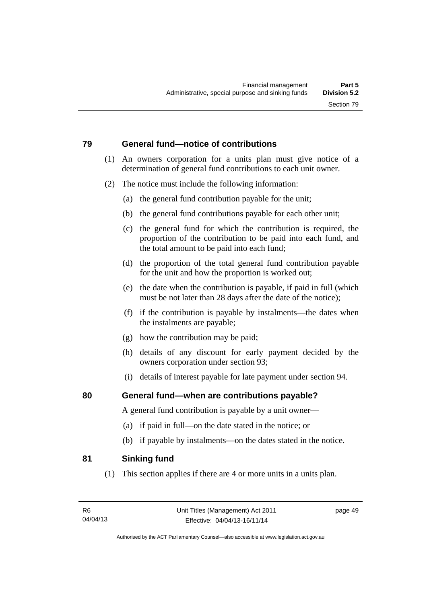## **79 General fund—notice of contributions**

- (1) An owners corporation for a units plan must give notice of a determination of general fund contributions to each unit owner.
- (2) The notice must include the following information:
	- (a) the general fund contribution payable for the unit;
	- (b) the general fund contributions payable for each other unit;
	- (c) the general fund for which the contribution is required, the proportion of the contribution to be paid into each fund, and the total amount to be paid into each fund;
	- (d) the proportion of the total general fund contribution payable for the unit and how the proportion is worked out;
	- (e) the date when the contribution is payable, if paid in full (which must be not later than 28 days after the date of the notice);
	- (f) if the contribution is payable by instalments—the dates when the instalments are payable;
	- (g) how the contribution may be paid;
	- (h) details of any discount for early payment decided by the owners corporation under section 93;
	- (i) details of interest payable for late payment under section 94.

## **80 General fund—when are contributions payable?**

A general fund contribution is payable by a unit owner—

- (a) if paid in full—on the date stated in the notice; or
- (b) if payable by instalments—on the dates stated in the notice.

## **81 Sinking fund**

(1) This section applies if there are 4 or more units in a units plan.

page 49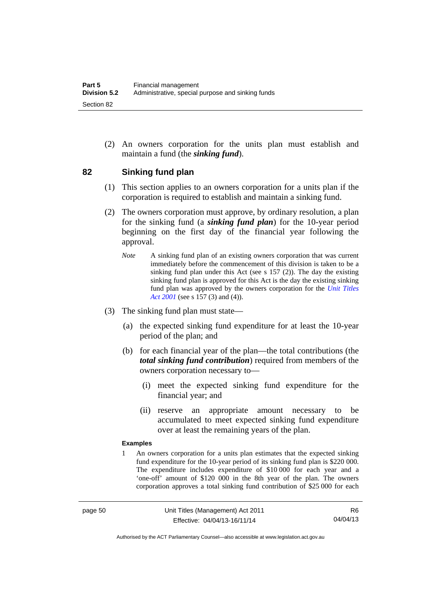(2) An owners corporation for the units plan must establish and maintain a fund (the *sinking fund*).

#### **82 Sinking fund plan**

- (1) This section applies to an owners corporation for a units plan if the corporation is required to establish and maintain a sinking fund.
- (2) The owners corporation must approve, by ordinary resolution, a plan for the sinking fund (a *sinking fund plan*) for the 10-year period beginning on the first day of the financial year following the approval.
	- *Note* A sinking fund plan of an existing owners corporation that was current immediately before the commencement of this division is taken to be a sinking fund plan under this Act (see s 157 (2)). The day the existing sinking fund plan is approved for this Act is the day the existing sinking fund plan was approved by the owners corporation for the *[Unit Titles](http://www.legislation.act.gov.au/a/2001-16)  [Act 2001](http://www.legislation.act.gov.au/a/2001-16)* (see s 157 (3) and (4)).
- (3) The sinking fund plan must state—
	- (a) the expected sinking fund expenditure for at least the 10-year period of the plan; and
	- (b) for each financial year of the plan—the total contributions (the *total sinking fund contribution*) required from members of the owners corporation necessary to—
		- (i) meet the expected sinking fund expenditure for the financial year; and
		- (ii) reserve an appropriate amount necessary to be accumulated to meet expected sinking fund expenditure over at least the remaining years of the plan.

#### **Examples**

1 An owners corporation for a units plan estimates that the expected sinking fund expenditure for the 10-year period of its sinking fund plan is \$220 000. The expenditure includes expenditure of \$10 000 for each year and a 'one-off' amount of \$120 000 in the 8th year of the plan. The owners corporation approves a total sinking fund contribution of \$25 000 for each

Authorised by the ACT Parliamentary Counsel—also accessible at www.legislation.act.gov.au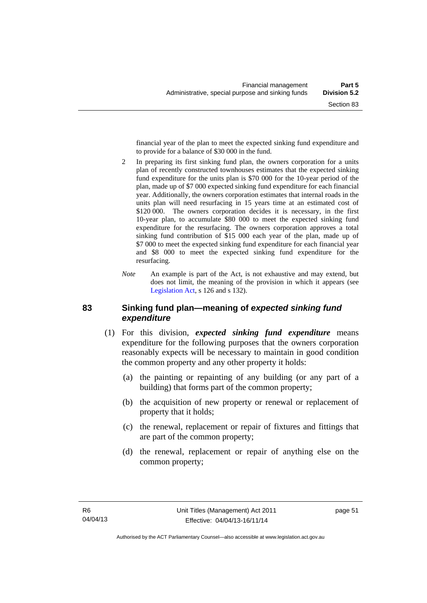financial year of the plan to meet the expected sinking fund expenditure and to provide for a balance of \$30 000 in the fund.

- 2 In preparing its first sinking fund plan, the owners corporation for a units plan of recently constructed townhouses estimates that the expected sinking fund expenditure for the units plan is \$70 000 for the 10-year period of the plan, made up of \$7 000 expected sinking fund expenditure for each financial year. Additionally, the owners corporation estimates that internal roads in the units plan will need resurfacing in 15 years time at an estimated cost of \$120,000. The owners corporation decides it is necessary, in the first 10-year plan, to accumulate \$80 000 to meet the expected sinking fund expenditure for the resurfacing. The owners corporation approves a total sinking fund contribution of \$15 000 each year of the plan, made up of \$7 000 to meet the expected sinking fund expenditure for each financial year and \$8 000 to meet the expected sinking fund expenditure for the resurfacing.
- *Note* An example is part of the Act, is not exhaustive and may extend, but does not limit, the meaning of the provision in which it appears (see [Legislation Act,](http://www.legislation.act.gov.au/a/2001-14) s 126 and s 132).

#### **83 Sinking fund plan—meaning of** *expected sinking fund expenditure*

- (1) For this division, *expected sinking fund expenditure* means expenditure for the following purposes that the owners corporation reasonably expects will be necessary to maintain in good condition the common property and any other property it holds:
	- (a) the painting or repainting of any building (or any part of a building) that forms part of the common property;
	- (b) the acquisition of new property or renewal or replacement of property that it holds;
	- (c) the renewal, replacement or repair of fixtures and fittings that are part of the common property;
	- (d) the renewal, replacement or repair of anything else on the common property;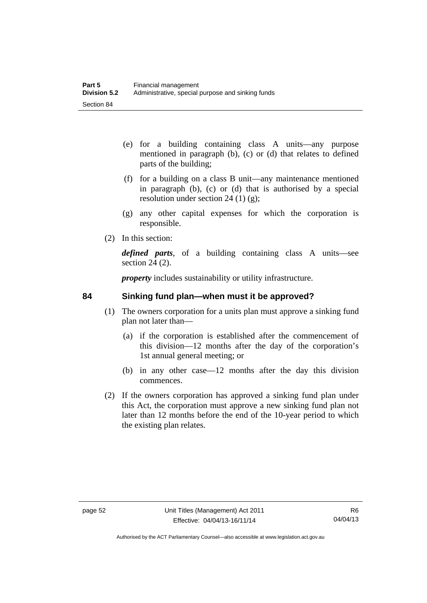- (e) for a building containing class A units—any purpose mentioned in paragraph (b), (c) or (d) that relates to defined parts of the building;
- (f) for a building on a class B unit—any maintenance mentioned in paragraph (b), (c) or (d) that is authorised by a special resolution under section 24 (1)  $(g)$ ;
- (g) any other capital expenses for which the corporation is responsible.
- (2) In this section:

*defined parts*, of a building containing class A units—see section 24 (2).

*property* includes sustainability or utility infrastructure.

## **84 Sinking fund plan—when must it be approved?**

- (1) The owners corporation for a units plan must approve a sinking fund plan not later than—
	- (a) if the corporation is established after the commencement of this division—12 months after the day of the corporation's 1st annual general meeting; or
	- (b) in any other case—12 months after the day this division commences.
- (2) If the owners corporation has approved a sinking fund plan under this Act, the corporation must approve a new sinking fund plan not later than 12 months before the end of the 10-year period to which the existing plan relates.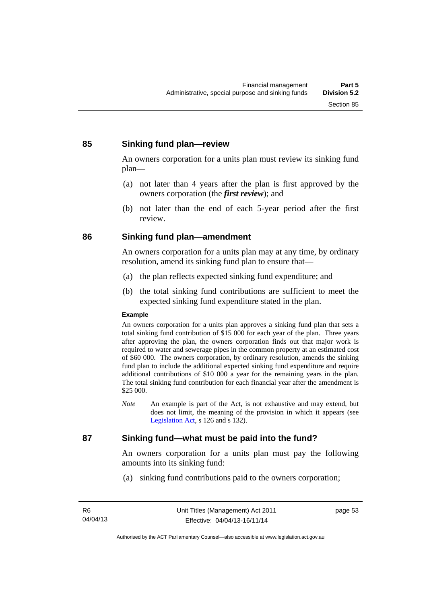#### **85 Sinking fund plan—review**

An owners corporation for a units plan must review its sinking fund plan—

- (a) not later than 4 years after the plan is first approved by the owners corporation (the *first review*); and
- (b) not later than the end of each 5-year period after the first review.

#### **86 Sinking fund plan—amendment**

An owners corporation for a units plan may at any time, by ordinary resolution, amend its sinking fund plan to ensure that—

- (a) the plan reflects expected sinking fund expenditure; and
- (b) the total sinking fund contributions are sufficient to meet the expected sinking fund expenditure stated in the plan.

#### **Example**

An owners corporation for a units plan approves a sinking fund plan that sets a total sinking fund contribution of \$15 000 for each year of the plan. Three years after approving the plan, the owners corporation finds out that major work is required to water and sewerage pipes in the common property at an estimated cost of \$60 000. The owners corporation, by ordinary resolution, amends the sinking fund plan to include the additional expected sinking fund expenditure and require additional contributions of \$10 000 a year for the remaining years in the plan. The total sinking fund contribution for each financial year after the amendment is \$25 000.

*Note* An example is part of the Act, is not exhaustive and may extend, but does not limit, the meaning of the provision in which it appears (see [Legislation Act,](http://www.legislation.act.gov.au/a/2001-14) s 126 and s 132).

### **87 Sinking fund—what must be paid into the fund?**

An owners corporation for a units plan must pay the following amounts into its sinking fund:

(a) sinking fund contributions paid to the owners corporation;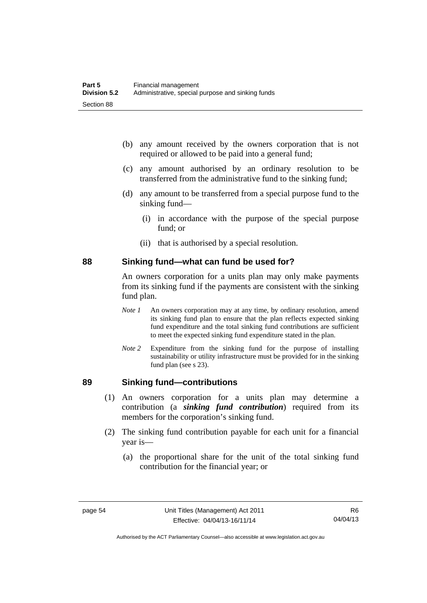- (b) any amount received by the owners corporation that is not required or allowed to be paid into a general fund;
- (c) any amount authorised by an ordinary resolution to be transferred from the administrative fund to the sinking fund;
- (d) any amount to be transferred from a special purpose fund to the sinking fund—
	- (i) in accordance with the purpose of the special purpose fund; or
	- (ii) that is authorised by a special resolution.

#### **88 Sinking fund—what can fund be used for?**

An owners corporation for a units plan may only make payments from its sinking fund if the payments are consistent with the sinking fund plan.

- *Note 1* An owners corporation may at any time, by ordinary resolution, amend its sinking fund plan to ensure that the plan reflects expected sinking fund expenditure and the total sinking fund contributions are sufficient to meet the expected sinking fund expenditure stated in the plan.
- *Note 2* Expenditure from the sinking fund for the purpose of installing sustainability or utility infrastructure must be provided for in the sinking fund plan (see s 23).

#### **89 Sinking fund—contributions**

- (1) An owners corporation for a units plan may determine a contribution (a *sinking fund contribution*) required from its members for the corporation's sinking fund.
- (2) The sinking fund contribution payable for each unit for a financial year is—
	- (a) the proportional share for the unit of the total sinking fund contribution for the financial year; or

Authorised by the ACT Parliamentary Counsel—also accessible at www.legislation.act.gov.au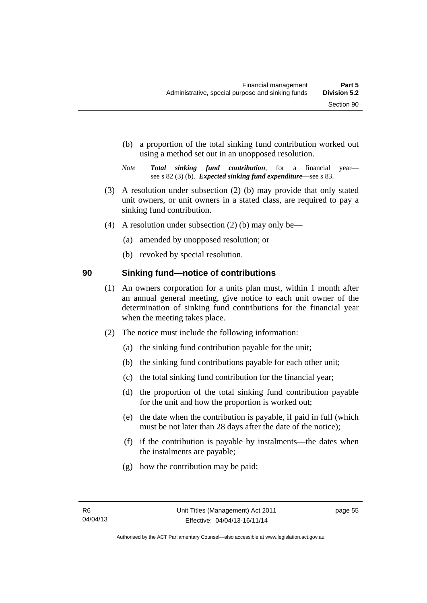- (b) a proportion of the total sinking fund contribution worked out using a method set out in an unopposed resolution.
- *Note Total sinking fund contribution*, for a financial year see s 82 (3) (b). *Expected sinking fund expenditure*—see s 83.
- (3) A resolution under subsection (2) (b) may provide that only stated unit owners, or unit owners in a stated class, are required to pay a sinking fund contribution.
- (4) A resolution under subsection (2) (b) may only be—
	- (a) amended by unopposed resolution; or
	- (b) revoked by special resolution.

## **90 Sinking fund—notice of contributions**

- (1) An owners corporation for a units plan must, within 1 month after an annual general meeting, give notice to each unit owner of the determination of sinking fund contributions for the financial year when the meeting takes place.
- (2) The notice must include the following information:
	- (a) the sinking fund contribution payable for the unit;
	- (b) the sinking fund contributions payable for each other unit;
	- (c) the total sinking fund contribution for the financial year;
	- (d) the proportion of the total sinking fund contribution payable for the unit and how the proportion is worked out;
	- (e) the date when the contribution is payable, if paid in full (which must be not later than 28 days after the date of the notice);
	- (f) if the contribution is payable by instalments—the dates when the instalments are payable;
	- (g) how the contribution may be paid;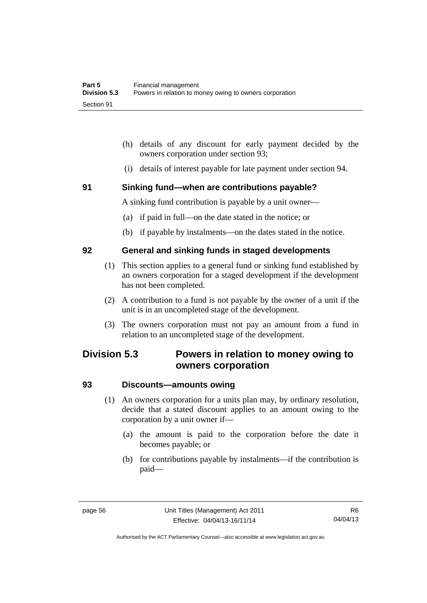- (h) details of any discount for early payment decided by the owners corporation under section 93;
- (i) details of interest payable for late payment under section 94.

#### **91 Sinking fund—when are contributions payable?**

A sinking fund contribution is payable by a unit owner—

- (a) if paid in full—on the date stated in the notice; or
- (b) if payable by instalments—on the dates stated in the notice.

#### **92 General and sinking funds in staged developments**

- (1) This section applies to a general fund or sinking fund established by an owners corporation for a staged development if the development has not been completed.
- (2) A contribution to a fund is not payable by the owner of a unit if the unit is in an uncompleted stage of the development.
- (3) The owners corporation must not pay an amount from a fund in relation to an uncompleted stage of the development.

## **Division 5.3 Powers in relation to money owing to owners corporation**

#### **93 Discounts—amounts owing**

- (1) An owners corporation for a units plan may, by ordinary resolution, decide that a stated discount applies to an amount owing to the corporation by a unit owner if—
	- (a) the amount is paid to the corporation before the date it becomes payable; or
	- (b) for contributions payable by instalments—if the contribution is paid—

Authorised by the ACT Parliamentary Counsel—also accessible at www.legislation.act.gov.au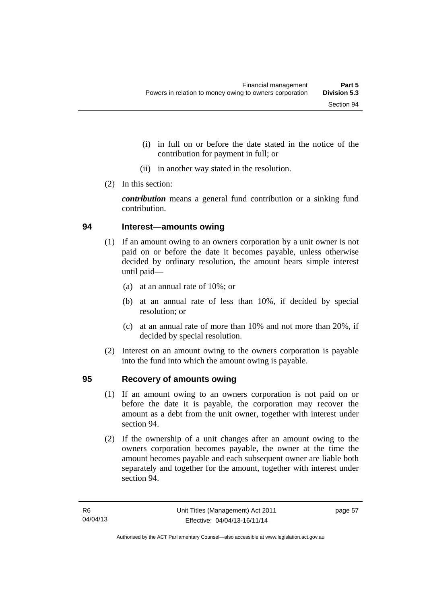- (i) in full on or before the date stated in the notice of the contribution for payment in full; or
- (ii) in another way stated in the resolution.
- (2) In this section:

*contribution* means a general fund contribution or a sinking fund contribution.

#### **94 Interest—amounts owing**

- (1) If an amount owing to an owners corporation by a unit owner is not paid on or before the date it becomes payable, unless otherwise decided by ordinary resolution, the amount bears simple interest until paid—
	- (a) at an annual rate of 10%; or
	- (b) at an annual rate of less than 10%, if decided by special resolution; or
	- (c) at an annual rate of more than 10% and not more than 20%, if decided by special resolution.
- (2) Interest on an amount owing to the owners corporation is payable into the fund into which the amount owing is payable.

#### **95 Recovery of amounts owing**

- (1) If an amount owing to an owners corporation is not paid on or before the date it is payable, the corporation may recover the amount as a debt from the unit owner, together with interest under section 94.
- (2) If the ownership of a unit changes after an amount owing to the owners corporation becomes payable, the owner at the time the amount becomes payable and each subsequent owner are liable both separately and together for the amount, together with interest under section 94.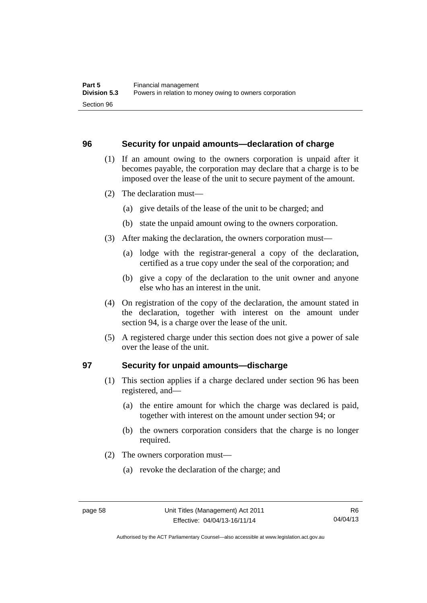#### **96 Security for unpaid amounts—declaration of charge**

- (1) If an amount owing to the owners corporation is unpaid after it becomes payable, the corporation may declare that a charge is to be imposed over the lease of the unit to secure payment of the amount.
- (2) The declaration must—
	- (a) give details of the lease of the unit to be charged; and
	- (b) state the unpaid amount owing to the owners corporation.
- (3) After making the declaration, the owners corporation must—
	- (a) lodge with the registrar-general a copy of the declaration, certified as a true copy under the seal of the corporation; and
	- (b) give a copy of the declaration to the unit owner and anyone else who has an interest in the unit.
- (4) On registration of the copy of the declaration, the amount stated in the declaration, together with interest on the amount under section 94, is a charge over the lease of the unit.
- (5) A registered charge under this section does not give a power of sale over the lease of the unit.

#### **97 Security for unpaid amounts—discharge**

- (1) This section applies if a charge declared under section 96 has been registered, and—
	- (a) the entire amount for which the charge was declared is paid, together with interest on the amount under section 94; or
	- (b) the owners corporation considers that the charge is no longer required.
- (2) The owners corporation must—
	- (a) revoke the declaration of the charge; and

Authorised by the ACT Parliamentary Counsel—also accessible at www.legislation.act.gov.au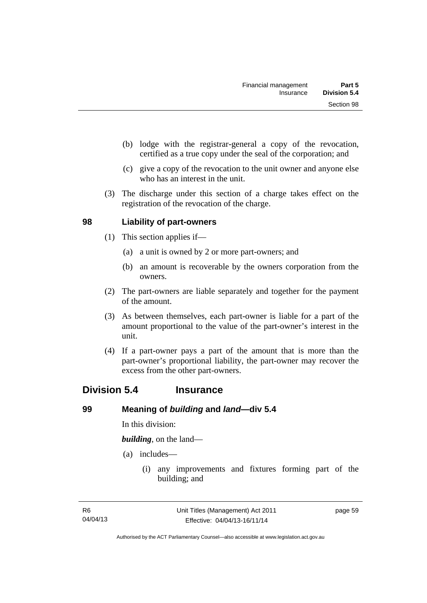- (b) lodge with the registrar-general a copy of the revocation, certified as a true copy under the seal of the corporation; and
- (c) give a copy of the revocation to the unit owner and anyone else who has an interest in the unit.
- (3) The discharge under this section of a charge takes effect on the registration of the revocation of the charge.

#### **98 Liability of part-owners**

- (1) This section applies if—
	- (a) a unit is owned by 2 or more part-owners; and
	- (b) an amount is recoverable by the owners corporation from the owners.
- (2) The part-owners are liable separately and together for the payment of the amount.
- (3) As between themselves, each part-owner is liable for a part of the amount proportional to the value of the part-owner's interest in the unit.
- (4) If a part-owner pays a part of the amount that is more than the part-owner's proportional liability, the part-owner may recover the excess from the other part-owners.

## **Division 5.4 Insurance**

#### **99 Meaning of** *building* **and** *land***—div 5.4**

In this division:

*building*, on the land—

- (a) includes—
	- (i) any improvements and fixtures forming part of the building; and

page 59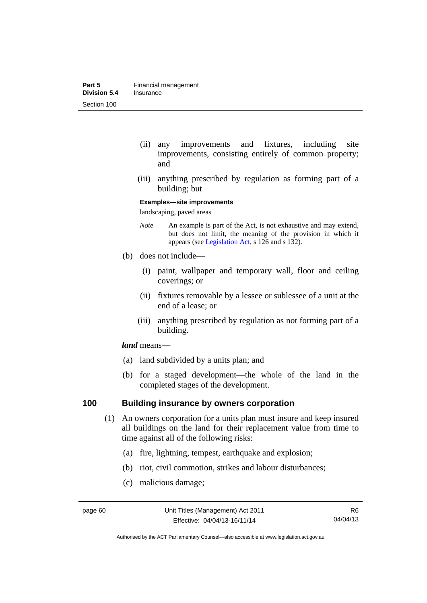- (ii) any improvements and fixtures, including site improvements, consisting entirely of common property; and
- (iii) anything prescribed by regulation as forming part of a building; but

#### **Examples—site improvements**

landscaping, paved areas

- *Note* An example is part of the Act, is not exhaustive and may extend, but does not limit, the meaning of the provision in which it appears (see [Legislation Act,](http://www.legislation.act.gov.au/a/2001-14) s 126 and s 132).
- (b) does not include—
	- (i) paint, wallpaper and temporary wall, floor and ceiling coverings; or
	- (ii) fixtures removable by a lessee or sublessee of a unit at the end of a lease; or
	- (iii) anything prescribed by regulation as not forming part of a building.

#### *land* means—

- (a) land subdivided by a units plan; and
- (b) for a staged development—the whole of the land in the completed stages of the development.

#### **100 Building insurance by owners corporation**

- (1) An owners corporation for a units plan must insure and keep insured all buildings on the land for their replacement value from time to time against all of the following risks:
	- (a) fire, lightning, tempest, earthquake and explosion;
	- (b) riot, civil commotion, strikes and labour disturbances;
	- (c) malicious damage;

Authorised by the ACT Parliamentary Counsel—also accessible at www.legislation.act.gov.au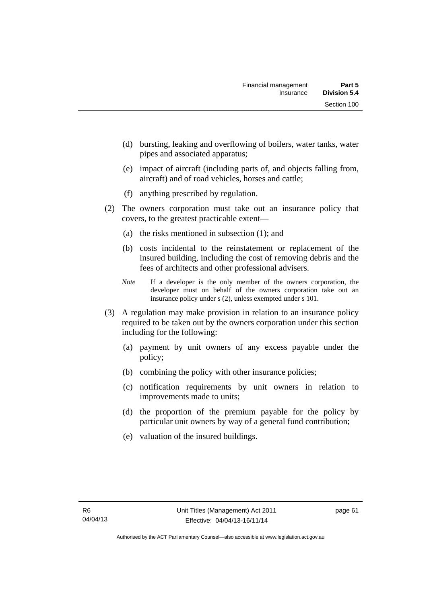- (d) bursting, leaking and overflowing of boilers, water tanks, water pipes and associated apparatus;
- (e) impact of aircraft (including parts of, and objects falling from, aircraft) and of road vehicles, horses and cattle;
- (f) anything prescribed by regulation.
- (2) The owners corporation must take out an insurance policy that covers, to the greatest practicable extent—
	- (a) the risks mentioned in subsection (1); and
	- (b) costs incidental to the reinstatement or replacement of the insured building, including the cost of removing debris and the fees of architects and other professional advisers.
	- *Note* If a developer is the only member of the owners corporation, the developer must on behalf of the owners corporation take out an insurance policy under s (2), unless exempted under s 101.
- (3) A regulation may make provision in relation to an insurance policy required to be taken out by the owners corporation under this section including for the following:
	- (a) payment by unit owners of any excess payable under the policy;
	- (b) combining the policy with other insurance policies;
	- (c) notification requirements by unit owners in relation to improvements made to units;
	- (d) the proportion of the premium payable for the policy by particular unit owners by way of a general fund contribution;
	- (e) valuation of the insured buildings.

page 61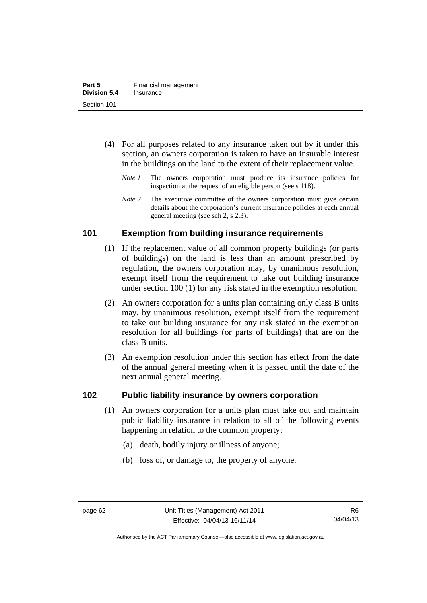- (4) For all purposes related to any insurance taken out by it under this section, an owners corporation is taken to have an insurable interest in the buildings on the land to the extent of their replacement value.
	- *Note 1* The owners corporation must produce its insurance policies for inspection at the request of an eligible person (see s 118).
	- *Note 2* The executive committee of the owners corporation must give certain details about the corporation's current insurance policies at each annual general meeting (see sch 2, s 2.3).

# **101 Exemption from building insurance requirements**

- (1) If the replacement value of all common property buildings (or parts of buildings) on the land is less than an amount prescribed by regulation, the owners corporation may, by unanimous resolution, exempt itself from the requirement to take out building insurance under section 100 (1) for any risk stated in the exemption resolution.
- (2) An owners corporation for a units plan containing only class B units may, by unanimous resolution, exempt itself from the requirement to take out building insurance for any risk stated in the exemption resolution for all buildings (or parts of buildings) that are on the class B units.
- (3) An exemption resolution under this section has effect from the date of the annual general meeting when it is passed until the date of the next annual general meeting.

## **102 Public liability insurance by owners corporation**

- (1) An owners corporation for a units plan must take out and maintain public liability insurance in relation to all of the following events happening in relation to the common property:
	- (a) death, bodily injury or illness of anyone;
	- (b) loss of, or damage to, the property of anyone.

Authorised by the ACT Parliamentary Counsel—also accessible at www.legislation.act.gov.au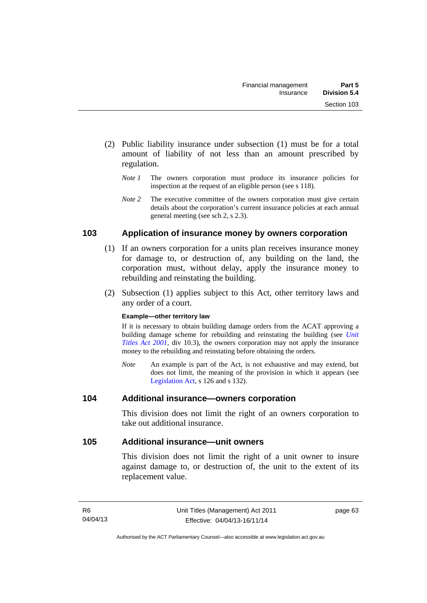- (2) Public liability insurance under subsection (1) must be for a total amount of liability of not less than an amount prescribed by regulation.
	- *Note 1* The owners corporation must produce its insurance policies for inspection at the request of an eligible person (see s 118).
	- *Note 2* The executive committee of the owners corporation must give certain details about the corporation's current insurance policies at each annual general meeting (see sch 2, s 2.3).

# **103 Application of insurance money by owners corporation**

- (1) If an owners corporation for a units plan receives insurance money for damage to, or destruction of, any building on the land, the corporation must, without delay, apply the insurance money to rebuilding and reinstating the building.
- (2) Subsection (1) applies subject to this Act, other territory laws and any order of a court.

#### **Example—other territory law**

If it is necessary to obtain building damage orders from the ACAT approving a building damage scheme for rebuilding and reinstating the building (see *[Unit](http://www.legislation.act.gov.au/a/2001-16)  [Titles Act 2001](http://www.legislation.act.gov.au/a/2001-16)*, div 10.3), the owners corporation may not apply the insurance money to the rebuilding and reinstating before obtaining the orders.

*Note* An example is part of the Act, is not exhaustive and may extend, but does not limit, the meaning of the provision in which it appears (see [Legislation Act,](http://www.legislation.act.gov.au/a/2001-14) s 126 and s 132).

## **104 Additional insurance—owners corporation**

This division does not limit the right of an owners corporation to take out additional insurance.

## **105 Additional insurance—unit owners**

This division does not limit the right of a unit owner to insure against damage to, or destruction of, the unit to the extent of its replacement value.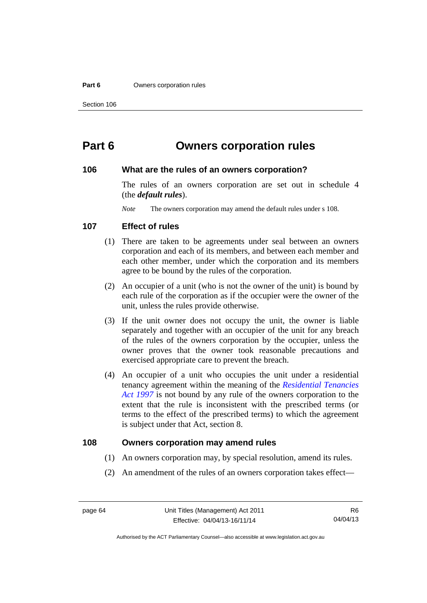#### **Part 6 Owners corporation rules**

# **Part 6 Owners corporation rules**

#### **106 What are the rules of an owners corporation?**

The rules of an owners corporation are set out in schedule 4 (the *default rules*).

*Note* The owners corporation may amend the default rules under s 108.

#### **107 Effect of rules**

- (1) There are taken to be agreements under seal between an owners corporation and each of its members, and between each member and each other member, under which the corporation and its members agree to be bound by the rules of the corporation.
- (2) An occupier of a unit (who is not the owner of the unit) is bound by each rule of the corporation as if the occupier were the owner of the unit, unless the rules provide otherwise.
- (3) If the unit owner does not occupy the unit, the owner is liable separately and together with an occupier of the unit for any breach of the rules of the owners corporation by the occupier, unless the owner proves that the owner took reasonable precautions and exercised appropriate care to prevent the breach.
- (4) An occupier of a unit who occupies the unit under a residential tenancy agreement within the meaning of the *[Residential Tenancies](http://www.legislation.act.gov.au/a/1997-84)  [Act 1997](http://www.legislation.act.gov.au/a/1997-84)* is not bound by any rule of the owners corporation to the extent that the rule is inconsistent with the prescribed terms (or terms to the effect of the prescribed terms) to which the agreement is subject under that Act, section 8.

#### **108 Owners corporation may amend rules**

- (1) An owners corporation may, by special resolution, amend its rules.
- (2) An amendment of the rules of an owners corporation takes effect—

Authorised by the ACT Parliamentary Counsel—also accessible at www.legislation.act.gov.au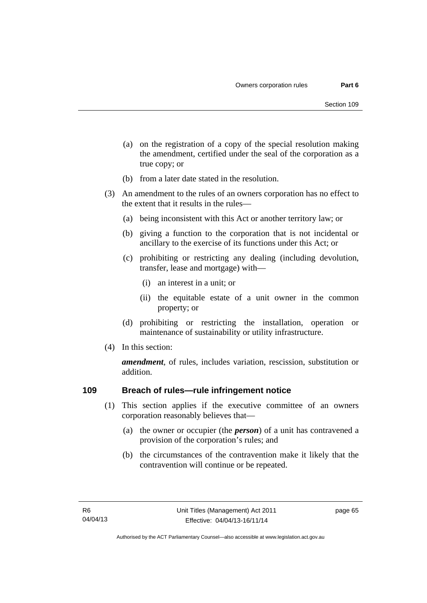- (a) on the registration of a copy of the special resolution making the amendment, certified under the seal of the corporation as a true copy; or
- (b) from a later date stated in the resolution.
- (3) An amendment to the rules of an owners corporation has no effect to the extent that it results in the rules—
	- (a) being inconsistent with this Act or another territory law; or
	- (b) giving a function to the corporation that is not incidental or ancillary to the exercise of its functions under this Act; or
	- (c) prohibiting or restricting any dealing (including devolution, transfer, lease and mortgage) with—
		- (i) an interest in a unit; or
		- (ii) the equitable estate of a unit owner in the common property; or
	- (d) prohibiting or restricting the installation, operation or maintenance of sustainability or utility infrastructure.
- (4) In this section:

*amendment*, of rules, includes variation, rescission, substitution or addition.

## **109 Breach of rules—rule infringement notice**

- (1) This section applies if the executive committee of an owners corporation reasonably believes that—
	- (a) the owner or occupier (the *person*) of a unit has contravened a provision of the corporation's rules; and
	- (b) the circumstances of the contravention make it likely that the contravention will continue or be repeated.

page 65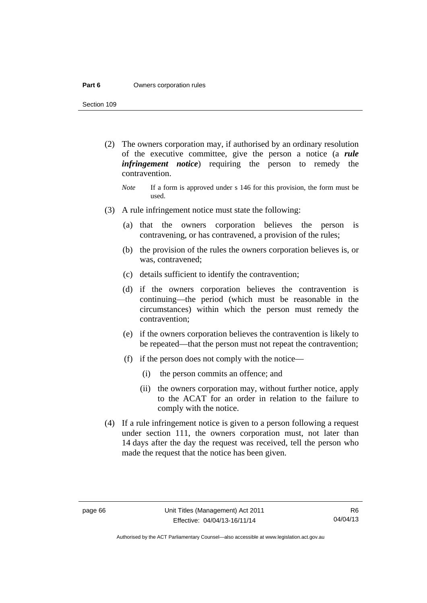#### **Part 6 Owners corporation rules**

Section 109

- (2) The owners corporation may, if authorised by an ordinary resolution of the executive committee, give the person a notice (a *rule infringement notice*) requiring the person to remedy the contravention.
	- *Note* If a form is approved under s 146 for this provision, the form must be used.
- (3) A rule infringement notice must state the following:
	- (a) that the owners corporation believes the person is contravening, or has contravened, a provision of the rules;
	- (b) the provision of the rules the owners corporation believes is, or was, contravened;
	- (c) details sufficient to identify the contravention;
	- (d) if the owners corporation believes the contravention is continuing—the period (which must be reasonable in the circumstances) within which the person must remedy the contravention;
	- (e) if the owners corporation believes the contravention is likely to be repeated—that the person must not repeat the contravention;
	- (f) if the person does not comply with the notice—
		- (i) the person commits an offence; and
		- (ii) the owners corporation may, without further notice, apply to the ACAT for an order in relation to the failure to comply with the notice.
- (4) If a rule infringement notice is given to a person following a request under section 111, the owners corporation must, not later than 14 days after the day the request was received, tell the person who made the request that the notice has been given.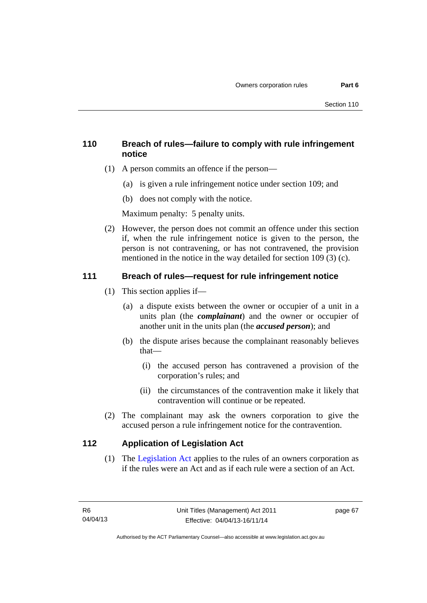# **110 Breach of rules—failure to comply with rule infringement notice**

- (1) A person commits an offence if the person—
	- (a) is given a rule infringement notice under section 109; and
	- (b) does not comply with the notice.

Maximum penalty: 5 penalty units.

 (2) However, the person does not commit an offence under this section if, when the rule infringement notice is given to the person, the person is not contravening, or has not contravened, the provision mentioned in the notice in the way detailed for section 109 (3) (c).

# **111 Breach of rules—request for rule infringement notice**

- (1) This section applies if—
	- (a) a dispute exists between the owner or occupier of a unit in a units plan (the *complainant*) and the owner or occupier of another unit in the units plan (the *accused person*); and
	- (b) the dispute arises because the complainant reasonably believes that—
		- (i) the accused person has contravened a provision of the corporation's rules; and
		- (ii) the circumstances of the contravention make it likely that contravention will continue or be repeated.
- (2) The complainant may ask the owners corporation to give the accused person a rule infringement notice for the contravention.

# **112 Application of Legislation Act**

 (1) The [Legislation Act](http://www.legislation.act.gov.au/a/2001-14) applies to the rules of an owners corporation as if the rules were an Act and as if each rule were a section of an Act.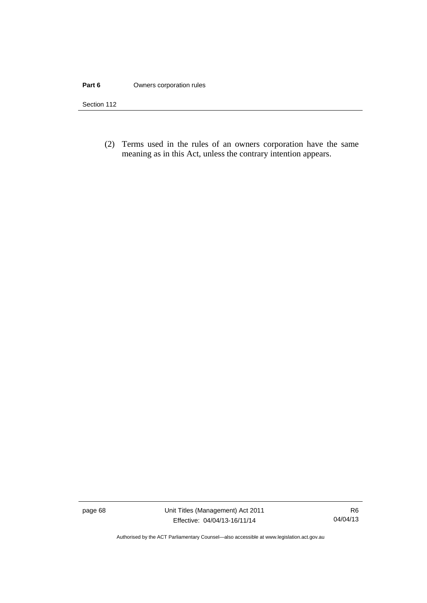#### **Part 6 Owners corporation rules**

Section 112

 (2) Terms used in the rules of an owners corporation have the same meaning as in this Act, unless the contrary intention appears.

page 68 Unit Titles (Management) Act 2011 Effective: 04/04/13-16/11/14

R6 04/04/13

Authorised by the ACT Parliamentary Counsel—also accessible at www.legislation.act.gov.au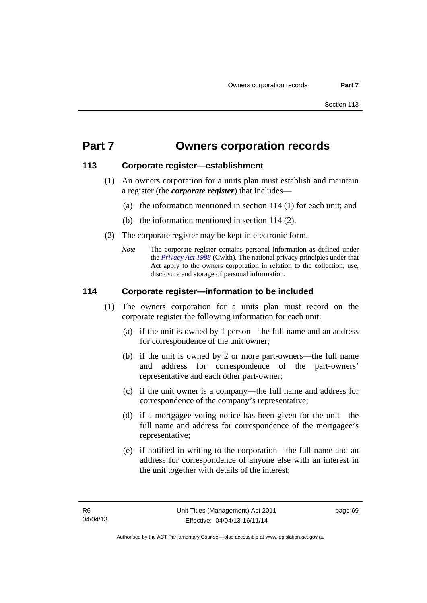# **Part 7 Owners corporation records**

# **113 Corporate register—establishment**

- (1) An owners corporation for a units plan must establish and maintain a register (the *corporate register*) that includes—
	- (a) the information mentioned in section 114 (1) for each unit; and
	- (b) the information mentioned in section 114 (2).
- (2) The corporate register may be kept in electronic form.
	- *Note* The corporate register contains personal information as defined under the *[Privacy Act 1988](http://www.comlaw.gov.au/Current/C2004A03712)* (Cwlth). The national privacy principles under that Act apply to the owners corporation in relation to the collection, use, disclosure and storage of personal information.

# **114 Corporate register—information to be included**

- (1) The owners corporation for a units plan must record on the corporate register the following information for each unit:
	- (a) if the unit is owned by 1 person—the full name and an address for correspondence of the unit owner;
	- (b) if the unit is owned by 2 or more part-owners—the full name and address for correspondence of the part-owners' representative and each other part-owner;
	- (c) if the unit owner is a company—the full name and address for correspondence of the company's representative;
	- (d) if a mortgagee voting notice has been given for the unit—the full name and address for correspondence of the mortgagee's representative;
	- (e) if notified in writing to the corporation—the full name and an address for correspondence of anyone else with an interest in the unit together with details of the interest;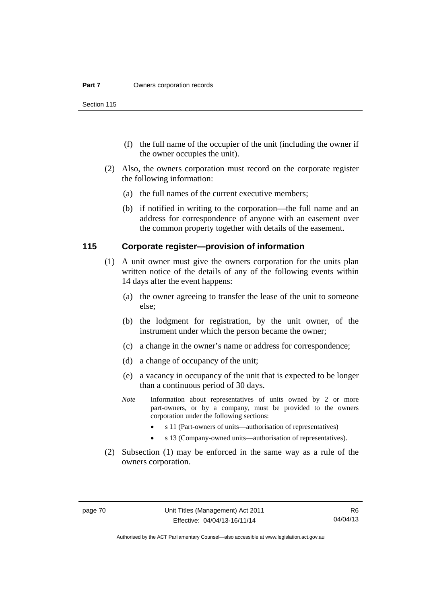Section 115

- (f) the full name of the occupier of the unit (including the owner if the owner occupies the unit).
- (2) Also, the owners corporation must record on the corporate register the following information:
	- (a) the full names of the current executive members;
	- (b) if notified in writing to the corporation—the full name and an address for correspondence of anyone with an easement over the common property together with details of the easement.

#### **115 Corporate register—provision of information**

- (1) A unit owner must give the owners corporation for the units plan written notice of the details of any of the following events within 14 days after the event happens:
	- (a) the owner agreeing to transfer the lease of the unit to someone else;
	- (b) the lodgment for registration, by the unit owner, of the instrument under which the person became the owner;
	- (c) a change in the owner's name or address for correspondence;
	- (d) a change of occupancy of the unit;
	- (e) a vacancy in occupancy of the unit that is expected to be longer than a continuous period of 30 days.
	- *Note* Information about representatives of units owned by 2 or more part-owners, or by a company, must be provided to the owners corporation under the following sections:
		- s 11 (Part-owners of units—authorisation of representatives)
		- s 13 (Company-owned units—authorisation of representatives).
- (2) Subsection (1) may be enforced in the same way as a rule of the owners corporation.

Authorised by the ACT Parliamentary Counsel—also accessible at www.legislation.act.gov.au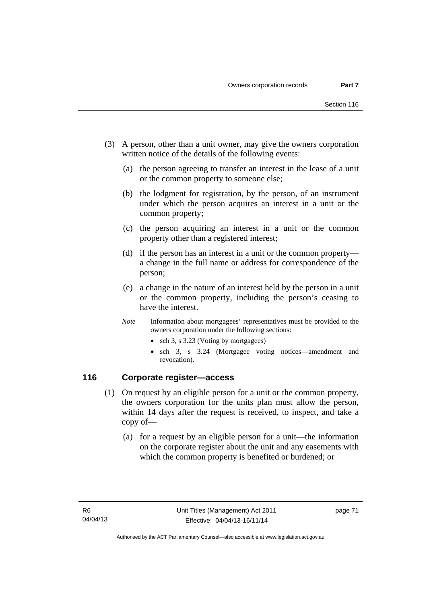- (3) A person, other than a unit owner, may give the owners corporation written notice of the details of the following events:
	- (a) the person agreeing to transfer an interest in the lease of a unit or the common property to someone else;
	- (b) the lodgment for registration, by the person, of an instrument under which the person acquires an interest in a unit or the common property;
	- (c) the person acquiring an interest in a unit or the common property other than a registered interest;
	- (d) if the person has an interest in a unit or the common property a change in the full name or address for correspondence of the person;
	- (e) a change in the nature of an interest held by the person in a unit or the common property, including the person's ceasing to have the interest.
	- *Note* Information about mortgagees' representatives must be provided to the owners corporation under the following sections:
		- sch 3, s 3.23 (Voting by mortgagees)
		- sch 3, s 3.24 (Mortgagee voting notices—amendment and revocation).

## **116 Corporate register—access**

- (1) On request by an eligible person for a unit or the common property, the owners corporation for the units plan must allow the person, within 14 days after the request is received, to inspect, and take a copy of—
	- (a) for a request by an eligible person for a unit—the information on the corporate register about the unit and any easements with which the common property is benefited or burdened; or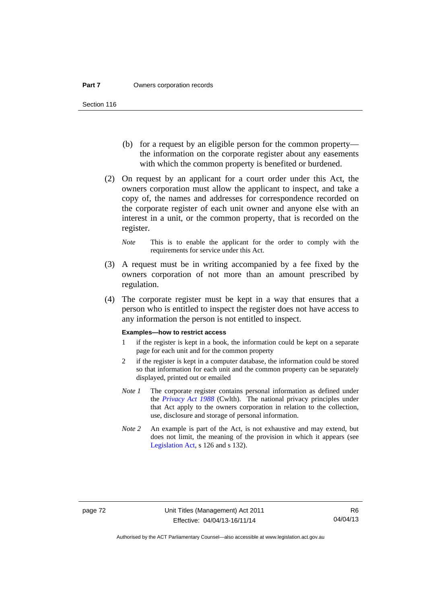- (b) for a request by an eligible person for the common property the information on the corporate register about any easements with which the common property is benefited or burdened.
- (2) On request by an applicant for a court order under this Act, the owners corporation must allow the applicant to inspect, and take a copy of, the names and addresses for correspondence recorded on the corporate register of each unit owner and anyone else with an interest in a unit, or the common property, that is recorded on the register.
	- *Note* This is to enable the applicant for the order to comply with the requirements for service under this Act.
- (3) A request must be in writing accompanied by a fee fixed by the owners corporation of not more than an amount prescribed by regulation.
- (4) The corporate register must be kept in a way that ensures that a person who is entitled to inspect the register does not have access to any information the person is not entitled to inspect.

#### **Examples—how to restrict access**

- 1 if the register is kept in a book, the information could be kept on a separate page for each unit and for the common property
- 2 if the register is kept in a computer database, the information could be stored so that information for each unit and the common property can be separately displayed, printed out or emailed
- *Note 1* The corporate register contains personal information as defined under the *[Privacy Act 1988](http://www.comlaw.gov.au/Current/C2004A03712)* (Cwlth). The national privacy principles under that Act apply to the owners corporation in relation to the collection, use, disclosure and storage of personal information.
- *Note 2* An example is part of the Act, is not exhaustive and may extend, but does not limit, the meaning of the provision in which it appears (see [Legislation Act,](http://www.legislation.act.gov.au/a/2001-14) s 126 and s 132).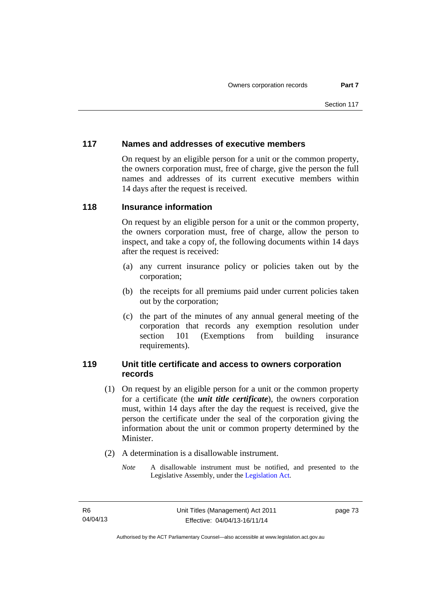# **117 Names and addresses of executive members**

On request by an eligible person for a unit or the common property, the owners corporation must, free of charge, give the person the full names and addresses of its current executive members within 14 days after the request is received.

## **118 Insurance information**

On request by an eligible person for a unit or the common property, the owners corporation must, free of charge, allow the person to inspect, and take a copy of, the following documents within 14 days after the request is received:

- (a) any current insurance policy or policies taken out by the corporation;
- (b) the receipts for all premiums paid under current policies taken out by the corporation;
- (c) the part of the minutes of any annual general meeting of the corporation that records any exemption resolution under section 101 (Exemptions from building insurance requirements).

## **119 Unit title certificate and access to owners corporation records**

- (1) On request by an eligible person for a unit or the common property for a certificate (the *unit title certificate*), the owners corporation must, within 14 days after the day the request is received, give the person the certificate under the seal of the corporation giving the information about the unit or common property determined by the Minister.
- (2) A determination is a disallowable instrument.
	- *Note* A disallowable instrument must be notified, and presented to the Legislative Assembly, under the [Legislation Act.](http://www.legislation.act.gov.au/a/2001-14)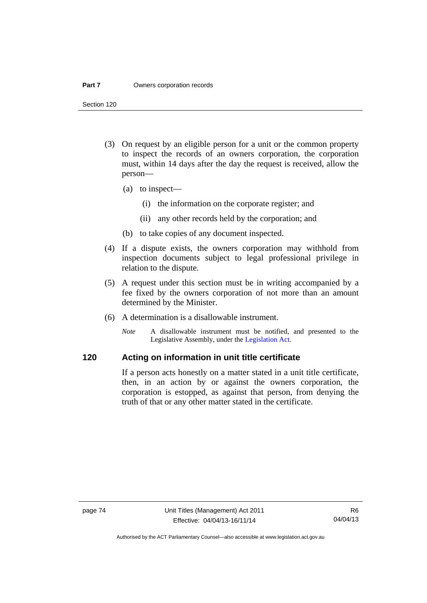#### **Part 7 Owners corporation records**

Section 120

- (3) On request by an eligible person for a unit or the common property to inspect the records of an owners corporation, the corporation must, within 14 days after the day the request is received, allow the person—
	- (a) to inspect—
		- (i) the information on the corporate register; and
		- (ii) any other records held by the corporation; and
	- (b) to take copies of any document inspected.
- (4) If a dispute exists, the owners corporation may withhold from inspection documents subject to legal professional privilege in relation to the dispute.
- (5) A request under this section must be in writing accompanied by a fee fixed by the owners corporation of not more than an amount determined by the Minister.
- (6) A determination is a disallowable instrument.
	- *Note* A disallowable instrument must be notified, and presented to the Legislative Assembly, under the [Legislation Act.](http://www.legislation.act.gov.au/a/2001-14)

# **120 Acting on information in unit title certificate**

If a person acts honestly on a matter stated in a unit title certificate, then, in an action by or against the owners corporation, the corporation is estopped, as against that person, from denying the truth of that or any other matter stated in the certificate.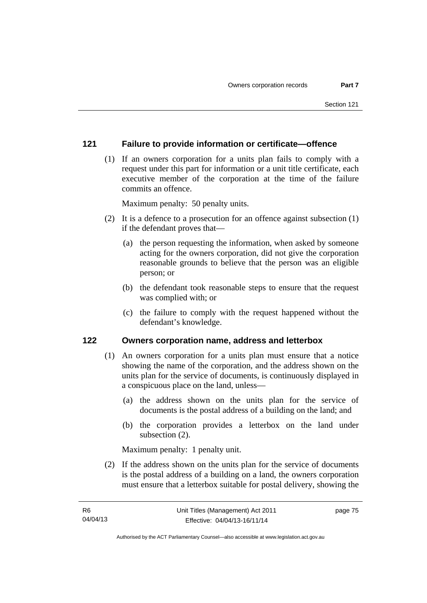## **121 Failure to provide information or certificate—offence**

 (1) If an owners corporation for a units plan fails to comply with a request under this part for information or a unit title certificate, each executive member of the corporation at the time of the failure commits an offence.

Maximum penalty: 50 penalty units.

- (2) It is a defence to a prosecution for an offence against subsection (1) if the defendant proves that—
	- (a) the person requesting the information, when asked by someone acting for the owners corporation, did not give the corporation reasonable grounds to believe that the person was an eligible person; or
	- (b) the defendant took reasonable steps to ensure that the request was complied with; or
	- (c) the failure to comply with the request happened without the defendant's knowledge.

#### **122 Owners corporation name, address and letterbox**

- (1) An owners corporation for a units plan must ensure that a notice showing the name of the corporation, and the address shown on the units plan for the service of documents, is continuously displayed in a conspicuous place on the land, unless—
	- (a) the address shown on the units plan for the service of documents is the postal address of a building on the land; and
	- (b) the corporation provides a letterbox on the land under subsection (2).

Maximum penalty: 1 penalty unit.

 (2) If the address shown on the units plan for the service of documents is the postal address of a building on a land, the owners corporation must ensure that a letterbox suitable for postal delivery, showing the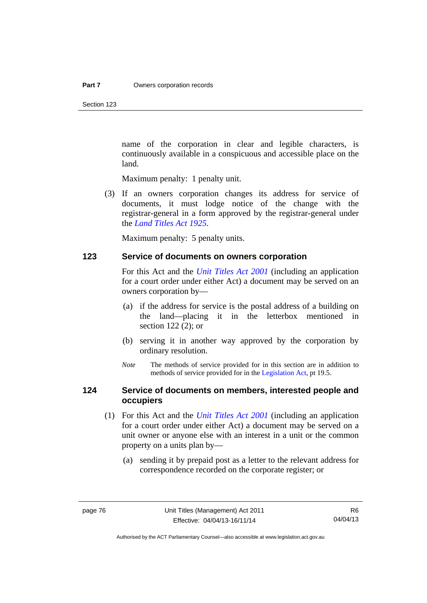Section 123

name of the corporation in clear and legible characters, is continuously available in a conspicuous and accessible place on the land.

Maximum penalty: 1 penalty unit.

 (3) If an owners corporation changes its address for service of documents, it must lodge notice of the change with the registrar-general in a form approved by the registrar-general under the *[Land Titles Act 1925](http://www.legislation.act.gov.au/a/1925-1)*.

Maximum penalty: 5 penalty units.

#### **123 Service of documents on owners corporation**

For this Act and the *[Unit Titles Act 2001](http://www.legislation.act.gov.au/a/2001-16)* (including an application for a court order under either Act) a document may be served on an owners corporation by—

- (a) if the address for service is the postal address of a building on the land—placing it in the letterbox mentioned in section 122 (2); or
- (b) serving it in another way approved by the corporation by ordinary resolution.
- *Note* The methods of service provided for in this section are in addition to methods of service provided for in the [Legislation Act](http://www.legislation.act.gov.au/a/2001-14), pt 19.5.

## **124 Service of documents on members, interested people and occupiers**

- (1) For this Act and the *[Unit Titles Act 2001](http://www.legislation.act.gov.au/a/2001-16)* (including an application for a court order under either Act) a document may be served on a unit owner or anyone else with an interest in a unit or the common property on a units plan by—
	- (a) sending it by prepaid post as a letter to the relevant address for correspondence recorded on the corporate register; or

Authorised by the ACT Parliamentary Counsel—also accessible at www.legislation.act.gov.au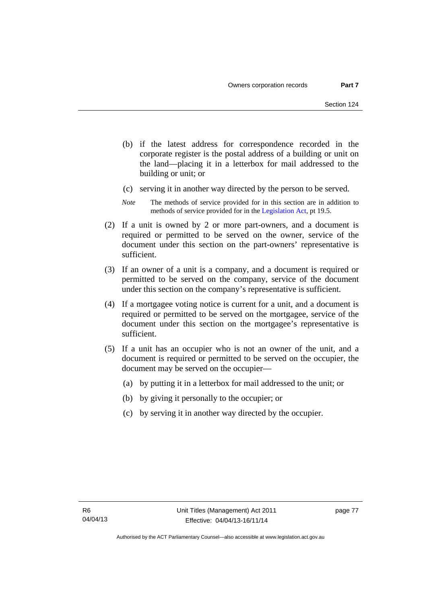- (b) if the latest address for correspondence recorded in the corporate register is the postal address of a building or unit on the land—placing it in a letterbox for mail addressed to the building or unit; or
- (c) serving it in another way directed by the person to be served.
- *Note* The methods of service provided for in this section are in addition to methods of service provided for in the [Legislation Act](http://www.legislation.act.gov.au/a/2001-14), pt 19.5.
- (2) If a unit is owned by 2 or more part-owners, and a document is required or permitted to be served on the owner, service of the document under this section on the part-owners' representative is sufficient.
- (3) If an owner of a unit is a company, and a document is required or permitted to be served on the company, service of the document under this section on the company's representative is sufficient.
- (4) If a mortgagee voting notice is current for a unit, and a document is required or permitted to be served on the mortgagee, service of the document under this section on the mortgagee's representative is sufficient.
- (5) If a unit has an occupier who is not an owner of the unit, and a document is required or permitted to be served on the occupier, the document may be served on the occupier—
	- (a) by putting it in a letterbox for mail addressed to the unit; or
	- (b) by giving it personally to the occupier; or
	- (c) by serving it in another way directed by the occupier.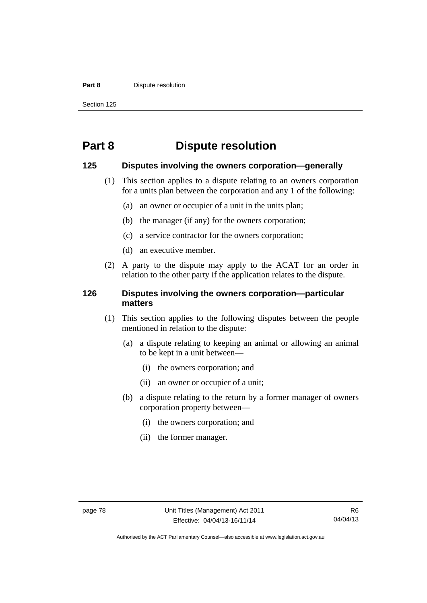#### **Part 8 Dispute resolution**

Section 125

# **Part 8 Dispute resolution**

#### **125 Disputes involving the owners corporation—generally**

- (1) This section applies to a dispute relating to an owners corporation for a units plan between the corporation and any 1 of the following:
	- (a) an owner or occupier of a unit in the units plan;
	- (b) the manager (if any) for the owners corporation;
	- (c) a service contractor for the owners corporation;
	- (d) an executive member.
- (2) A party to the dispute may apply to the ACAT for an order in relation to the other party if the application relates to the dispute.

## **126 Disputes involving the owners corporation—particular matters**

- (1) This section applies to the following disputes between the people mentioned in relation to the dispute:
	- (a) a dispute relating to keeping an animal or allowing an animal to be kept in a unit between—
		- (i) the owners corporation; and
		- (ii) an owner or occupier of a unit;
	- (b) a dispute relating to the return by a former manager of owners corporation property between—
		- (i) the owners corporation; and
		- (ii) the former manager.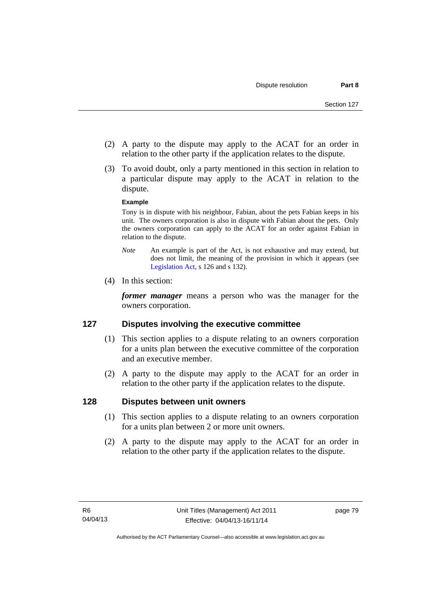- (2) A party to the dispute may apply to the ACAT for an order in relation to the other party if the application relates to the dispute.
- (3) To avoid doubt, only a party mentioned in this section in relation to a particular dispute may apply to the ACAT in relation to the dispute.

#### **Example**

Tony is in dispute with his neighbour, Fabian, about the pets Fabian keeps in his unit. The owners corporation is also in dispute with Fabian about the pets. Only the owners corporation can apply to the ACAT for an order against Fabian in relation to the dispute.

- *Note* An example is part of the Act, is not exhaustive and may extend, but does not limit, the meaning of the provision in which it appears (see [Legislation Act,](http://www.legislation.act.gov.au/a/2001-14) s 126 and s 132).
- (4) In this section:

*former manager* means a person who was the manager for the owners corporation.

## **127 Disputes involving the executive committee**

- (1) This section applies to a dispute relating to an owners corporation for a units plan between the executive committee of the corporation and an executive member.
- (2) A party to the dispute may apply to the ACAT for an order in relation to the other party if the application relates to the dispute.

## **128 Disputes between unit owners**

- (1) This section applies to a dispute relating to an owners corporation for a units plan between 2 or more unit owners.
- (2) A party to the dispute may apply to the ACAT for an order in relation to the other party if the application relates to the dispute.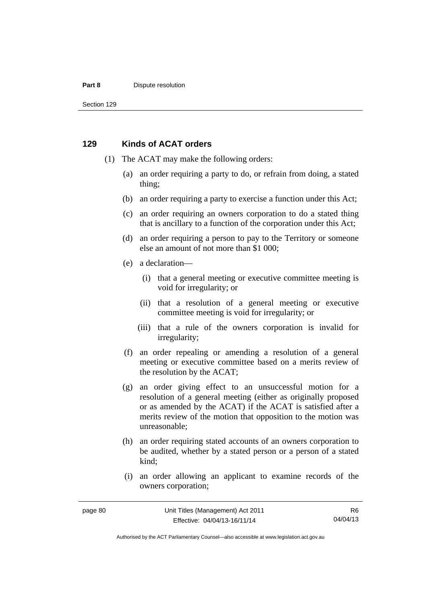#### **Part 8 Dispute resolution**

Section 129

#### **129 Kinds of ACAT orders**

- (1) The ACAT may make the following orders:
	- (a) an order requiring a party to do, or refrain from doing, a stated thing;
	- (b) an order requiring a party to exercise a function under this Act;
	- (c) an order requiring an owners corporation to do a stated thing that is ancillary to a function of the corporation under this Act;
	- (d) an order requiring a person to pay to the Territory or someone else an amount of not more than \$1 000;
	- (e) a declaration—
		- (i) that a general meeting or executive committee meeting is void for irregularity; or
		- (ii) that a resolution of a general meeting or executive committee meeting is void for irregularity; or
		- (iii) that a rule of the owners corporation is invalid for irregularity;
	- (f) an order repealing or amending a resolution of a general meeting or executive committee based on a merits review of the resolution by the ACAT;
	- (g) an order giving effect to an unsuccessful motion for a resolution of a general meeting (either as originally proposed or as amended by the ACAT) if the ACAT is satisfied after a merits review of the motion that opposition to the motion was unreasonable;
	- (h) an order requiring stated accounts of an owners corporation to be audited, whether by a stated person or a person of a stated kind;
	- (i) an order allowing an applicant to examine records of the owners corporation;

R6 04/04/13

Authorised by the ACT Parliamentary Counsel—also accessible at www.legislation.act.gov.au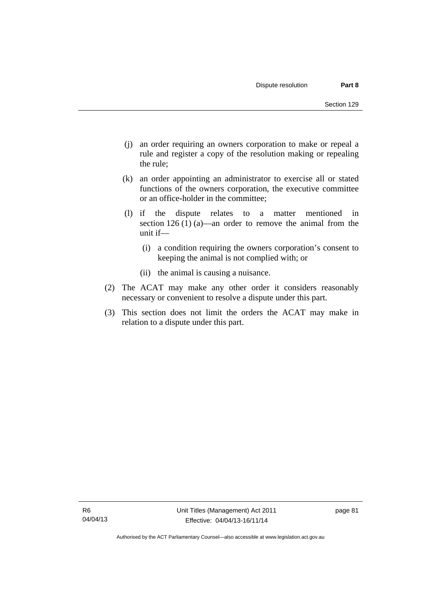- (j) an order requiring an owners corporation to make or repeal a rule and register a copy of the resolution making or repealing the rule;
- (k) an order appointing an administrator to exercise all or stated functions of the owners corporation, the executive committee or an office-holder in the committee;
- (l) if the dispute relates to a matter mentioned in section 126 (1) (a)—an order to remove the animal from the unit if—
	- (i) a condition requiring the owners corporation's consent to keeping the animal is not complied with; or
	- (ii) the animal is causing a nuisance.
- (2) The ACAT may make any other order it considers reasonably necessary or convenient to resolve a dispute under this part.
- (3) This section does not limit the orders the ACAT may make in relation to a dispute under this part.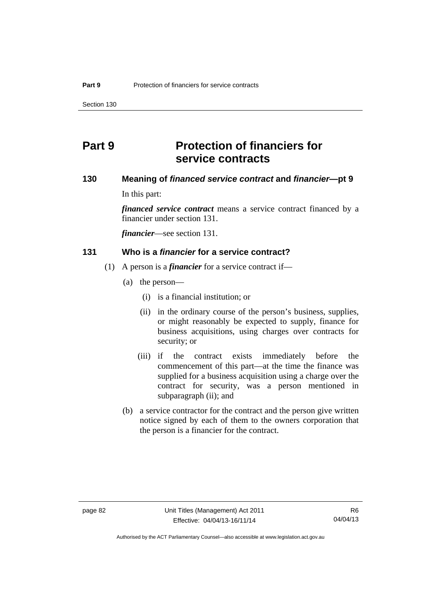Section 130

# **Part 9 Protection of financiers for service contracts**

# **130 Meaning of** *financed service contract* **and** *financier***—pt 9**

In this part:

*financed service contract* means a service contract financed by a financier under section 131.

*financier*—see section 131.

#### **131 Who is a** *financier* **for a service contract?**

- (1) A person is a *financier* for a service contract if—
	- (a) the person—
		- (i) is a financial institution; or
		- (ii) in the ordinary course of the person's business, supplies, or might reasonably be expected to supply, finance for business acquisitions, using charges over contracts for security; or
		- (iii) if the contract exists immediately before the commencement of this part—at the time the finance was supplied for a business acquisition using a charge over the contract for security, was a person mentioned in subparagraph (ii); and
	- (b) a service contractor for the contract and the person give written notice signed by each of them to the owners corporation that the person is a financier for the contract.

Authorised by the ACT Parliamentary Counsel—also accessible at www.legislation.act.gov.au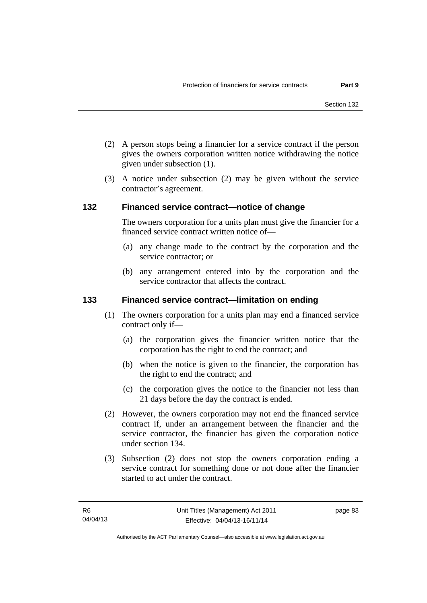- (2) A person stops being a financier for a service contract if the person gives the owners corporation written notice withdrawing the notice given under subsection (1).
- (3) A notice under subsection (2) may be given without the service contractor's agreement.

#### **132 Financed service contract—notice of change**

The owners corporation for a units plan must give the financier for a financed service contract written notice of—

- (a) any change made to the contract by the corporation and the service contractor; or
- (b) any arrangement entered into by the corporation and the service contractor that affects the contract.

#### **133 Financed service contract—limitation on ending**

- (1) The owners corporation for a units plan may end a financed service contract only if—
	- (a) the corporation gives the financier written notice that the corporation has the right to end the contract; and
	- (b) when the notice is given to the financier, the corporation has the right to end the contract; and
	- (c) the corporation gives the notice to the financier not less than 21 days before the day the contract is ended.
- (2) However, the owners corporation may not end the financed service contract if, under an arrangement between the financier and the service contractor, the financier has given the corporation notice under section 134.
- (3) Subsection (2) does not stop the owners corporation ending a service contract for something done or not done after the financier started to act under the contract.

page 83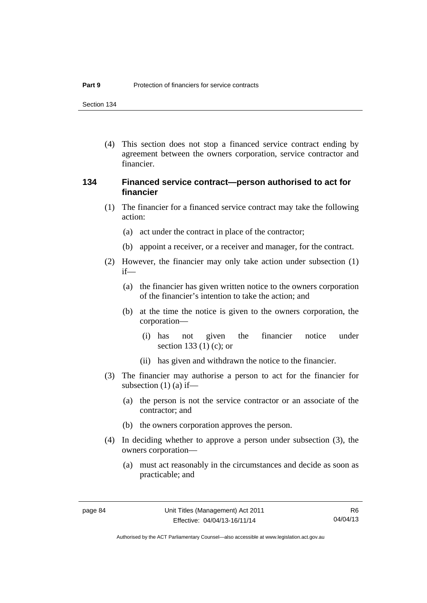Section 134

 (4) This section does not stop a financed service contract ending by agreement between the owners corporation, service contractor and financier.

## **134 Financed service contract—person authorised to act for financier**

- (1) The financier for a financed service contract may take the following action:
	- (a) act under the contract in place of the contractor;
	- (b) appoint a receiver, or a receiver and manager, for the contract.
- (2) However, the financier may only take action under subsection (1) if—
	- (a) the financier has given written notice to the owners corporation of the financier's intention to take the action; and
	- (b) at the time the notice is given to the owners corporation, the corporation—
		- (i) has not given the financier notice under section 133 (1) (c); or
		- (ii) has given and withdrawn the notice to the financier.
- (3) The financier may authorise a person to act for the financier for subsection  $(1)$   $(a)$  if—
	- (a) the person is not the service contractor or an associate of the contractor; and
	- (b) the owners corporation approves the person.
- (4) In deciding whether to approve a person under subsection (3), the owners corporation—
	- (a) must act reasonably in the circumstances and decide as soon as practicable; and

Authorised by the ACT Parliamentary Counsel—also accessible at www.legislation.act.gov.au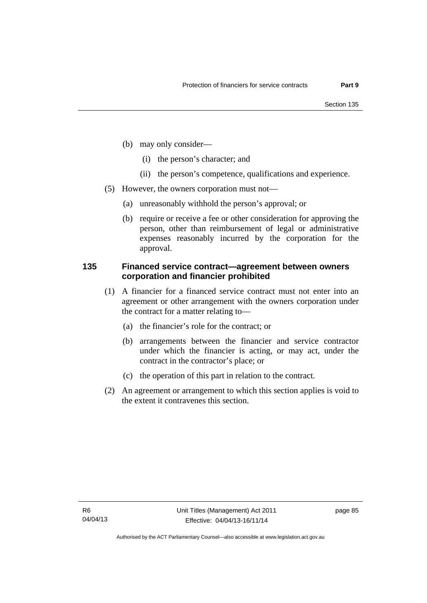- (b) may only consider—
	- (i) the person's character; and
	- (ii) the person's competence, qualifications and experience.
- (5) However, the owners corporation must not—
	- (a) unreasonably withhold the person's approval; or
	- (b) require or receive a fee or other consideration for approving the person, other than reimbursement of legal or administrative expenses reasonably incurred by the corporation for the approval.

## **135 Financed service contract—agreement between owners corporation and financier prohibited**

- (1) A financier for a financed service contract must not enter into an agreement or other arrangement with the owners corporation under the contract for a matter relating to—
	- (a) the financier's role for the contract; or
	- (b) arrangements between the financier and service contractor under which the financier is acting, or may act, under the contract in the contractor's place; or
	- (c) the operation of this part in relation to the contract.
- (2) An agreement or arrangement to which this section applies is void to the extent it contravenes this section.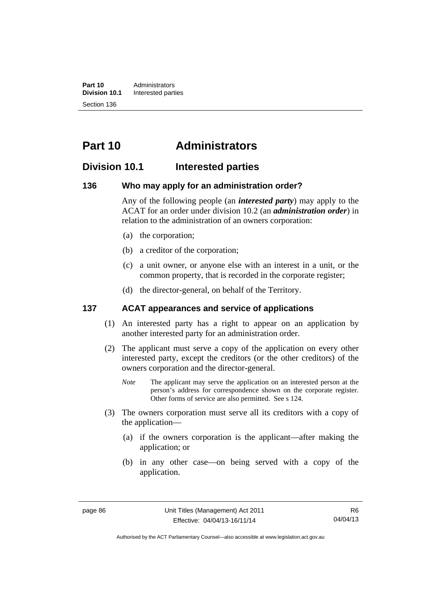**Part 10** Administrators<br>**Division 10.1** Interested part **Division 10.1** Interested parties Section 136

# **Part 10 Administrators**

# **Division 10.1 Interested parties**

#### **136 Who may apply for an administration order?**

Any of the following people (an *interested party*) may apply to the ACAT for an order under division 10.2 (an *administration order*) in relation to the administration of an owners corporation:

- (a) the corporation;
- (b) a creditor of the corporation;
- (c) a unit owner, or anyone else with an interest in a unit, or the common property, that is recorded in the corporate register;
- (d) the director-general, on behalf of the Territory.

## **137 ACAT appearances and service of applications**

- (1) An interested party has a right to appear on an application by another interested party for an administration order.
- (2) The applicant must serve a copy of the application on every other interested party, except the creditors (or the other creditors) of the owners corporation and the director-general.
	- *Note* The applicant may serve the application on an interested person at the person's address for correspondence shown on the corporate register. Other forms of service are also permitted. See s 124.
- (3) The owners corporation must serve all its creditors with a copy of the application—
	- (a) if the owners corporation is the applicant—after making the application; or
	- (b) in any other case—on being served with a copy of the application.

Authorised by the ACT Parliamentary Counsel—also accessible at www.legislation.act.gov.au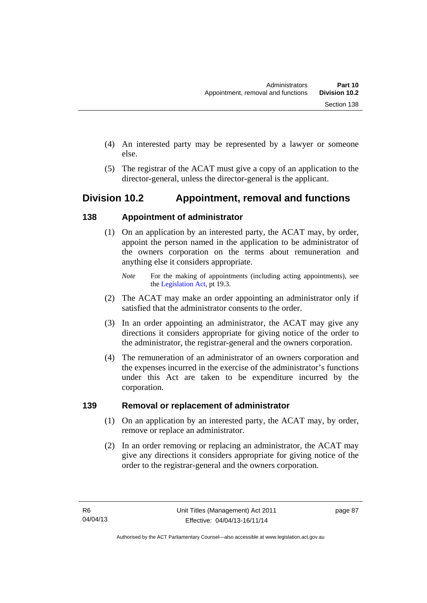- (4) An interested party may be represented by a lawyer or someone else.
- (5) The registrar of the ACAT must give a copy of an application to the director-general, unless the director-general is the applicant.

# **Division 10.2 Appointment, removal and functions**

# **138 Appointment of administrator**

- (1) On an application by an interested party, the ACAT may, by order, appoint the person named in the application to be administrator of the owners corporation on the terms about remuneration and anything else it considers appropriate.
	- *Note* For the making of appointments (including acting appointments), see the [Legislation Act,](http://www.legislation.act.gov.au/a/2001-14) pt 19.3.
- (2) The ACAT may make an order appointing an administrator only if satisfied that the administrator consents to the order.
- (3) In an order appointing an administrator, the ACAT may give any directions it considers appropriate for giving notice of the order to the administrator, the registrar-general and the owners corporation.
- (4) The remuneration of an administrator of an owners corporation and the expenses incurred in the exercise of the administrator's functions under this Act are taken to be expenditure incurred by the corporation.

# **139 Removal or replacement of administrator**

- (1) On an application by an interested party, the ACAT may, by order, remove or replace an administrator.
- (2) In an order removing or replacing an administrator, the ACAT may give any directions it considers appropriate for giving notice of the order to the registrar-general and the owners corporation.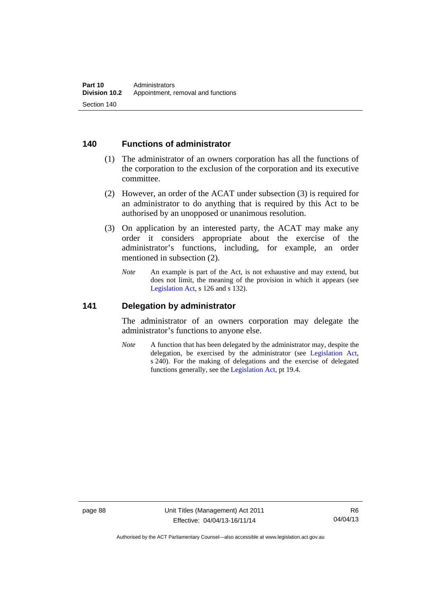## **140 Functions of administrator**

- (1) The administrator of an owners corporation has all the functions of the corporation to the exclusion of the corporation and its executive committee.
- (2) However, an order of the ACAT under subsection (3) is required for an administrator to do anything that is required by this Act to be authorised by an unopposed or unanimous resolution.
- (3) On application by an interested party, the ACAT may make any order it considers appropriate about the exercise of the administrator's functions, including, for example, an order mentioned in subsection (2).
	- *Note* An example is part of the Act, is not exhaustive and may extend, but does not limit, the meaning of the provision in which it appears (see [Legislation Act,](http://www.legislation.act.gov.au/a/2001-14) s 126 and s 132).

#### **141 Delegation by administrator**

The administrator of an owners corporation may delegate the administrator's functions to anyone else.

*Note* A function that has been delegated by the administrator may, despite the delegation, be exercised by the administrator (see [Legislation Act,](http://www.legislation.act.gov.au/a/2001-14) s 240). For the making of delegations and the exercise of delegated functions generally, see the [Legislation Act,](http://www.legislation.act.gov.au/a/2001-14) pt 19.4.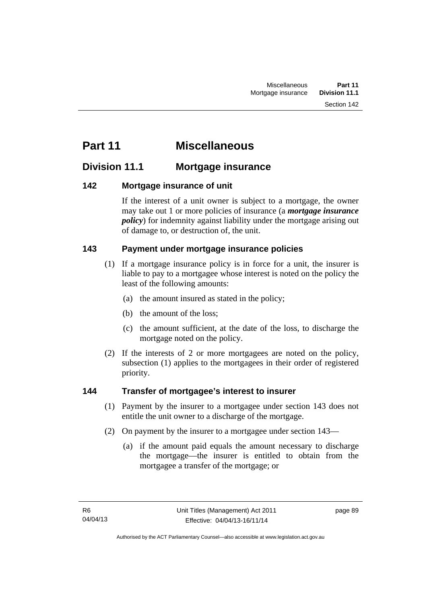# **Part 11 Miscellaneous**

# **Division 11.1 Mortgage insurance**

# **142 Mortgage insurance of unit**

If the interest of a unit owner is subject to a mortgage, the owner may take out 1 or more policies of insurance (a *mortgage insurance policy*) for indemnity against liability under the mortgage arising out of damage to, or destruction of, the unit.

# **143 Payment under mortgage insurance policies**

- (1) If a mortgage insurance policy is in force for a unit, the insurer is liable to pay to a mortgagee whose interest is noted on the policy the least of the following amounts:
	- (a) the amount insured as stated in the policy;
	- (b) the amount of the loss;
	- (c) the amount sufficient, at the date of the loss, to discharge the mortgage noted on the policy.
- (2) If the interests of 2 or more mortgagees are noted on the policy, subsection (1) applies to the mortgagees in their order of registered priority.

# **144 Transfer of mortgagee's interest to insurer**

- (1) Payment by the insurer to a mortgagee under section 143 does not entitle the unit owner to a discharge of the mortgage.
- (2) On payment by the insurer to a mortgagee under section 143—
	- (a) if the amount paid equals the amount necessary to discharge the mortgage—the insurer is entitled to obtain from the mortgagee a transfer of the mortgage; or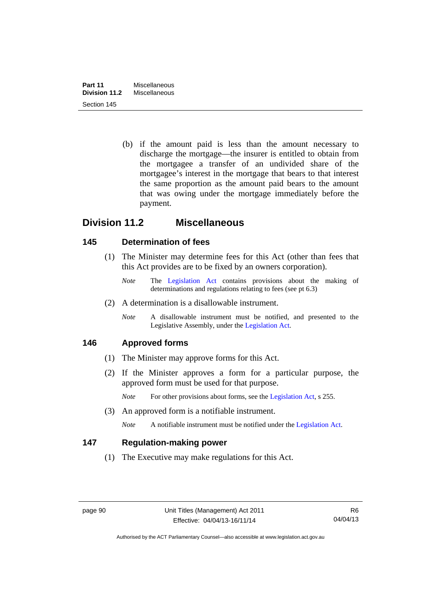(b) if the amount paid is less than the amount necessary to discharge the mortgage—the insurer is entitled to obtain from the mortgagee a transfer of an undivided share of the mortgagee's interest in the mortgage that bears to that interest the same proportion as the amount paid bears to the amount that was owing under the mortgage immediately before the payment.

# **Division 11.2 Miscellaneous**

# **145 Determination of fees**

- (1) The Minister may determine fees for this Act (other than fees that this Act provides are to be fixed by an owners corporation).
	- *Note* The [Legislation Act](http://www.legislation.act.gov.au/a/2001-14) contains provisions about the making of determinations and regulations relating to fees (see pt 6.3)
- (2) A determination is a disallowable instrument.
	- *Note* A disallowable instrument must be notified, and presented to the Legislative Assembly, under the [Legislation Act.](http://www.legislation.act.gov.au/a/2001-14)

# **146 Approved forms**

- (1) The Minister may approve forms for this Act.
- (2) If the Minister approves a form for a particular purpose, the approved form must be used for that purpose.

*Note* For other provisions about forms, see the [Legislation Act,](http://www.legislation.act.gov.au/a/2001-14) s 255.

(3) An approved form is a notifiable instrument.

*Note* A notifiable instrument must be notified under the [Legislation Act](http://www.legislation.act.gov.au/a/2001-14).

# **147 Regulation-making power**

(1) The Executive may make regulations for this Act.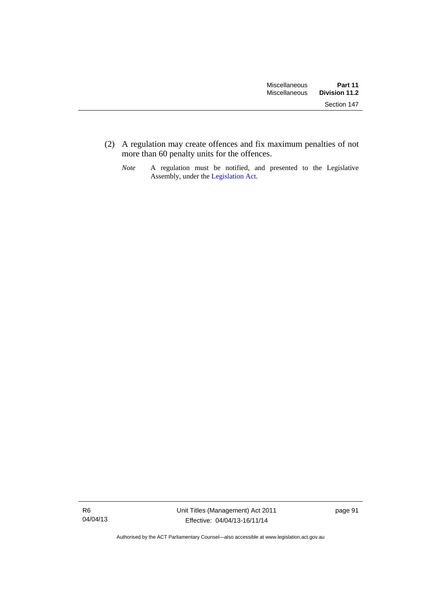(2) A regulation may create offences and fix maximum penalties of not more than 60 penalty units for the offences.

*Note* A regulation must be notified, and presented to the Legislative Assembly, under the [Legislation Act](http://www.legislation.act.gov.au/a/2001-14).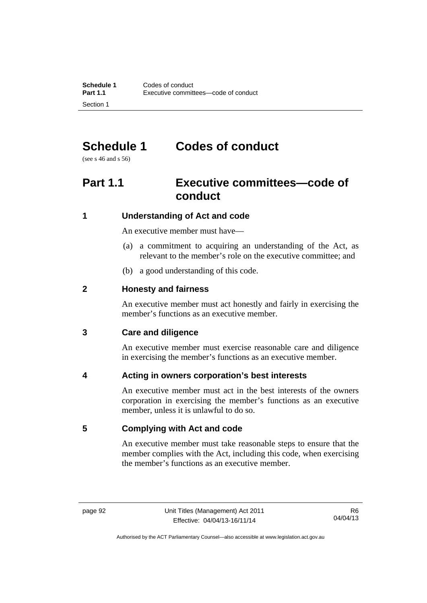# **Schedule 1 Codes of conduct**

(see s 46 and s 56)

# **Part 1.1 Executive committees—code of conduct**

# **1 Understanding of Act and code**

An executive member must have—

- (a) a commitment to acquiring an understanding of the Act, as relevant to the member's role on the executive committee; and
- (b) a good understanding of this code.

# **2 Honesty and fairness**

An executive member must act honestly and fairly in exercising the member's functions as an executive member.

# **3 Care and diligence**

An executive member must exercise reasonable care and diligence in exercising the member's functions as an executive member.

# **4 Acting in owners corporation's best interests**

An executive member must act in the best interests of the owners corporation in exercising the member's functions as an executive member, unless it is unlawful to do so.

# **5 Complying with Act and code**

An executive member must take reasonable steps to ensure that the member complies with the Act, including this code, when exercising the member's functions as an executive member.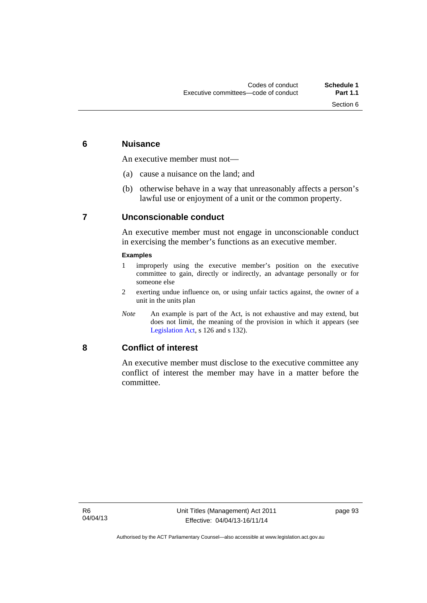# **6 Nuisance**

An executive member must not—

- (a) cause a nuisance on the land; and
- (b) otherwise behave in a way that unreasonably affects a person's lawful use or enjoyment of a unit or the common property.

# **7 Unconscionable conduct**

An executive member must not engage in unconscionable conduct in exercising the member's functions as an executive member.

#### **Examples**

- 1 improperly using the executive member's position on the executive committee to gain, directly or indirectly, an advantage personally or for someone else
- 2 exerting undue influence on, or using unfair tactics against, the owner of a unit in the units plan
- *Note* An example is part of the Act, is not exhaustive and may extend, but does not limit, the meaning of the provision in which it appears (see [Legislation Act,](http://www.legislation.act.gov.au/a/2001-14) s 126 and s 132).

## **8 Conflict of interest**

An executive member must disclose to the executive committee any conflict of interest the member may have in a matter before the committee.

page 93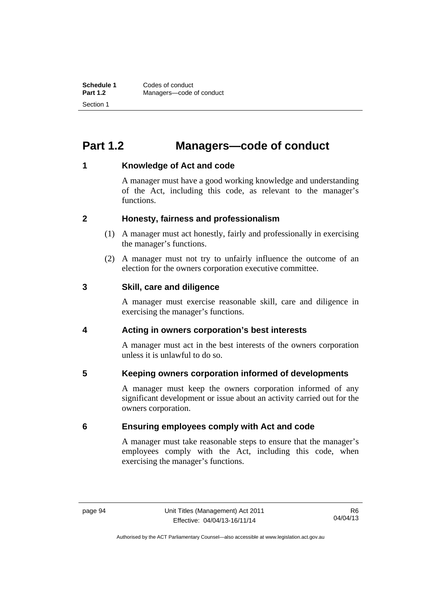# **Part 1.2 Managers—code of conduct**

# **1 Knowledge of Act and code**

A manager must have a good working knowledge and understanding of the Act, including this code, as relevant to the manager's functions.

# **2 Honesty, fairness and professionalism**

- (1) A manager must act honestly, fairly and professionally in exercising the manager's functions.
- (2) A manager must not try to unfairly influence the outcome of an election for the owners corporation executive committee.

## **3 Skill, care and diligence**

A manager must exercise reasonable skill, care and diligence in exercising the manager's functions.

# **4 Acting in owners corporation's best interests**

A manager must act in the best interests of the owners corporation unless it is unlawful to do so.

# **5 Keeping owners corporation informed of developments**

A manager must keep the owners corporation informed of any significant development or issue about an activity carried out for the owners corporation.

# **6 Ensuring employees comply with Act and code**

A manager must take reasonable steps to ensure that the manager's employees comply with the Act, including this code, when exercising the manager's functions.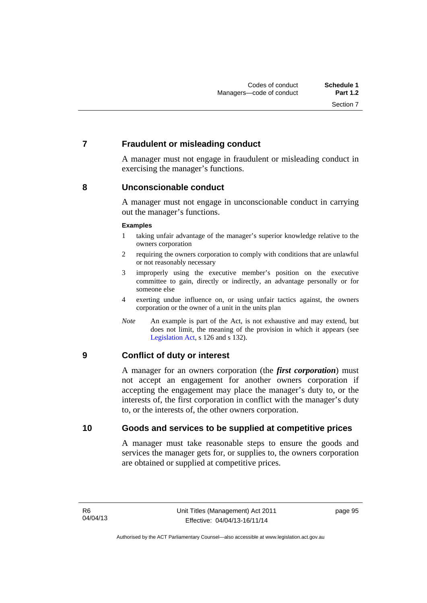# **7 Fraudulent or misleading conduct**

A manager must not engage in fraudulent or misleading conduct in exercising the manager's functions.

## **8 Unconscionable conduct**

A manager must not engage in unconscionable conduct in carrying out the manager's functions.

#### **Examples**

- 1 taking unfair advantage of the manager's superior knowledge relative to the owners corporation
- 2 requiring the owners corporation to comply with conditions that are unlawful or not reasonably necessary
- 3 improperly using the executive member's position on the executive committee to gain, directly or indirectly, an advantage personally or for someone else
- 4 exerting undue influence on, or using unfair tactics against, the owners corporation or the owner of a unit in the units plan
- *Note* An example is part of the Act, is not exhaustive and may extend, but does not limit, the meaning of the provision in which it appears (see [Legislation Act,](http://www.legislation.act.gov.au/a/2001-14) s 126 and s 132).

# **9 Conflict of duty or interest**

A manager for an owners corporation (the *first corporation*) must not accept an engagement for another owners corporation if accepting the engagement may place the manager's duty to, or the interests of, the first corporation in conflict with the manager's duty to, or the interests of, the other owners corporation.

## **10 Goods and services to be supplied at competitive prices**

A manager must take reasonable steps to ensure the goods and services the manager gets for, or supplies to, the owners corporation are obtained or supplied at competitive prices.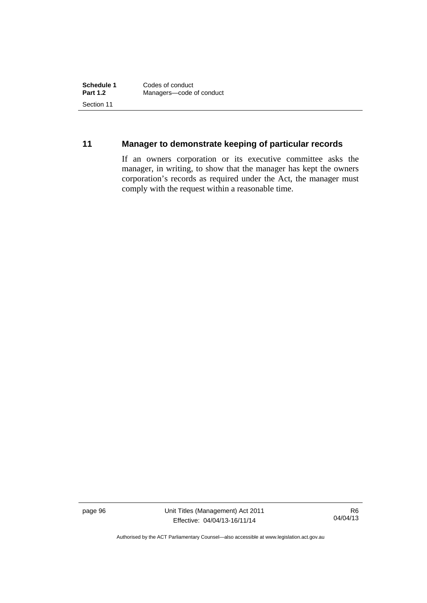# **11 Manager to demonstrate keeping of particular records**

If an owners corporation or its executive committee asks the manager, in writing, to show that the manager has kept the owners corporation's records as required under the Act, the manager must comply with the request within a reasonable time.

page 96 Unit Titles (Management) Act 2011 Effective: 04/04/13-16/11/14

R6 04/04/13

Authorised by the ACT Parliamentary Counsel—also accessible at www.legislation.act.gov.au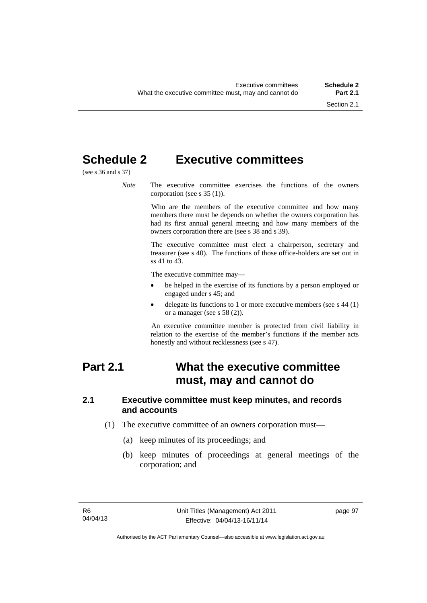# **Schedule 2 Executive committees**

(see s 36 and s 37)

*Note* The executive committee exercises the functions of the owners corporation (see s 35 (1)).

> Who are the members of the executive committee and how many members there must be depends on whether the owners corporation has had its first annual general meeting and how many members of the owners corporation there are (see s 38 and s 39).

> The executive committee must elect a chairperson, secretary and treasurer (see s 40). The functions of those office-holders are set out in ss 41 to 43.

The executive committee may—

- be helped in the exercise of its functions by a person employed or engaged under s 45; and
- delegate its functions to 1 or more executive members (see s 44 (1) or a manager (see s 58 (2)).

An executive committee member is protected from civil liability in relation to the exercise of the member's functions if the member acts honestly and without recklessness (see s 47).

# **Part 2.1 What the executive committee must, may and cannot do**

#### **2.1 Executive committee must keep minutes, and records and accounts**

- (1) The executive committee of an owners corporation must—
	- (a) keep minutes of its proceedings; and
	- (b) keep minutes of proceedings at general meetings of the corporation; and

page 97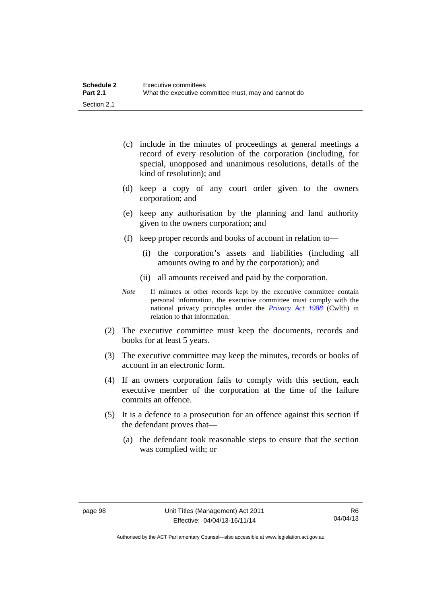| <b>Schedule 2</b> | Executive committees                                 |
|-------------------|------------------------------------------------------|
| <b>Part 2.1</b>   | What the executive committee must, may and cannot do |
| Section 2.1       |                                                      |

- (c) include in the minutes of proceedings at general meetings a record of every resolution of the corporation (including, for special, unopposed and unanimous resolutions, details of the kind of resolution); and
- (d) keep a copy of any court order given to the owners corporation; and
- (e) keep any authorisation by the planning and land authority given to the owners corporation; and
- (f) keep proper records and books of account in relation to—
	- (i) the corporation's assets and liabilities (including all amounts owing to and by the corporation); and
	- (ii) all amounts received and paid by the corporation.
- *Note* If minutes or other records kept by the executive committee contain personal information, the executive committee must comply with the national privacy principles under the *[Privacy Act 1988](http://www.comlaw.gov.au/Current/C2004A03712)* (Cwlth) in relation to that information.
- (2) The executive committee must keep the documents, records and books for at least 5 years.
- (3) The executive committee may keep the minutes, records or books of account in an electronic form.
- (4) If an owners corporation fails to comply with this section, each executive member of the corporation at the time of the failure commits an offence.
- (5) It is a defence to a prosecution for an offence against this section if the defendant proves that—
	- (a) the defendant took reasonable steps to ensure that the section was complied with; or

Authorised by the ACT Parliamentary Counsel—also accessible at www.legislation.act.gov.au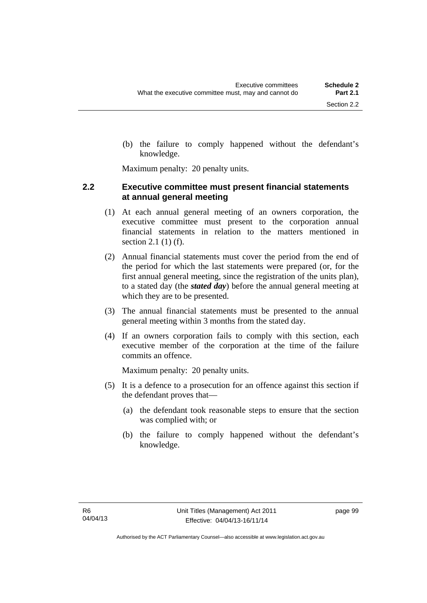Maximum penalty: 20 penalty units.

knowledge.

# **2.2 Executive committee must present financial statements at annual general meeting**

- (1) At each annual general meeting of an owners corporation, the executive committee must present to the corporation annual financial statements in relation to the matters mentioned in section 2.1 (1) (f).
- (2) Annual financial statements must cover the period from the end of the period for which the last statements were prepared (or, for the first annual general meeting, since the registration of the units plan), to a stated day (the *stated day*) before the annual general meeting at which they are to be presented.
- (3) The annual financial statements must be presented to the annual general meeting within 3 months from the stated day.
- (4) If an owners corporation fails to comply with this section, each executive member of the corporation at the time of the failure commits an offence.

Maximum penalty: 20 penalty units.

- (5) It is a defence to a prosecution for an offence against this section if the defendant proves that—
	- (a) the defendant took reasonable steps to ensure that the section was complied with; or
	- (b) the failure to comply happened without the defendant's knowledge.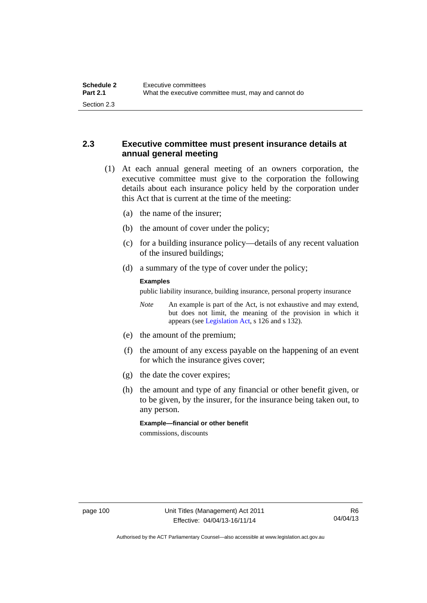# **2.3 Executive committee must present insurance details at annual general meeting**

- (1) At each annual general meeting of an owners corporation, the executive committee must give to the corporation the following details about each insurance policy held by the corporation under this Act that is current at the time of the meeting:
	- (a) the name of the insurer;
	- (b) the amount of cover under the policy;
	- (c) for a building insurance policy—details of any recent valuation of the insured buildings;
	- (d) a summary of the type of cover under the policy;

#### **Examples**

public liability insurance, building insurance, personal property insurance

*Note* An example is part of the Act, is not exhaustive and may extend, but does not limit, the meaning of the provision in which it appears (see [Legislation Act,](http://www.legislation.act.gov.au/a/2001-14) s 126 and s 132).

- (e) the amount of the premium;
- (f) the amount of any excess payable on the happening of an event for which the insurance gives cover;
- (g) the date the cover expires;
- (h) the amount and type of any financial or other benefit given, or to be given, by the insurer, for the insurance being taken out, to any person.

**Example—financial or other benefit** 

commissions, discounts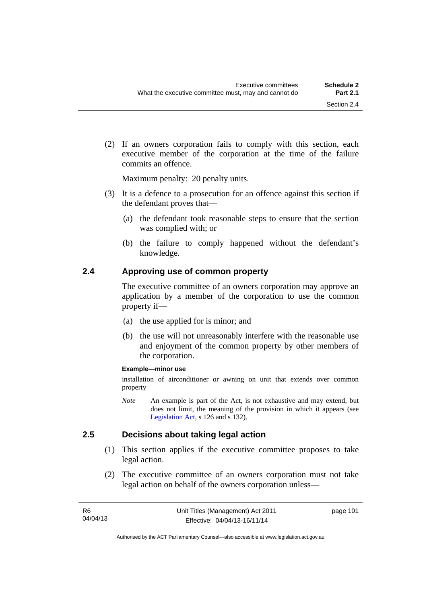(2) If an owners corporation fails to comply with this section, each executive member of the corporation at the time of the failure commits an offence.

Maximum penalty: 20 penalty units.

- (3) It is a defence to a prosecution for an offence against this section if the defendant proves that—
	- (a) the defendant took reasonable steps to ensure that the section was complied with; or
	- (b) the failure to comply happened without the defendant's knowledge.

### **2.4 Approving use of common property**

The executive committee of an owners corporation may approve an application by a member of the corporation to use the common property if—

- (a) the use applied for is minor; and
- (b) the use will not unreasonably interfere with the reasonable use and enjoyment of the common property by other members of the corporation.

#### **Example—minor use**

installation of airconditioner or awning on unit that extends over common property

*Note* An example is part of the Act, is not exhaustive and may extend, but does not limit, the meaning of the provision in which it appears (see [Legislation Act,](http://www.legislation.act.gov.au/a/2001-14) s 126 and s 132).

#### **2.5 Decisions about taking legal action**

- (1) This section applies if the executive committee proposes to take legal action.
- (2) The executive committee of an owners corporation must not take legal action on behalf of the owners corporation unless—

page 101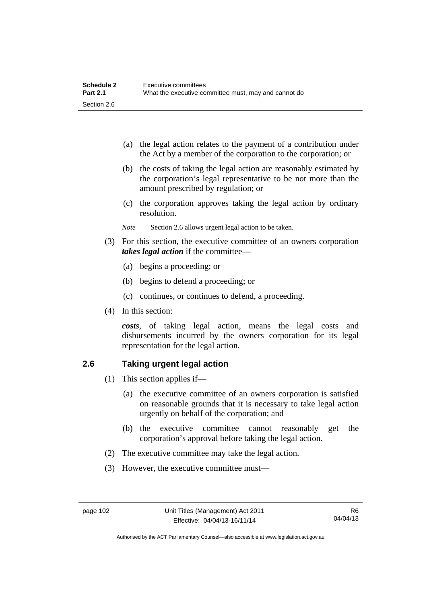| <b>Schedule 2</b> | Executive committees                                 |
|-------------------|------------------------------------------------------|
| <b>Part 2.1</b>   | What the executive committee must, may and cannot do |
| Section 2.6       |                                                      |

- (a) the legal action relates to the payment of a contribution under the Act by a member of the corporation to the corporation; or
- (b) the costs of taking the legal action are reasonably estimated by the corporation's legal representative to be not more than the amount prescribed by regulation; or
- (c) the corporation approves taking the legal action by ordinary resolution.
- *Note* Section 2.6 allows urgent legal action to be taken.
- (3) For this section, the executive committee of an owners corporation *takes legal action* if the committee—
	- (a) begins a proceeding; or
	- (b) begins to defend a proceeding; or
	- (c) continues, or continues to defend, a proceeding.
- (4) In this section:

*costs*, of taking legal action, means the legal costs and disbursements incurred by the owners corporation for its legal representation for the legal action.

#### **2.6 Taking urgent legal action**

- (1) This section applies if—
	- (a) the executive committee of an owners corporation is satisfied on reasonable grounds that it is necessary to take legal action urgently on behalf of the corporation; and
	- (b) the executive committee cannot reasonably get the corporation's approval before taking the legal action.
- (2) The executive committee may take the legal action.
- (3) However, the executive committee must—

Authorised by the ACT Parliamentary Counsel—also accessible at www.legislation.act.gov.au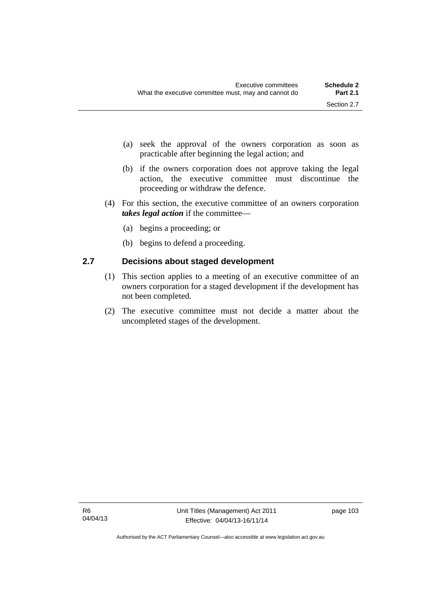- (a) seek the approval of the owners corporation as soon as practicable after beginning the legal action; and
- (b) if the owners corporation does not approve taking the legal action, the executive committee must discontinue the proceeding or withdraw the defence.
- (4) For this section, the executive committee of an owners corporation *takes legal action* if the committee—
	- (a) begins a proceeding; or
	- (b) begins to defend a proceeding.

## **2.7 Decisions about staged development**

- (1) This section applies to a meeting of an executive committee of an owners corporation for a staged development if the development has not been completed.
- (2) The executive committee must not decide a matter about the uncompleted stages of the development.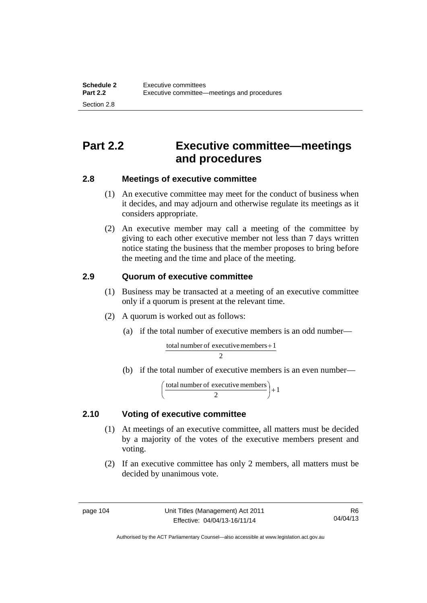# **Part 2.2 Executive committee—meetings and procedures**

# **2.8 Meetings of executive committee**

- (1) An executive committee may meet for the conduct of business when it decides, and may adjourn and otherwise regulate its meetings as it considers appropriate.
- (2) An executive member may call a meeting of the committee by giving to each other executive member not less than 7 days written notice stating the business that the member proposes to bring before the meeting and the time and place of the meeting.

# **2.9 Quorum of executive committee**

- (1) Business may be transacted at a meeting of an executive committee only if a quorum is present at the relevant time.
- (2) A quorum is worked out as follows:
	- (a) if the total number of executive members is an odd number—

 $\overline{2}$ total number of executive members  $+1$ 

(b) if the total number of executive members is an even number—

$$
\left(\frac{\text{total number of executive members}}{2}\right) + 1
$$

# **2.10 Voting of executive committee**

- (1) At meetings of an executive committee, all matters must be decided by a majority of the votes of the executive members present and voting.
- (2) If an executive committee has only 2 members, all matters must be decided by unanimous vote.

Authorised by the ACT Parliamentary Counsel—also accessible at www.legislation.act.gov.au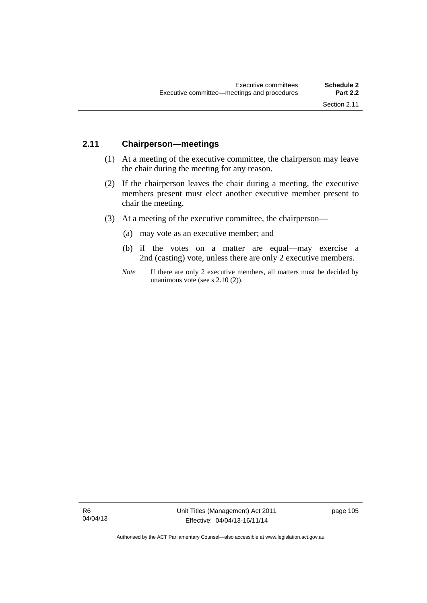# **2.11 Chairperson—meetings**

- (1) At a meeting of the executive committee, the chairperson may leave the chair during the meeting for any reason.
- (2) If the chairperson leaves the chair during a meeting, the executive members present must elect another executive member present to chair the meeting.
- (3) At a meeting of the executive committee, the chairperson—
	- (a) may vote as an executive member; and
	- (b) if the votes on a matter are equal—may exercise a 2nd (casting) vote, unless there are only 2 executive members.
	- *Note* If there are only 2 executive members, all matters must be decided by unanimous vote (see s 2.10 (2)).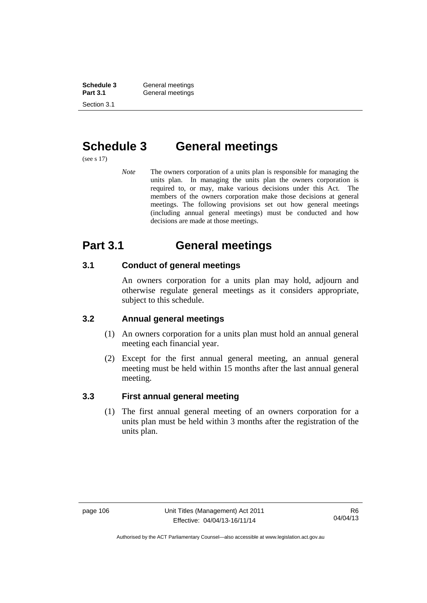**Schedule 3 General meetings**<br> **Part 3.1 General meetings** General meetings Section 3.1

# **Schedule 3 General meetings**

(see s 17)

*Note* The owners corporation of a units plan is responsible for managing the units plan. In managing the units plan the owners corporation is required to, or may, make various decisions under this Act. The members of the owners corporation make those decisions at general meetings. The following provisions set out how general meetings (including annual general meetings) must be conducted and how decisions are made at those meetings.

# **Part 3.1 General meetings**

# **3.1 Conduct of general meetings**

An owners corporation for a units plan may hold, adjourn and otherwise regulate general meetings as it considers appropriate, subject to this schedule.

# **3.2 Annual general meetings**

- (1) An owners corporation for a units plan must hold an annual general meeting each financial year.
- (2) Except for the first annual general meeting, an annual general meeting must be held within 15 months after the last annual general meeting.

# **3.3 First annual general meeting**

(1) The first annual general meeting of an owners corporation for a units plan must be held within 3 months after the registration of the units plan.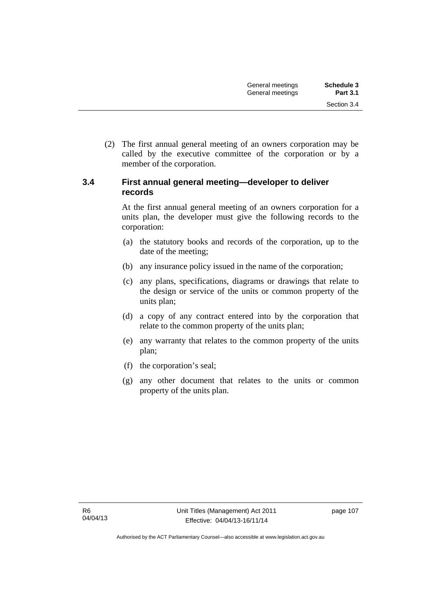(2) The first annual general meeting of an owners corporation may be called by the executive committee of the corporation or by a member of the corporation.

## **3.4 First annual general meeting—developer to deliver records**

At the first annual general meeting of an owners corporation for a units plan, the developer must give the following records to the corporation:

- (a) the statutory books and records of the corporation, up to the date of the meeting;
- (b) any insurance policy issued in the name of the corporation;
- (c) any plans, specifications, diagrams or drawings that relate to the design or service of the units or common property of the units plan;
- (d) a copy of any contract entered into by the corporation that relate to the common property of the units plan;
- (e) any warranty that relates to the common property of the units plan;
- (f) the corporation's seal;
- (g) any other document that relates to the units or common property of the units plan.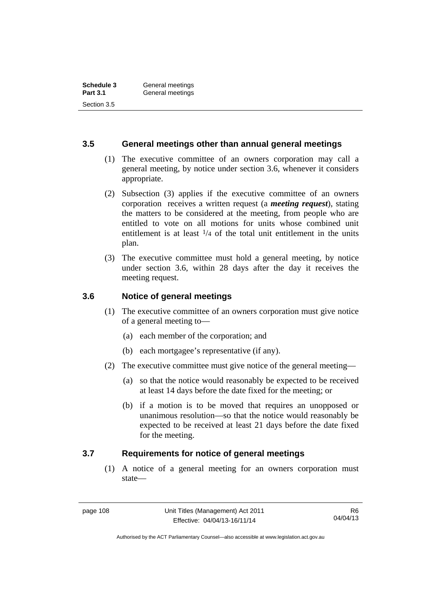### **3.5 General meetings other than annual general meetings**

- (1) The executive committee of an owners corporation may call a general meeting, by notice under section 3.6, whenever it considers appropriate.
- (2) Subsection (3) applies if the executive committee of an owners corporation receives a written request (a *meeting request*), stating the matters to be considered at the meeting, from people who are entitled to vote on all motions for units whose combined unit entitlement is at least  $\frac{1}{4}$  of the total unit entitlement in the units plan.
- (3) The executive committee must hold a general meeting, by notice under section 3.6, within 28 days after the day it receives the meeting request.

# **3.6 Notice of general meetings**

- (1) The executive committee of an owners corporation must give notice of a general meeting to—
	- (a) each member of the corporation; and
	- (b) each mortgagee's representative (if any).
- (2) The executive committee must give notice of the general meeting—
	- (a) so that the notice would reasonably be expected to be received at least 14 days before the date fixed for the meeting; or
	- (b) if a motion is to be moved that requires an unopposed or unanimous resolution—so that the notice would reasonably be expected to be received at least 21 days before the date fixed for the meeting.

#### **3.7 Requirements for notice of general meetings**

(1) A notice of a general meeting for an owners corporation must state—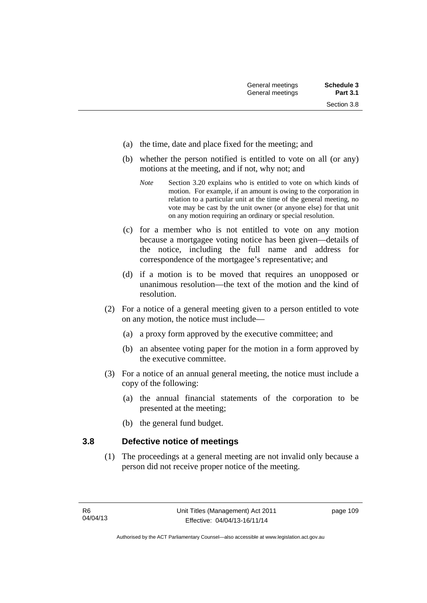- (a) the time, date and place fixed for the meeting; and
- (b) whether the person notified is entitled to vote on all (or any) motions at the meeting, and if not, why not; and
	- *Note* Section 3.20 explains who is entitled to vote on which kinds of motion. For example, if an amount is owing to the corporation in relation to a particular unit at the time of the general meeting, no vote may be cast by the unit owner (or anyone else) for that unit on any motion requiring an ordinary or special resolution.
- (c) for a member who is not entitled to vote on any motion because a mortgagee voting notice has been given—details of the notice, including the full name and address for correspondence of the mortgagee's representative; and
- (d) if a motion is to be moved that requires an unopposed or unanimous resolution—the text of the motion and the kind of resolution.
- (2) For a notice of a general meeting given to a person entitled to vote on any motion, the notice must include—
	- (a) a proxy form approved by the executive committee; and
	- (b) an absentee voting paper for the motion in a form approved by the executive committee.
- (3) For a notice of an annual general meeting, the notice must include a copy of the following:
	- (a) the annual financial statements of the corporation to be presented at the meeting;
	- (b) the general fund budget.

#### **3.8 Defective notice of meetings**

(1) The proceedings at a general meeting are not invalid only because a person did not receive proper notice of the meeting.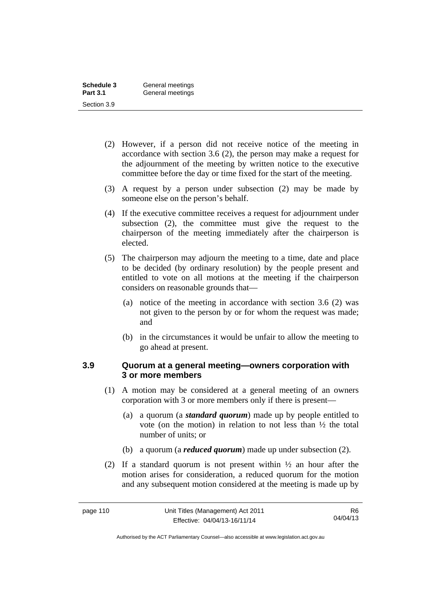| Schedule 3      | General meetings |
|-----------------|------------------|
| <b>Part 3.1</b> | General meetings |
| Section 3.9     |                  |

- (2) However, if a person did not receive notice of the meeting in accordance with section 3.6 (2), the person may make a request for the adjournment of the meeting by written notice to the executive committee before the day or time fixed for the start of the meeting.
- (3) A request by a person under subsection (2) may be made by someone else on the person's behalf.
- (4) If the executive committee receives a request for adjournment under subsection (2), the committee must give the request to the chairperson of the meeting immediately after the chairperson is elected.
- (5) The chairperson may adjourn the meeting to a time, date and place to be decided (by ordinary resolution) by the people present and entitled to vote on all motions at the meeting if the chairperson considers on reasonable grounds that—
	- (a) notice of the meeting in accordance with section 3.6 (2) was not given to the person by or for whom the request was made; and
	- (b) in the circumstances it would be unfair to allow the meeting to go ahead at present.

#### **3.9 Quorum at a general meeting—owners corporation with 3 or more members**

- (1) A motion may be considered at a general meeting of an owners corporation with 3 or more members only if there is present—
	- (a) a quorum (a *standard quorum*) made up by people entitled to vote (on the motion) in relation to not less than ½ the total number of units; or
	- (b) a quorum (a *reduced quorum*) made up under subsection (2).
- (2) If a standard quorum is not present within ½ an hour after the motion arises for consideration, a reduced quorum for the motion and any subsequent motion considered at the meeting is made up by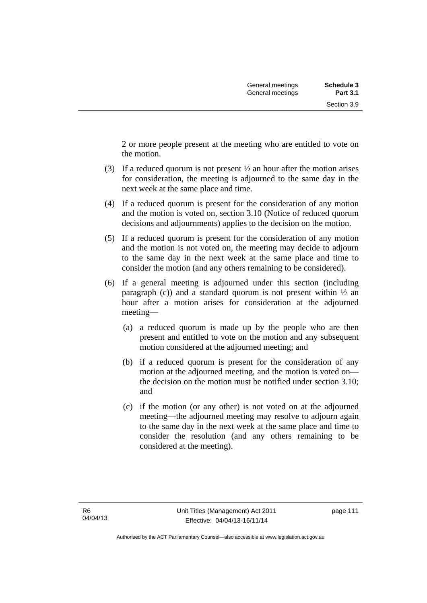2 or more people present at the meeting who are entitled to vote on the motion.

- (3) If a reduced quorum is not present ½ an hour after the motion arises for consideration, the meeting is adjourned to the same day in the next week at the same place and time.
- (4) If a reduced quorum is present for the consideration of any motion and the motion is voted on, section 3.10 (Notice of reduced quorum decisions and adjournments) applies to the decision on the motion.
- (5) If a reduced quorum is present for the consideration of any motion and the motion is not voted on, the meeting may decide to adjourn to the same day in the next week at the same place and time to consider the motion (and any others remaining to be considered).
- (6) If a general meeting is adjourned under this section (including paragraph (c)) and a standard quorum is not present within  $\frac{1}{2}$  an hour after a motion arises for consideration at the adjourned meeting—
	- (a) a reduced quorum is made up by the people who are then present and entitled to vote on the motion and any subsequent motion considered at the adjourned meeting; and
	- (b) if a reduced quorum is present for the consideration of any motion at the adjourned meeting, and the motion is voted on the decision on the motion must be notified under section 3.10; and
	- (c) if the motion (or any other) is not voted on at the adjourned meeting—the adjourned meeting may resolve to adjourn again to the same day in the next week at the same place and time to consider the resolution (and any others remaining to be considered at the meeting).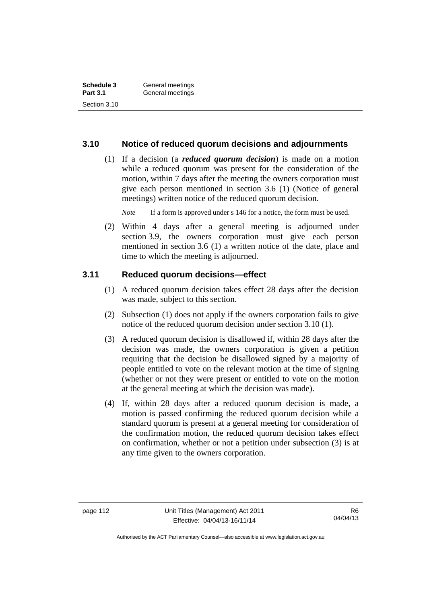| Schedule 3      | General meetings |  |
|-----------------|------------------|--|
| <b>Part 3.1</b> | General meetings |  |
| Section 3.10    |                  |  |

#### **3.10 Notice of reduced quorum decisions and adjournments**

 (1) If a decision (a *reduced quorum decision*) is made on a motion while a reduced quorum was present for the consideration of the motion, within 7 days after the meeting the owners corporation must give each person mentioned in section 3.6 (1) (Notice of general meetings) written notice of the reduced quorum decision.

*Note* If a form is approved under s 146 for a notice, the form must be used.

 (2) Within 4 days after a general meeting is adjourned under section 3.9, the owners corporation must give each person mentioned in section 3.6 (1) a written notice of the date, place and time to which the meeting is adjourned.

#### **3.11 Reduced quorum decisions—effect**

- (1) A reduced quorum decision takes effect 28 days after the decision was made, subject to this section.
- (2) Subsection (1) does not apply if the owners corporation fails to give notice of the reduced quorum decision under section 3.10 (1).
- (3) A reduced quorum decision is disallowed if, within 28 days after the decision was made, the owners corporation is given a petition requiring that the decision be disallowed signed by a majority of people entitled to vote on the relevant motion at the time of signing (whether or not they were present or entitled to vote on the motion at the general meeting at which the decision was made).
- (4) If, within 28 days after a reduced quorum decision is made, a motion is passed confirming the reduced quorum decision while a standard quorum is present at a general meeting for consideration of the confirmation motion, the reduced quorum decision takes effect on confirmation, whether or not a petition under subsection (3) is at any time given to the owners corporation.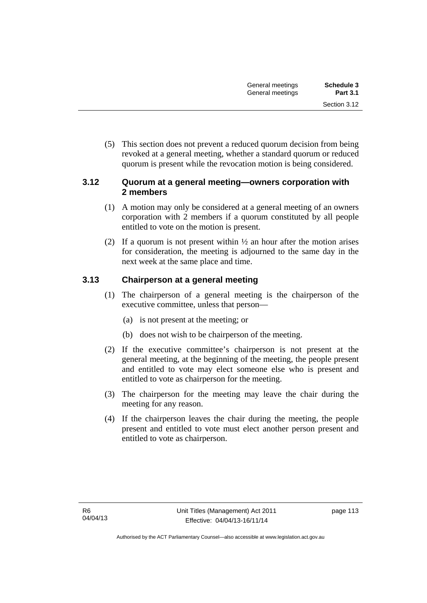(5) This section does not prevent a reduced quorum decision from being revoked at a general meeting, whether a standard quorum or reduced quorum is present while the revocation motion is being considered.

## **3.12 Quorum at a general meeting—owners corporation with 2 members**

- (1) A motion may only be considered at a general meeting of an owners corporation with 2 members if a quorum constituted by all people entitled to vote on the motion is present.
- (2) If a quorum is not present within  $\frac{1}{2}$  an hour after the motion arises for consideration, the meeting is adjourned to the same day in the next week at the same place and time.

# **3.13 Chairperson at a general meeting**

- (1) The chairperson of a general meeting is the chairperson of the executive committee, unless that person—
	- (a) is not present at the meeting; or
	- (b) does not wish to be chairperson of the meeting.
- (2) If the executive committee's chairperson is not present at the general meeting, at the beginning of the meeting, the people present and entitled to vote may elect someone else who is present and entitled to vote as chairperson for the meeting.
- (3) The chairperson for the meeting may leave the chair during the meeting for any reason.
- (4) If the chairperson leaves the chair during the meeting, the people present and entitled to vote must elect another person present and entitled to vote as chairperson.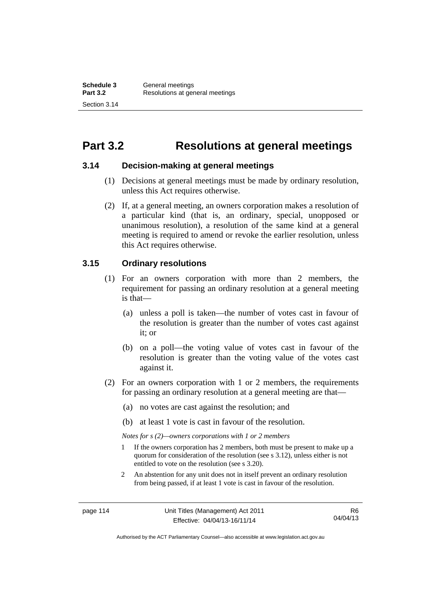# **Part 3.2 Resolutions at general meetings**

#### **3.14 Decision-making at general meetings**

- (1) Decisions at general meetings must be made by ordinary resolution, unless this Act requires otherwise.
- (2) If, at a general meeting, an owners corporation makes a resolution of a particular kind (that is, an ordinary, special, unopposed or unanimous resolution), a resolution of the same kind at a general meeting is required to amend or revoke the earlier resolution, unless this Act requires otherwise.

# **3.15 Ordinary resolutions**

- (1) For an owners corporation with more than 2 members, the requirement for passing an ordinary resolution at a general meeting is that—
	- (a) unless a poll is taken—the number of votes cast in favour of the resolution is greater than the number of votes cast against it; or
	- (b) on a poll—the voting value of votes cast in favour of the resolution is greater than the voting value of the votes cast against it.
- (2) For an owners corporation with 1 or 2 members, the requirements for passing an ordinary resolution at a general meeting are that—
	- (a) no votes are cast against the resolution; and
	- (b) at least 1 vote is cast in favour of the resolution.

*Notes for s (2)—owners corporations with 1 or 2 members* 

- 1 If the owners corporation has 2 members, both must be present to make up a quorum for consideration of the resolution (see s 3.12), unless either is not entitled to vote on the resolution (see s 3.20).
- 2 An abstention for any unit does not in itself prevent an ordinary resolution from being passed, if at least 1 vote is cast in favour of the resolution.

Authorised by the ACT Parliamentary Counsel—also accessible at www.legislation.act.gov.au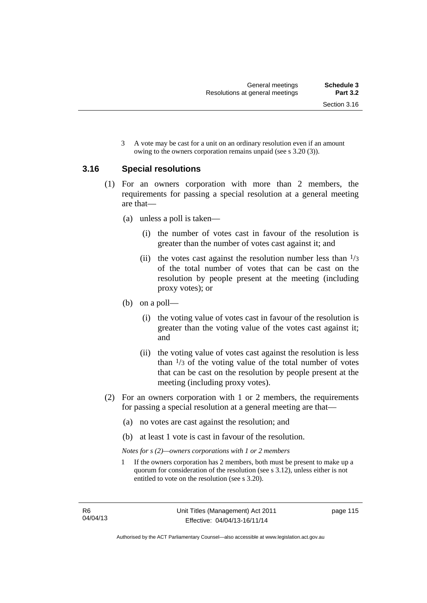3 A vote may be cast for a unit on an ordinary resolution even if an amount owing to the owners corporation remains unpaid (see s 3.20 (3)).

### **3.16 Special resolutions**

- (1) For an owners corporation with more than 2 members, the requirements for passing a special resolution at a general meeting are that—
	- (a) unless a poll is taken—
		- (i) the number of votes cast in favour of the resolution is greater than the number of votes cast against it; and
		- (ii) the votes cast against the resolution number less than  $\frac{1}{3}$ of the total number of votes that can be cast on the resolution by people present at the meeting (including proxy votes); or
	- (b) on a poll—
		- (i) the voting value of votes cast in favour of the resolution is greater than the voting value of the votes cast against it; and
		- (ii) the voting value of votes cast against the resolution is less than  $\frac{1}{3}$  of the voting value of the total number of votes that can be cast on the resolution by people present at the meeting (including proxy votes).
- (2) For an owners corporation with 1 or 2 members, the requirements for passing a special resolution at a general meeting are that—
	- (a) no votes are cast against the resolution; and
	- (b) at least 1 vote is cast in favour of the resolution.

*Notes for s (2)—owners corporations with 1 or 2 members* 

1 If the owners corporation has 2 members, both must be present to make up a quorum for consideration of the resolution (see s 3.12), unless either is not entitled to vote on the resolution (see s 3.20).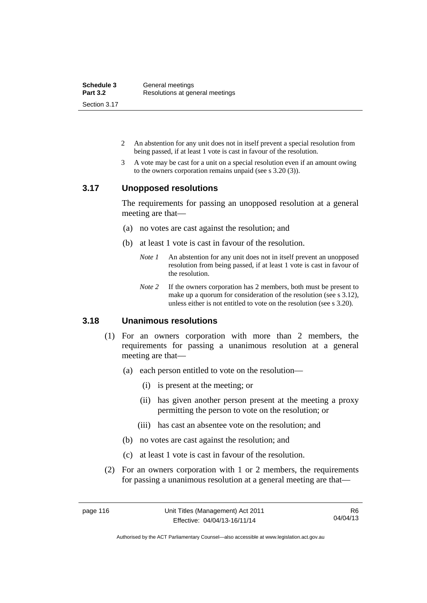| Schedule 3      | General meetings                |
|-----------------|---------------------------------|
| <b>Part 3.2</b> | Resolutions at general meetings |
| Section 3.17    |                                 |

- 2 An abstention for any unit does not in itself prevent a special resolution from being passed, if at least 1 vote is cast in favour of the resolution.
- 3 A vote may be cast for a unit on a special resolution even if an amount owing to the owners corporation remains unpaid (see s 3.20 (3)).

#### **3.17 Unopposed resolutions**

The requirements for passing an unopposed resolution at a general meeting are that—

- (a) no votes are cast against the resolution; and
- (b) at least 1 vote is cast in favour of the resolution.
	- *Note 1* An abstention for any unit does not in itself prevent an unopposed resolution from being passed, if at least 1 vote is cast in favour of the resolution.
	- *Note* 2 If the owners corporation has 2 members, both must be present to make up a quorum for consideration of the resolution (see s 3.12), unless either is not entitled to vote on the resolution (see s 3.20).

# **3.18 Unanimous resolutions**

- (1) For an owners corporation with more than 2 members, the requirements for passing a unanimous resolution at a general meeting are that—
	- (a) each person entitled to vote on the resolution—
		- (i) is present at the meeting; or
		- (ii) has given another person present at the meeting a proxy permitting the person to vote on the resolution; or
		- (iii) has cast an absentee vote on the resolution; and
	- (b) no votes are cast against the resolution; and
	- (c) at least 1 vote is cast in favour of the resolution.
- (2) For an owners corporation with 1 or 2 members, the requirements for passing a unanimous resolution at a general meeting are that—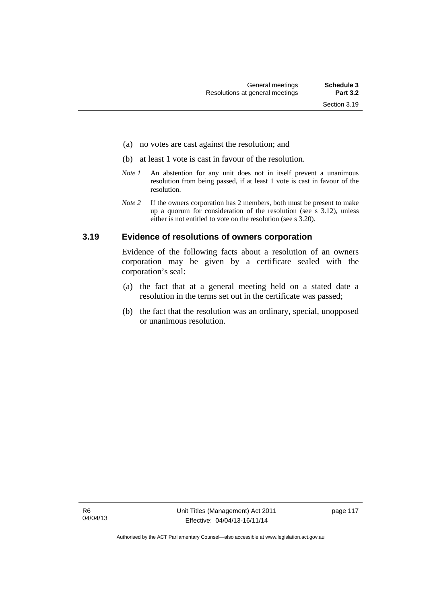- (a) no votes are cast against the resolution; and
- (b) at least 1 vote is cast in favour of the resolution.
- *Note 1* An abstention for any unit does not in itself prevent a unanimous resolution from being passed, if at least 1 vote is cast in favour of the resolution.
- *Note* 2 If the owners corporation has 2 members, both must be present to make up a quorum for consideration of the resolution (see s 3.12), unless either is not entitled to vote on the resolution (see s 3.20).

#### **3.19 Evidence of resolutions of owners corporation**

Evidence of the following facts about a resolution of an owners corporation may be given by a certificate sealed with the corporation's seal:

- (a) the fact that at a general meeting held on a stated date a resolution in the terms set out in the certificate was passed;
- (b) the fact that the resolution was an ordinary, special, unopposed or unanimous resolution.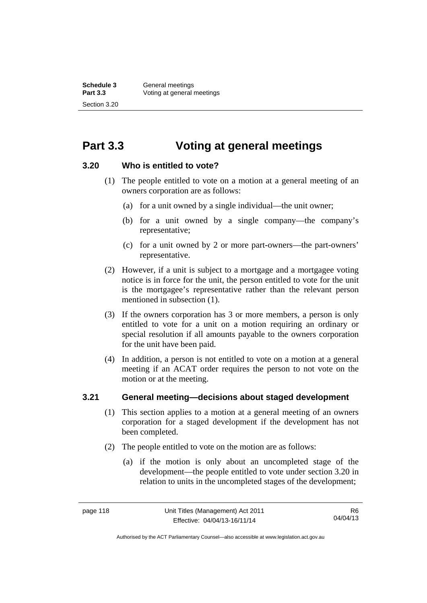# **Part 3.3 Voting at general meetings**

### **3.20 Who is entitled to vote?**

- (1) The people entitled to vote on a motion at a general meeting of an owners corporation are as follows:
	- (a) for a unit owned by a single individual—the unit owner;
	- (b) for a unit owned by a single company—the company's representative;
	- (c) for a unit owned by 2 or more part-owners—the part-owners' representative.
- (2) However, if a unit is subject to a mortgage and a mortgagee voting notice is in force for the unit, the person entitled to vote for the unit is the mortgagee's representative rather than the relevant person mentioned in subsection (1).
- (3) If the owners corporation has 3 or more members, a person is only entitled to vote for a unit on a motion requiring an ordinary or special resolution if all amounts payable to the owners corporation for the unit have been paid.
- (4) In addition, a person is not entitled to vote on a motion at a general meeting if an ACAT order requires the person to not vote on the motion or at the meeting.

# **3.21 General meeting—decisions about staged development**

- (1) This section applies to a motion at a general meeting of an owners corporation for a staged development if the development has not been completed.
- (2) The people entitled to vote on the motion are as follows:
	- (a) if the motion is only about an uncompleted stage of the development—the people entitled to vote under section 3.20 in relation to units in the uncompleted stages of the development;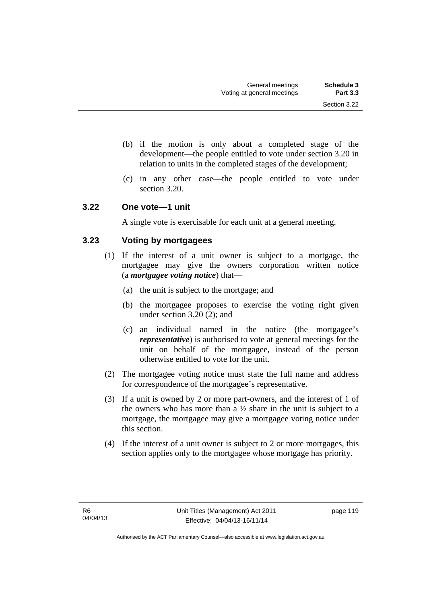- (b) if the motion is only about a completed stage of the development—the people entitled to vote under section 3.20 in relation to units in the completed stages of the development;
- (c) in any other case—the people entitled to vote under section 3.20.

### **3.22 One vote—1 unit**

A single vote is exercisable for each unit at a general meeting.

# **3.23 Voting by mortgagees**

- (1) If the interest of a unit owner is subject to a mortgage, the mortgagee may give the owners corporation written notice (a *mortgagee voting notice*) that—
	- (a) the unit is subject to the mortgage; and
	- (b) the mortgagee proposes to exercise the voting right given under section 3.20 (2); and
	- (c) an individual named in the notice (the mortgagee's *representative*) is authorised to vote at general meetings for the unit on behalf of the mortgagee, instead of the person otherwise entitled to vote for the unit.
- (2) The mortgagee voting notice must state the full name and address for correspondence of the mortgagee's representative.
- (3) If a unit is owned by 2 or more part-owners, and the interest of 1 of the owners who has more than a  $\frac{1}{2}$  share in the unit is subject to a mortgage, the mortgagee may give a mortgagee voting notice under this section.
- (4) If the interest of a unit owner is subject to 2 or more mortgages, this section applies only to the mortgagee whose mortgage has priority.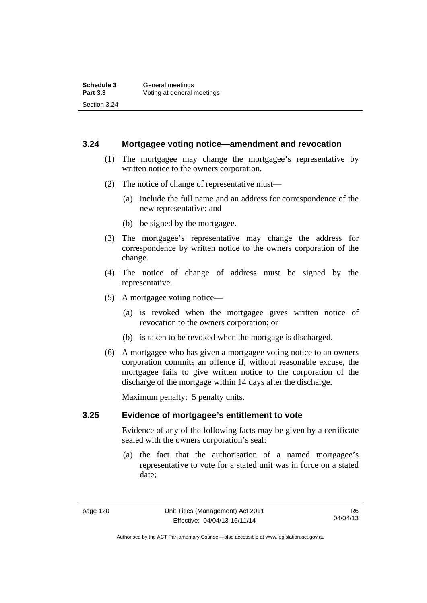#### **3.24 Mortgagee voting notice—amendment and revocation**

- (1) The mortgagee may change the mortgagee's representative by written notice to the owners corporation.
- (2) The notice of change of representative must—
	- (a) include the full name and an address for correspondence of the new representative; and
	- (b) be signed by the mortgagee.
- (3) The mortgagee's representative may change the address for correspondence by written notice to the owners corporation of the change.
- (4) The notice of change of address must be signed by the representative.
- (5) A mortgagee voting notice—
	- (a) is revoked when the mortgagee gives written notice of revocation to the owners corporation; or
	- (b) is taken to be revoked when the mortgage is discharged.
- (6) A mortgagee who has given a mortgagee voting notice to an owners corporation commits an offence if, without reasonable excuse, the mortgagee fails to give written notice to the corporation of the discharge of the mortgage within 14 days after the discharge.

Maximum penalty: 5 penalty units.

#### **3.25 Evidence of mortgagee's entitlement to vote**

Evidence of any of the following facts may be given by a certificate sealed with the owners corporation's seal:

 (a) the fact that the authorisation of a named mortgagee's representative to vote for a stated unit was in force on a stated date;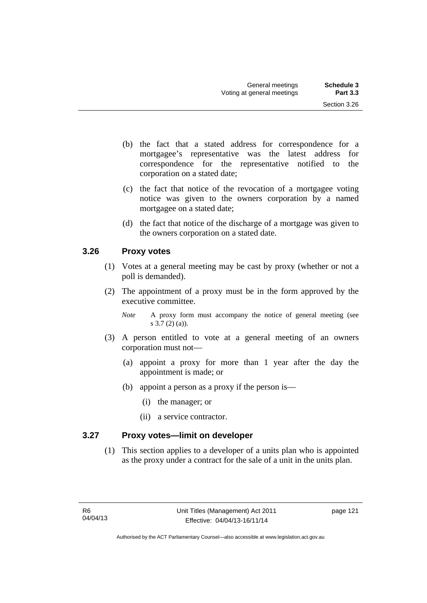- (b) the fact that a stated address for correspondence for a mortgagee's representative was the latest address for correspondence for the representative notified to the corporation on a stated date;
- (c) the fact that notice of the revocation of a mortgagee voting notice was given to the owners corporation by a named mortgagee on a stated date;
- (d) the fact that notice of the discharge of a mortgage was given to the owners corporation on a stated date.

# **3.26 Proxy votes**

- (1) Votes at a general meeting may be cast by proxy (whether or not a poll is demanded).
- (2) The appointment of a proxy must be in the form approved by the executive committee.
	- *Note* A proxy form must accompany the notice of general meeting (see s 3.7 (2) (a)).
- (3) A person entitled to vote at a general meeting of an owners corporation must not—
	- (a) appoint a proxy for more than 1 year after the day the appointment is made; or
	- (b) appoint a person as a proxy if the person is—
		- (i) the manager; or
		- (ii) a service contractor.

# **3.27 Proxy votes—limit on developer**

(1) This section applies to a developer of a units plan who is appointed as the proxy under a contract for the sale of a unit in the units plan.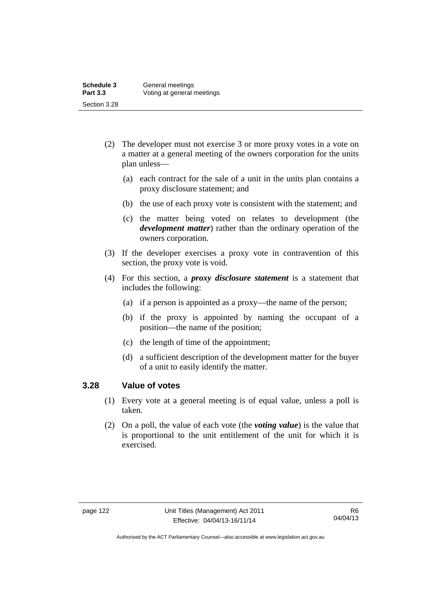- (2) The developer must not exercise 3 or more proxy votes in a vote on a matter at a general meeting of the owners corporation for the units plan unless—
	- (a) each contract for the sale of a unit in the units plan contains a proxy disclosure statement; and
	- (b) the use of each proxy vote is consistent with the statement; and
	- (c) the matter being voted on relates to development (the *development matter*) rather than the ordinary operation of the owners corporation.
- (3) If the developer exercises a proxy vote in contravention of this section, the proxy vote is void.
- (4) For this section, a *proxy disclosure statement* is a statement that includes the following:
	- (a) if a person is appointed as a proxy—the name of the person;
	- (b) if the proxy is appointed by naming the occupant of a position—the name of the position;
	- (c) the length of time of the appointment;
	- (d) a sufficient description of the development matter for the buyer of a unit to easily identify the matter.

#### **3.28 Value of votes**

- (1) Every vote at a general meeting is of equal value, unless a poll is taken.
- (2) On a poll, the value of each vote (the *voting value*) is the value that is proportional to the unit entitlement of the unit for which it is exercised.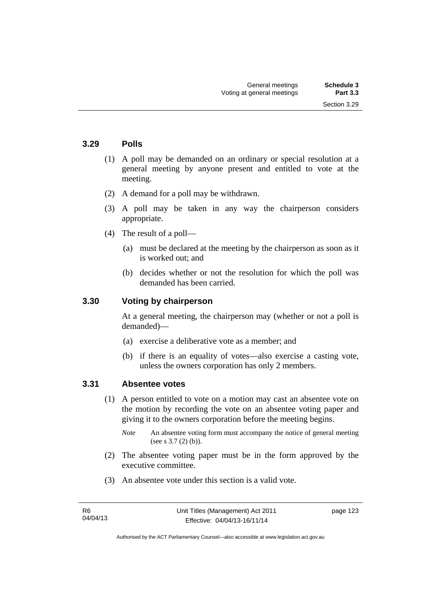Section 3.29

#### **3.29 Polls**

- (1) A poll may be demanded on an ordinary or special resolution at a general meeting by anyone present and entitled to vote at the meeting.
- (2) A demand for a poll may be withdrawn.
- (3) A poll may be taken in any way the chairperson considers appropriate.
- (4) The result of a poll—
	- (a) must be declared at the meeting by the chairperson as soon as it is worked out; and
	- (b) decides whether or not the resolution for which the poll was demanded has been carried.

#### **3.30 Voting by chairperson**

At a general meeting, the chairperson may (whether or not a poll is demanded)—

- (a) exercise a deliberative vote as a member; and
- (b) if there is an equality of votes—also exercise a casting vote, unless the owners corporation has only 2 members.

#### **3.31 Absentee votes**

- (1) A person entitled to vote on a motion may cast an absentee vote on the motion by recording the vote on an absentee voting paper and giving it to the owners corporation before the meeting begins.
	- *Note* An absentee voting form must accompany the notice of general meeting (see s 3.7 (2) (b)).
- (2) The absentee voting paper must be in the form approved by the executive committee.
- (3) An absentee vote under this section is a valid vote.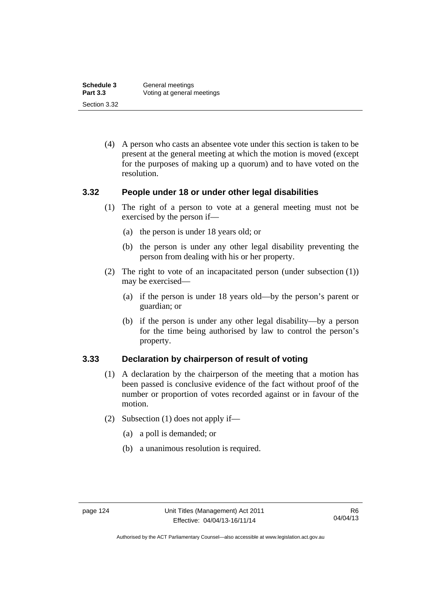| Schedule 3      | General meetings           |
|-----------------|----------------------------|
| <b>Part 3.3</b> | Voting at general meetings |
| Section 3.32    |                            |

 (4) A person who casts an absentee vote under this section is taken to be present at the general meeting at which the motion is moved (except for the purposes of making up a quorum) and to have voted on the resolution.

#### **3.32 People under 18 or under other legal disabilities**

- (1) The right of a person to vote at a general meeting must not be exercised by the person if—
	- (a) the person is under 18 years old; or
	- (b) the person is under any other legal disability preventing the person from dealing with his or her property.
- (2) The right to vote of an incapacitated person (under subsection (1)) may be exercised—
	- (a) if the person is under 18 years old—by the person's parent or guardian; or
	- (b) if the person is under any other legal disability—by a person for the time being authorised by law to control the person's property.

#### **3.33 Declaration by chairperson of result of voting**

- (1) A declaration by the chairperson of the meeting that a motion has been passed is conclusive evidence of the fact without proof of the number or proportion of votes recorded against or in favour of the motion.
- (2) Subsection (1) does not apply if—
	- (a) a poll is demanded; or
	- (b) a unanimous resolution is required.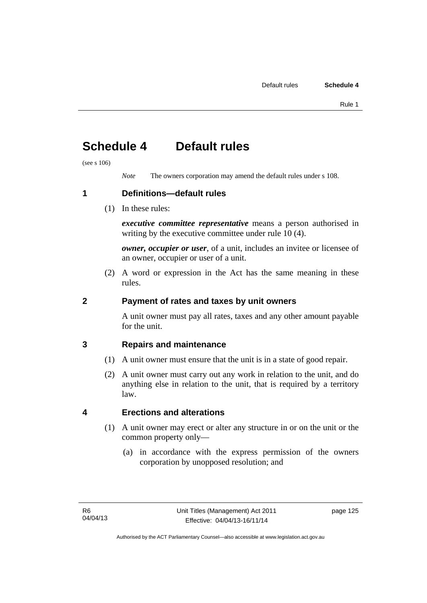# **Schedule 4 Default rules**

(see s 106)

*Note* The owners corporation may amend the default rules under s 108.

**1 Definitions—default rules** 

(1) In these rules:

*executive committee representative* means a person authorised in writing by the executive committee under rule 10 (4).

*owner, occupier or user*, of a unit, includes an invitee or licensee of an owner, occupier or user of a unit.

 (2) A word or expression in the Act has the same meaning in these rules.

# **2 Payment of rates and taxes by unit owners**

A unit owner must pay all rates, taxes and any other amount payable for the unit.

# **3 Repairs and maintenance**

- (1) A unit owner must ensure that the unit is in a state of good repair.
- (2) A unit owner must carry out any work in relation to the unit, and do anything else in relation to the unit, that is required by a territory law.

# **4 Erections and alterations**

- (1) A unit owner may erect or alter any structure in or on the unit or the common property only—
	- (a) in accordance with the express permission of the owners corporation by unopposed resolution; and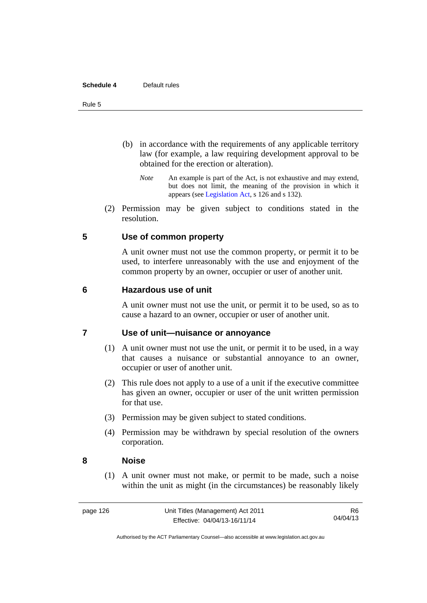#### **Schedule 4** Default rules

#### Rule 5

- (b) in accordance with the requirements of any applicable territory law (for example, a law requiring development approval to be obtained for the erection or alteration).
	- *Note* An example is part of the Act, is not exhaustive and may extend, but does not limit, the meaning of the provision in which it appears (see [Legislation Act,](http://www.legislation.act.gov.au/a/2001-14) s 126 and s 132).
- (2) Permission may be given subject to conditions stated in the resolution.

#### **5 Use of common property**

A unit owner must not use the common property, or permit it to be used, to interfere unreasonably with the use and enjoyment of the common property by an owner, occupier or user of another unit.

#### **6 Hazardous use of unit**

A unit owner must not use the unit, or permit it to be used, so as to cause a hazard to an owner, occupier or user of another unit.

### **7 Use of unit—nuisance or annoyance**

- (1) A unit owner must not use the unit, or permit it to be used, in a way that causes a nuisance or substantial annoyance to an owner, occupier or user of another unit.
- (2) This rule does not apply to a use of a unit if the executive committee has given an owner, occupier or user of the unit written permission for that use.
- (3) Permission may be given subject to stated conditions.
- (4) Permission may be withdrawn by special resolution of the owners corporation.

#### **8 Noise**

(1) A unit owner must not make, or permit to be made, such a noise within the unit as might (in the circumstances) be reasonably likely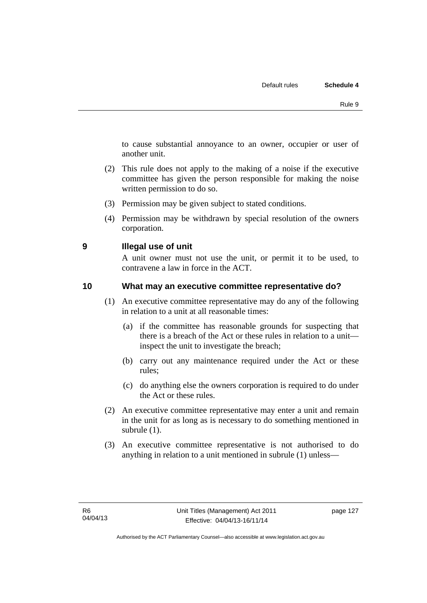to cause substantial annoyance to an owner, occupier or user of another unit.

- (2) This rule does not apply to the making of a noise if the executive committee has given the person responsible for making the noise written permission to do so.
- (3) Permission may be given subject to stated conditions.
- (4) Permission may be withdrawn by special resolution of the owners corporation.

### **9 Illegal use of unit**

A unit owner must not use the unit, or permit it to be used, to contravene a law in force in the ACT.

## **10 What may an executive committee representative do?**

- (1) An executive committee representative may do any of the following in relation to a unit at all reasonable times:
	- (a) if the committee has reasonable grounds for suspecting that there is a breach of the Act or these rules in relation to a unit inspect the unit to investigate the breach;
	- (b) carry out any maintenance required under the Act or these rules;
	- (c) do anything else the owners corporation is required to do under the Act or these rules.
- (2) An executive committee representative may enter a unit and remain in the unit for as long as is necessary to do something mentioned in subrule (1).
- (3) An executive committee representative is not authorised to do anything in relation to a unit mentioned in subrule (1) unless—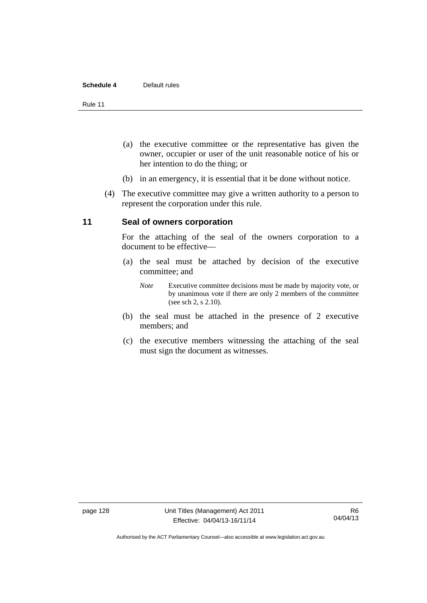#### **Schedule 4** Default rules

Rule 11

- (a) the executive committee or the representative has given the owner, occupier or user of the unit reasonable notice of his or her intention to do the thing; or
- (b) in an emergency, it is essential that it be done without notice.
- (4) The executive committee may give a written authority to a person to represent the corporation under this rule.

#### **11 Seal of owners corporation**

For the attaching of the seal of the owners corporation to a document to be effective—

- (a) the seal must be attached by decision of the executive committee; and
	- *Note* Executive committee decisions must be made by majority vote, or by unanimous vote if there are only 2 members of the committee (see sch 2, s 2.10).
- (b) the seal must be attached in the presence of 2 executive members; and
- (c) the executive members witnessing the attaching of the seal must sign the document as witnesses.

Authorised by the ACT Parliamentary Counsel—also accessible at www.legislation.act.gov.au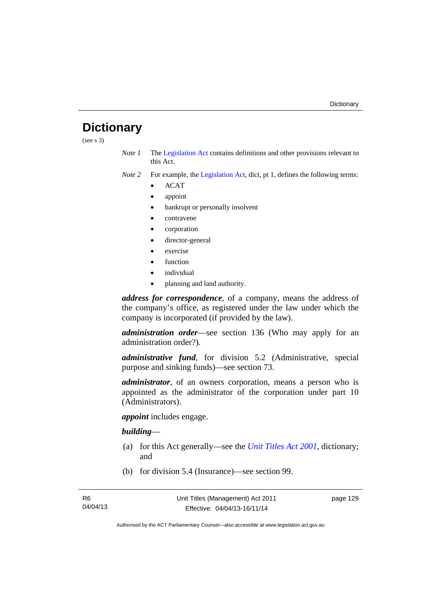# **Dictionary**

(see s 3)

- *Note 1* The [Legislation Act](http://www.legislation.act.gov.au/a/2001-14) contains definitions and other provisions relevant to this Act.
- *Note 2* For example, the [Legislation Act,](http://www.legislation.act.gov.au/a/2001-14) dict, pt 1, defines the following terms:
	- ACAT
	- appoint
	- bankrupt or personally insolvent
	- contravene
	- corporation
	- director-general
	- exercise
	- function
	- individual
	- planning and land authority.

*address for correspondence*, of a company, means the address of the company's office, as registered under the law under which the company is incorporated (if provided by the law).

*administration order*—see section 136 (Who may apply for an administration order?).

*administrative fund*, for division 5.2 (Administrative, special purpose and sinking funds)—see section 73.

*administrator*, of an owners corporation, means a person who is appointed as the administrator of the corporation under part 10 (Administrators).

*appoint* includes engage.

#### *building*—

- (a) for this Act generally—see the *[Unit Titles Act 2001](http://www.legislation.act.gov.au/a/2001-16)*, dictionary; and
- (b) for division 5.4 (Insurance)—see section 99.

page 129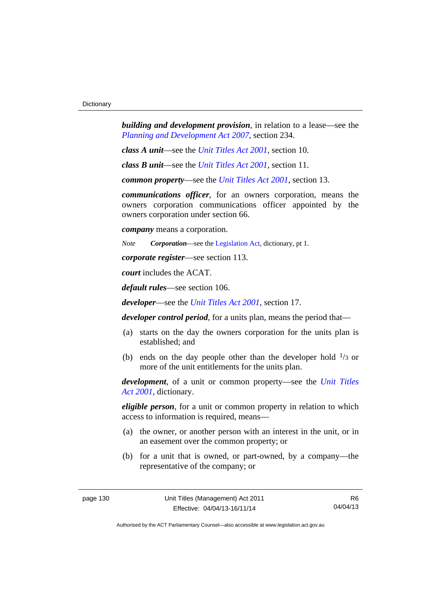*building and development provision*, in relation to a lease—see the *[Planning and Development Act 2007](http://www.legislation.act.gov.au/a/2007-24)*, section 234.

*class A unit*—see the *[Unit Titles Act 2001](http://www.legislation.act.gov.au/a/2001-16)*, section 10.

*class B unit*—see the *[Unit Titles Act 2001](http://www.legislation.act.gov.au/a/2001-16)*, section 11.

*common property*—see the *[Unit Titles Act 2001](http://www.legislation.act.gov.au/a/2001-16)*, section 13.

*communications officer*, for an owners corporation, means the owners corporation communications officer appointed by the owners corporation under section 66.

*company* means a corporation.

*Note Corporation*—see the [Legislation Act,](http://www.legislation.act.gov.au/a/2001-14) dictionary, pt 1.

*corporate register*—see section 113.

*court* includes the ACAT.

*default rules*—see section 106.

*developer*—see the *[Unit Titles Act 2001](http://www.legislation.act.gov.au/a/2001-16)*, section 17.

*developer control period*, for a units plan, means the period that—

- (a) starts on the day the owners corporation for the units plan is established; and
- (b) ends on the day people other than the developer hold  $\frac{1}{3}$  or more of the unit entitlements for the units plan.

*development*, of a unit or common property—see the *[Unit Titles](http://www.legislation.act.gov.au/a/2001-16)  [Act 2001](http://www.legislation.act.gov.au/a/2001-16)*, dictionary.

*eligible person*, for a unit or common property in relation to which access to information is required, means—

- (a) the owner, or another person with an interest in the unit, or in an easement over the common property; or
- (b) for a unit that is owned, or part-owned, by a company—the representative of the company; or

R6 04/04/13

Authorised by the ACT Parliamentary Counsel—also accessible at www.legislation.act.gov.au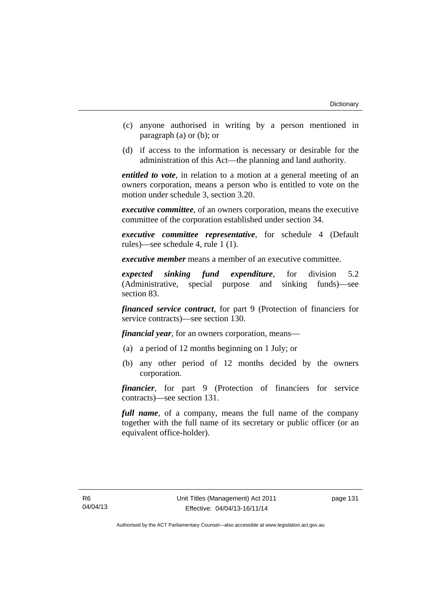- (c) anyone authorised in writing by a person mentioned in paragraph (a) or (b); or
- (d) if access to the information is necessary or desirable for the administration of this Act—the planning and land authority.

*entitled to vote*, in relation to a motion at a general meeting of an owners corporation, means a person who is entitled to vote on the motion under schedule 3, section 3.20.

*executive committee*, of an owners corporation, means the executive committee of the corporation established under section 34.

*executive committee representative*, for schedule 4 (Default rules)—see schedule 4, rule 1 (1).

*executive member* means a member of an executive committee.

*expected sinking fund expenditure*, for division 5.2 (Administrative, special purpose and sinking funds)—see section 83.

*financed service contract*, for part 9 (Protection of financiers for service contracts)—see section 130.

*financial year*, for an owners corporation, means—

- (a) a period of 12 months beginning on 1 July; or
- (b) any other period of 12 months decided by the owners corporation.

*financier*, for part 9 (Protection of financiers for service contracts)—see section 131.

*full name*, of a company, means the full name of the company together with the full name of its secretary or public officer (or an equivalent office-holder).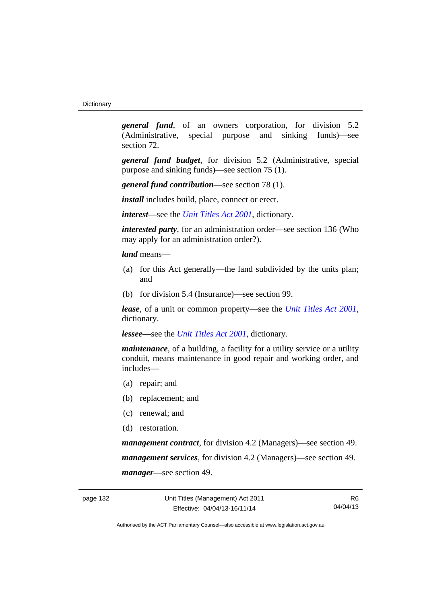*general fund*, of an owners corporation, for division 5.2 (Administrative, special purpose and sinking funds)—see section 72.

*general fund budget*, for division 5.2 (Administrative, special purpose and sinking funds)—see section 75 (1).

*general fund contribution*—see section 78 (1).

*install* includes build, place, connect or erect.

*interest*—see the *[Unit Titles Act 2001](http://www.legislation.act.gov.au/a/2001-16)*, dictionary.

*interested party*, for an administration order—see section 136 (Who may apply for an administration order?).

*land* means—

- (a) for this Act generally—the land subdivided by the units plan; and
- (b) for division 5.4 (Insurance)—see section 99.

*lease*, of a unit or common property—see the *[Unit Titles Act 2001](http://www.legislation.act.gov.au/a/2001-16)*, dictionary.

*lessee—*see the *[Unit Titles Act 2001](http://www.legislation.act.gov.au/a/2001-16)*, dictionary.

*maintenance*, of a building, a facility for a utility service or a utility conduit, means maintenance in good repair and working order, and includes—

- (a) repair; and
- (b) replacement; and
- (c) renewal; and
- (d) restoration.

*management contract*, for division 4.2 (Managers)—see section 49. *management services*, for division 4.2 (Managers)—see section 49. *manager*—see section 49.

R6 04/04/13

Authorised by the ACT Parliamentary Counsel—also accessible at www.legislation.act.gov.au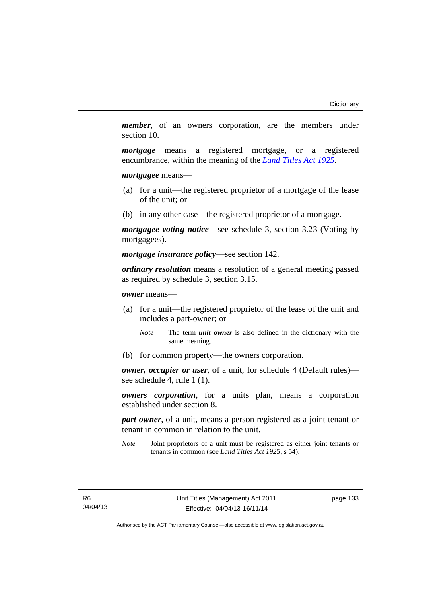*member*, of an owners corporation, are the members under section 10.

*mortgage* means a registered mortgage, or a registered encumbrance, within the meaning of the *[Land Titles Act 1925](http://www.legislation.act.gov.au/a/1925-1)*.

*mortgagee* means—

- (a) for a unit—the registered proprietor of a mortgage of the lease of the unit; or
- (b) in any other case—the registered proprietor of a mortgage.

*mortgagee voting notice*—see schedule 3, section 3.23 (Voting by mortgagees).

*mortgage insurance policy*—see section 142.

*ordinary resolution* means a resolution of a general meeting passed as required by schedule 3, section 3.15.

*owner* means—

- (a) for a unit—the registered proprietor of the lease of the unit and includes a part-owner; or
	- *Note* The term *unit owner* is also defined in the dictionary with the same meaning.
- (b) for common property—the owners corporation.

*owner, occupier or user*, of a unit, for schedule 4 (Default rules) see schedule 4, rule 1 (1).

*owners corporation*, for a units plan, means a corporation established under section 8.

*part-owner*, of a unit, means a person registered as a joint tenant or tenant in common in relation to the unit.

*Note* Joint proprietors of a unit must be registered as either joint tenants or tenants in common (see *Land Titles Act 192*5, s 54).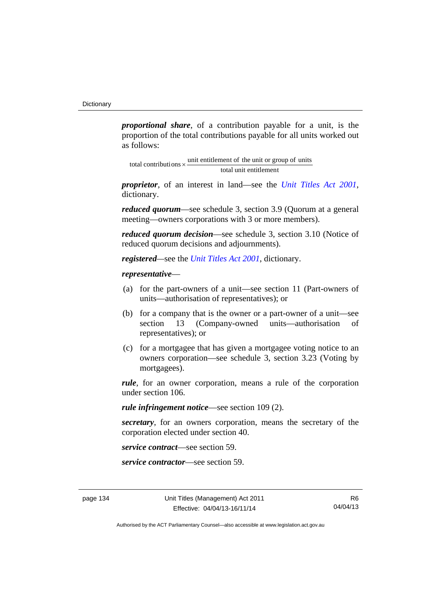*proportional share*, of a contribution payable for a unit, is the proportion of the total contributions payable for all units worked out as follows:

total unit entitlement total contributions  $\times$  unit entitlement of the unit or group of units

*proprietor*, of an interest in land—see the *[Unit Titles Act 2001](http://www.legislation.act.gov.au/a/2001-16)*, dictionary.

*reduced quorum*—see schedule 3, section 3.9 (Quorum at a general meeting—owners corporations with 3 or more members).

*reduced quorum decision*—see schedule 3, section 3.10 (Notice of reduced quorum decisions and adjournments).

*registered—*see the *[Unit Titles Act 2001](http://www.legislation.act.gov.au/a/2001-16)*, dictionary.

## *representative*—

- (a) for the part-owners of a unit—see section 11 (Part-owners of units—authorisation of representatives); or
- (b) for a company that is the owner or a part-owner of a unit—see section 13 (Company-owned units—authorisation of representatives); or
- (c) for a mortgagee that has given a mortgagee voting notice to an owners corporation—see schedule 3, section 3.23 (Voting by mortgagees).

*rule*, for an owner corporation, means a rule of the corporation under section 106.

*rule infringement notice*—see section 109 (2).

*secretary*, for an owners corporation, means the secretary of the corporation elected under section 40.

*service contract*—see section 59.

*service contractor*—see section 59.

R6 04/04/13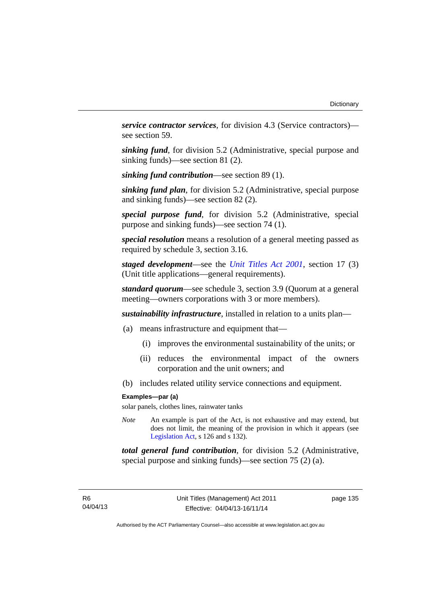*service contractor services*, for division 4.3 (Service contractors) see section 59.

*sinking fund*, for division 5.2 (Administrative, special purpose and sinking funds)—see section 81 (2).

*sinking fund contribution*—see section 89 (1).

*sinking fund plan*, for division 5.2 (Administrative, special purpose and sinking funds)—see section 82 (2).

*special purpose fund*, for division 5.2 (Administrative, special purpose and sinking funds)—see section 74 (1).

*special resolution* means a resolution of a general meeting passed as required by schedule 3, section 3.16.

*staged development*—see the *[Unit Titles Act 2001](http://www.legislation.act.gov.au/a/2001-16)*, section 17 (3) (Unit title applications—general requirements).

*standard quorum*—see schedule 3, section 3.9 (Quorum at a general meeting—owners corporations with 3 or more members).

*sustainability infrastructure*, installed in relation to a units plan—

- (a) means infrastructure and equipment that—
	- (i) improves the environmental sustainability of the units; or
	- (ii) reduces the environmental impact of the owners corporation and the unit owners; and
- (b) includes related utility service connections and equipment.

## **Examples—par (a)**

solar panels, clothes lines, rainwater tanks

*Note* An example is part of the Act, is not exhaustive and may extend, but does not limit, the meaning of the provision in which it appears (see [Legislation Act,](http://www.legislation.act.gov.au/a/2001-14) s 126 and s 132).

*total general fund contribution*, for division 5.2 (Administrative, special purpose and sinking funds)—see section 75 (2) (a).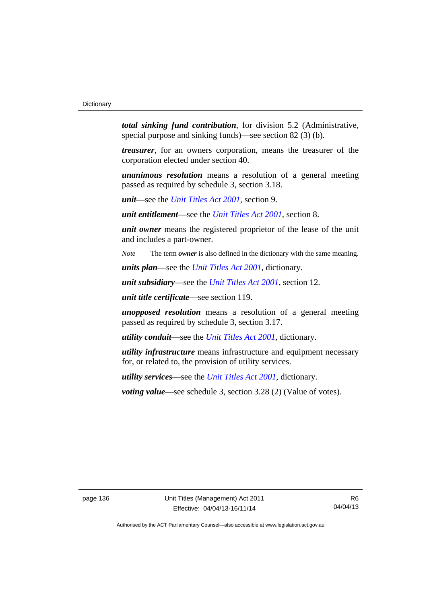*total sinking fund contribution*, for division 5.2 (Administrative, special purpose and sinking funds)—see section 82 (3) (b).

*treasurer*, for an owners corporation, means the treasurer of the corporation elected under section 40.

*unanimous resolution* means a resolution of a general meeting passed as required by schedule 3, section 3.18.

*unit*—see the *[Unit Titles Act 2001](http://www.legislation.act.gov.au/a/2001-16)*, section 9.

*unit entitlement*—see the *[Unit Titles Act 2001](http://www.legislation.act.gov.au/a/2001-16)*, section 8.

*unit owner* means the registered proprietor of the lease of the unit and includes a part-owner.

*Note* The term *owner* is also defined in the dictionary with the same meaning.

*units plan*—see the *[Unit Titles Act 2001](http://www.legislation.act.gov.au/a/2001-16)*, dictionary.

*unit subsidiary*—see the *[Unit Titles Act 2001](http://www.legislation.act.gov.au/a/2001-16)*, section 12.

*unit title certificate*—see section 119.

*unopposed resolution* means a resolution of a general meeting passed as required by schedule 3, section 3.17.

*utility conduit*—see the *[Unit Titles Act 2001](http://www.legislation.act.gov.au/a/2001-16)*, dictionary.

*utility infrastructure* means infrastructure and equipment necessary for, or related to, the provision of utility services.

*utility services*—see the *[Unit Titles Act 2001](http://www.legislation.act.gov.au/a/2001-16)*, dictionary.

*voting value—see schedule 3, section 3.28 (2) (Value of votes).* 

page 136 Unit Titles (Management) Act 2011 Effective: 04/04/13-16/11/14

R6 04/04/13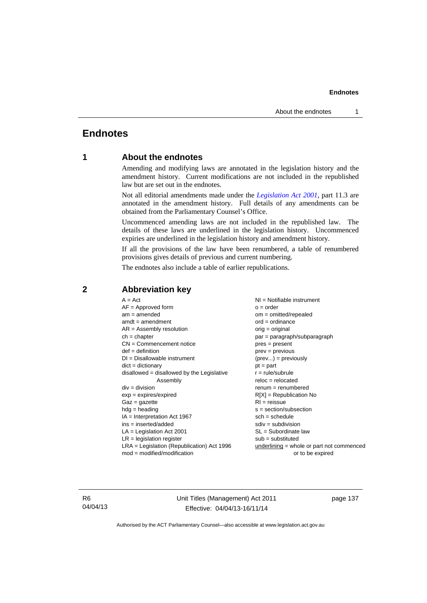# **Endnotes**

# **1 About the endnotes**

Amending and modifying laws are annotated in the legislation history and the amendment history. Current modifications are not included in the republished law but are set out in the endnotes.

Not all editorial amendments made under the *[Legislation Act 2001](http://www.legislation.act.gov.au/a/2001-14)*, part 11.3 are annotated in the amendment history. Full details of any amendments can be obtained from the Parliamentary Counsel's Office.

Uncommenced amending laws are not included in the republished law. The details of these laws are underlined in the legislation history. Uncommenced expiries are underlined in the legislation history and amendment history.

If all the provisions of the law have been renumbered, a table of renumbered provisions gives details of previous and current numbering.

The endnotes also include a table of earlier republications.

| $A = Act$<br>$AF =$ Approved form<br>$am = amended$<br>$amdt = amendment$<br>$AR = Assembly resolution$<br>$ch = chapter$<br>$CN =$ Commencement notice<br>$def = definition$<br>$DI = Disallowable instrument$<br>$dict = dictionary$<br>$disallowed = disallowed by the Legislative$<br>Assembly<br>$div = division$<br>$exp = expires/expired$ | $NI = Notifiable$ instrument<br>$o = order$<br>om = omitted/repealed<br>$ord = ordinance$<br>$orig = original$<br>par = paragraph/subparagraph<br>$pres = present$<br>$prev = previous$<br>$(\text{prev}) = \text{previously}$<br>$pt = part$<br>$r = rule/subrule$<br>$reloc = relocated$<br>$renum = renumbered$ |
|---------------------------------------------------------------------------------------------------------------------------------------------------------------------------------------------------------------------------------------------------------------------------------------------------------------------------------------------------|--------------------------------------------------------------------------------------------------------------------------------------------------------------------------------------------------------------------------------------------------------------------------------------------------------------------|
| $Gaz = gazette$<br>$hdg =$ heading<br>$IA = Interpretation Act 1967$<br>$ins = inserted/added$<br>$LA =$ Legislation Act 2001                                                                                                                                                                                                                     | $R[X]$ = Republication No<br>$RI = reissue$<br>s = section/subsection<br>$sch = schedule$<br>$sdiv = subdivision$<br>$SL = Subordinate$ law                                                                                                                                                                        |
| $LR =$ legislation register                                                                                                                                                                                                                                                                                                                       | $sub =$ substituted                                                                                                                                                                                                                                                                                                |
| $LRA =$ Legislation (Republication) Act 1996<br>$mod = modified/modification$                                                                                                                                                                                                                                                                     | $underlining = whole or part not commenced$<br>or to be expired                                                                                                                                                                                                                                                    |

# **2 Abbreviation key**

R6 04/04/13 Unit Titles (Management) Act 2011 Effective: 04/04/13-16/11/14

page 137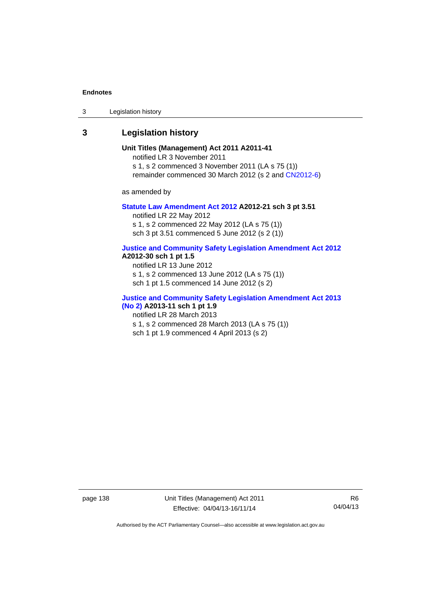3 Legislation history

# **3 Legislation history**

**Unit Titles (Management) Act 2011 A2011-41**  notified LR 3 November 2011 s 1, s 2 commenced 3 November 2011 (LA s 75 (1)) remainder commenced 30 March 2012 (s 2 and [CN2012-6](http://www.legislation.act.gov.au/cn/2012-6/default.asp))

as amended by

## **[Statute Law Amendment Act 2012](http://www.legislation.act.gov.au/a/2012-21) A2012-21 sch 3 pt 3.51**

notified LR 22 May 2012 s 1, s 2 commenced 22 May 2012 (LA s 75 (1)) sch 3 pt 3.51 commenced 5 June 2012 (s 2 (1))

## **[Justice and Community Safety Legislation Amendment Act 2012](http://www.legislation.act.gov.au/a/2012-13)**

## **A2012-30 sch 1 pt 1.5**

notified LR 13 June 2012 s 1, s 2 commenced 13 June 2012 (LA s 75 (1)) sch 1 pt 1.5 commenced 14 June 2012 (s 2)

# **[Justice and Community Safety Legislation Amendment Act 2013](http://www.legislation.act.gov.au/a/2013-11)  [\(No 2\)](http://www.legislation.act.gov.au/a/2013-11) A2013-11 sch 1 pt 1.9**

notified LR 28 March 2013

s 1, s 2 commenced 28 March 2013 (LA s 75 (1))

sch 1 pt 1.9 commenced 4 April 2013 (s 2)

page 138 Unit Titles (Management) Act 2011 Effective: 04/04/13-16/11/14

R6 04/04/13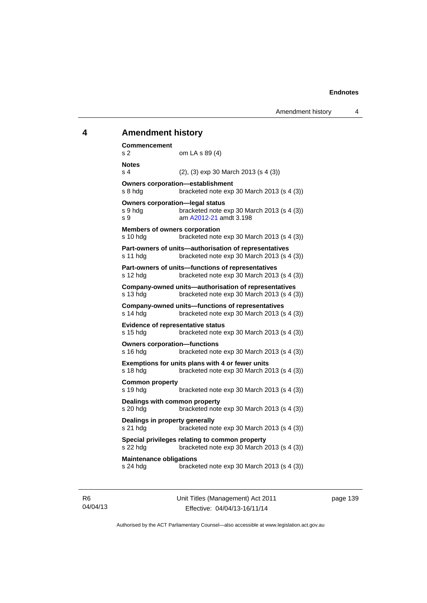# **4 Amendment history Commencement**  s 2 om LA s 89 (4) **Notes**  s 4 (2), (3) exp 30 March 2013 (s 4 (3)) **Owners corporation—establishment**  s 8 hdg bracketed note exp 30 March 2013 (s 4 (3)) **Owners corporation—legal status**  s 9 hdg bracketed note exp 30 March 2013 (s 4 (3)) s 9 am [A2012-21](http://www.legislation.act.gov.au/a/2012-21) amdt 3.198 **Members of owners corporation**  s 10 hdg bracketed note exp 30 March 2013 (s 4 (3)) **Part-owners of units—authorisation of representatives**  s 11 hdg bracketed note exp 30 March 2013 (s 4 (3)) **Part-owners of units—functions of representatives**  s 12 hdg bracketed note exp 30 March 2013 (s 4 (3)) **Company-owned units—authorisation of representatives**  s 13 hdg bracketed note exp 30 March 2013 (s 4 (3)) **Company-owned units—functions of representatives**  s 14 hdg bracketed note exp 30 March 2013 (s 4 (3)) **Evidence of representative status**  s 15 hdg bracketed note exp 30 March 2013 (s 4 (3)) **Owners corporation—functions**  s 16 hdg bracketed note exp 30 March 2013 (s 4 (3)) **Exemptions for units plans with 4 or fewer units**  s 18 hdg bracketed note exp 30 March 2013 (s 4 (3)) **Common property**  s 19 hdg bracketed note exp 30 March 2013 (s 4 (3)) **Dealings with common property**  s 20 hdg bracketed note exp 30 March 2013 (s 4 (3)) **Dealings in property generally**  s 21 hdg bracketed note exp 30 March 2013 (s 4 (3)) **Special privileges relating to common property**  s 22 hdg bracketed note exp 30 March 2013 (s 4 (3)) **Maintenance obligations**  s 24 hdg bracketed note exp 30 March 2013 (s 4 (3))

R6 04/04/13 Unit Titles (Management) Act 2011 Effective: 04/04/13-16/11/14

page 139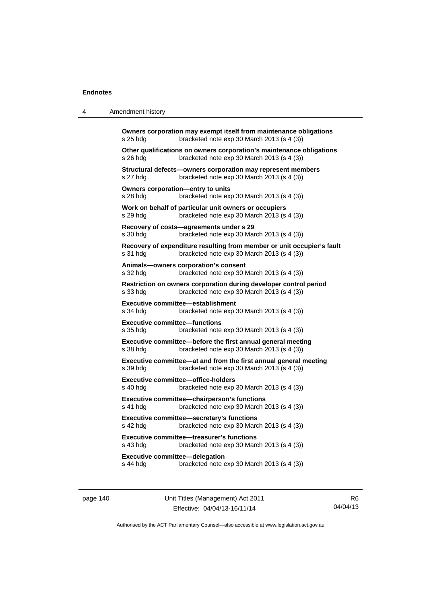| Owners corporation may exempt itself from maintenance obligations                                                                     |
|---------------------------------------------------------------------------------------------------------------------------------------|
| Other qualifications on owners corporation's maintenance obligations                                                                  |
|                                                                                                                                       |
|                                                                                                                                       |
|                                                                                                                                       |
|                                                                                                                                       |
| Recovery of expenditure resulting from member or unit occupier's fault                                                                |
|                                                                                                                                       |
|                                                                                                                                       |
|                                                                                                                                       |
|                                                                                                                                       |
|                                                                                                                                       |
|                                                                                                                                       |
|                                                                                                                                       |
|                                                                                                                                       |
|                                                                                                                                       |
|                                                                                                                                       |
|                                                                                                                                       |
| Restriction on owners corporation during developer control period<br>Executive committee—at and from the first annual general meeting |

page 140 Unit Titles (Management) Act 2011 Effective: 04/04/13-16/11/14

R6 04/04/13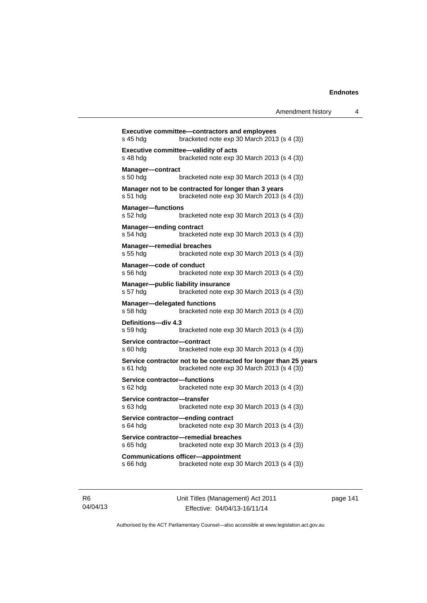| s 45 hdg                                       | <b>Executive committee-contractors and employees</b><br>bracketed note exp 30 March 2013 (s 4 (3))             |
|------------------------------------------------|----------------------------------------------------------------------------------------------------------------|
| s 48 hdg                                       | Executive committee-validity of acts<br>bracketed note $exp 30$ March 2013 (s 4 (3))                           |
|                                                |                                                                                                                |
| <b>Manager-contract</b><br>s 50 hdg            | bracketed note exp 30 March 2013 (s 4 (3))                                                                     |
| s 51 hdg                                       | Manager not to be contracted for longer than 3 years<br>bracketed note exp 30 March 2013 (s 4 (3))             |
| <b>Manager-functions</b><br>s 52 hdg           | bracketed note exp 30 March 2013 (s 4 (3))                                                                     |
| <b>Manager-ending contract</b><br>s 54 hdg     | bracketed note exp 30 March 2013 (s 4 (3))                                                                     |
| <b>Manager-remedial breaches</b><br>s 55 hdg   | bracketed note exp 30 March 2013 (s 4 (3))                                                                     |
| Manager-code of conduct<br>s 56 hda            | bracketed note exp 30 March 2013 (s 4 (3))                                                                     |
| s 57 hdg                                       | Manager-public liability insurance<br>bracketed note exp 30 March 2013 (s 4 (3))                               |
| <b>Manager-delegated functions</b><br>s 58 hdg | bracketed note exp 30 March 2013 (s 4 (3))                                                                     |
| Definitions-div 4.3<br>s 59 hda                | bracketed note exp 30 March 2013 (s 4 (3))                                                                     |
| Service contractor-contract<br>s 60 hda        | bracketed note exp 30 March 2013 (s 4 (3))                                                                     |
| s 61 hda                                       | Service contractor not to be contracted for longer than 25 years<br>bracketed note exp 30 March 2013 (s 4 (3)) |
| Service contractor-functions<br>s 62 hda       | bracketed note exp 30 March 2013 (s 4 (3))                                                                     |
| Service contractor-transfer<br>s 63 hda        | bracketed note exp 30 March 2013 (s 4 (3))                                                                     |
| s 64 hda                                       | Service contractor-ending contract<br>bracketed note exp 30 March 2013 (s 4 (3))                               |
| s 65 hda                                       | Service contractor-remedial breaches<br>bracketed note exp 30 March 2013 (s 4 (3))                             |
| s 66 hdg                                       | <b>Communications officer-appointment</b><br>bracketed note exp 30 March 2013 (s 4 (3))                        |
|                                                |                                                                                                                |

R6 04/04/13 Unit Titles (Management) Act 2011 Effective: 04/04/13-16/11/14

page 141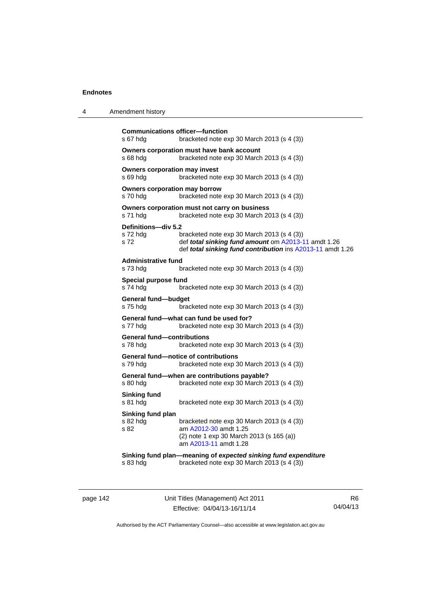| 4 | Amendment history |
|---|-------------------|
|---|-------------------|

```
Communications officer—function 
s 67 hdg bracketed note exp 30 March 2013 (s 4 (3)) 
Owners corporation must have bank account 
s 68 hdg bracketed note exp 30 March 2013 (s 4 (3)) 
Owners corporation may invest 
s 69 hdg bracketed note exp 30 March 2013 (s 4 (3)) 
Owners corporation may borrow 
s 70 hdg bracketed note exp 30 March 2013 (s 4 (3)) 
Owners corporation must not carry on business 
s 71 hdg bracketed note exp 30 March 2013 (s 4 (3))
Definitions—div 5.2 
s 72 hdg bracketed note exp 30 March 2013 (s 4 (3)) 
s 72 def total sinking fund amount om A2013-11 amdt 1.26
                 def total sinking fund contribution ins A2013-11 amdt 1.26
Administrative fund 
s 73 hdg bracketed note exp 30 March 2013 (s 4 (3)) 
Special purpose fund 
s 74 hdg bracketed note exp 30 March 2013 (s 4 (3)) 
General fund—budget 
s 75 hdg bracketed note exp 30 March 2013 (s 4 (3))
General fund—what can fund be used for? 
s 77 hdg bracketed note exp 30 March 2013 (s 4 (3)) 
General fund—contributions 
s 78 hdg bracketed note exp 30 March 2013 (s 4 (3)) 
General fund—notice of contributions 
s 79 hdg bracketed note exp 30 March 2013 (s 4 (3))
General fund—when are contributions payable? 
s 80 hdg bracketed note exp 30 March 2013 (s 4 (3)) 
Sinking fund 
s 81 hdg bracketed note exp 30 March 2013 (s 4 (3))
Sinking fund plan 
s 82 hdg bracketed note exp 30 March 2013 (s 4 (3))<br>s 82 bracketed note exp 30 March 2013 (s 4 (3))
                 A2012-30 amdt 1.25
                 (2) note 1 exp 30 March 2013 (s 165 (a)) 
                  am A2013-11 amdt 1.28
Sinking fund plan—meaning of expected sinking fund expenditure
s 83 hdg bracketed note exp 30 March 2013 (s 4 (3))
```
page 142 Unit Titles (Management) Act 2011 Effective: 04/04/13-16/11/14

R6 04/04/13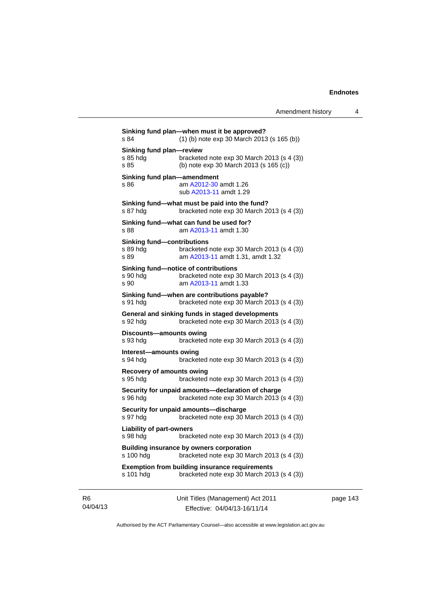**Sinking fund plan—when must it be approved?**  s 84 (1) (b) note exp 30 March 2013 (s 165 (b)) **Sinking fund plan—review**  s 85 hdg bracketed note exp 30 March 2013 (s 4 (3)) s 85 (b) note exp 30 March 2013 (s 165 (c)) **Sinking fund plan—amendment**  s 86 **am [A2012-30](http://www.legislation.act.gov.au/a/2012-30) amdt 1.26**  sub [A2013-11](http://www.legislation.act.gov.au/a/2013-11) amdt 1.29 **Sinking fund—what must be paid into the fund?**  s 87 hdg bracketed note exp 30 March 2013 (s 4 (3)) **Sinking fund—what can fund be used for?**  s 88 am [A2013-11](http://www.legislation.act.gov.au/a/2013-11) amdt 1.30 **Sinking fund—contributions**  s 89 hdg bracketed note exp 30 March 2013 (s 4 (3)) s 89 am [A2013-11](http://www.legislation.act.gov.au/a/2013-11) amdt 1.31, amdt 1.32 **Sinking fund—notice of contributions**  s 90 hdg bracketed note exp 30 March 2013 (s 4 (3)) s 90 am [A2013-11](http://www.legislation.act.gov.au/a/2013-11) amdt 1.33 **Sinking fund—when are contributions payable?**  s 91 hdg bracketed note exp 30 March 2013 (s 4 (3)) **General and sinking funds in staged developments**  s 92 hdg bracketed note exp 30 March 2013 (s 4 (3)) **Discounts—amounts owing**  s 93 hdg bracketed note exp 30 March 2013 (s 4 (3)) **Interest—amounts owing**  s 94 hdg bracketed note exp 30 March 2013 (s 4 (3)) **Recovery of amounts owing**  s 95 hdg bracketed note exp 30 March 2013 (s 4 (3)) **Security for unpaid amounts—declaration of charge**  s 96 hdg bracketed note exp 30 March 2013 (s 4 (3)) **Security for unpaid amounts—discharge**  s 97 hdg bracketed note exp 30 March 2013 (s 4 (3)) **Liability of part-owners**  s 98 hdg bracketed note exp 30 March 2013 (s 4 (3)) **Building insurance by owners corporation**  s 100 hdg bracketed note exp 30 March 2013 (s 4 (3)) **Exemption from building insurance requirements**  s 101 hdg bracketed note exp 30 March 2013 (s 4 (3))

R6 04/04/13 Unit Titles (Management) Act 2011 Effective: 04/04/13-16/11/14

page 143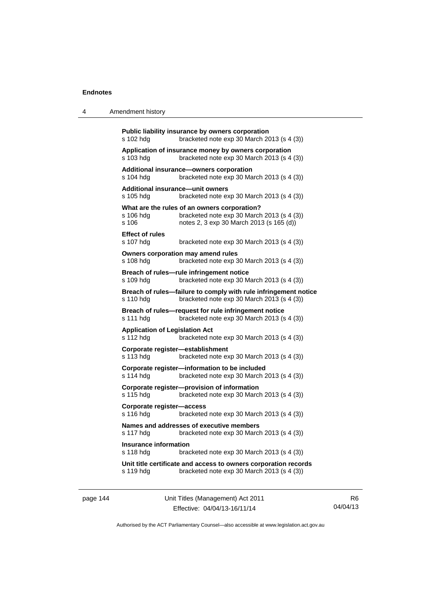| 4 | Amendment history |
|---|-------------------|
|---|-------------------|

| s 102 hdg                                          | Public liability insurance by owners corporation<br>bracketed note exp 30 March 2013 (s 4 (3))                                         |
|----------------------------------------------------|----------------------------------------------------------------------------------------------------------------------------------------|
| s 103 hdg                                          | Application of insurance money by owners corporation<br>bracketed note exp 30 March 2013 (s 4 (3))                                     |
| s 104 hdg                                          | Additional insurance-owners corporation<br>bracketed note exp 30 March 2013 (s 4 (3))                                                  |
| Additional insurance-unit owners<br>s 105 hdg      | bracketed note exp 30 March 2013 (s 4 (3))                                                                                             |
| s 106 hdg<br>s 106                                 | What are the rules of an owners corporation?<br>bracketed note exp 30 March 2013 (s 4 (3))<br>notes 2, 3 exp 30 March 2013 (s 165 (d)) |
| <b>Effect of rules</b><br>s 107 hdg                | bracketed note exp 30 March 2013 (s 4 (3))                                                                                             |
| s 108 hdg                                          | Owners corporation may amend rules<br>bracketed note exp 30 March 2013 (s 4 (3))                                                       |
| s 109 hdg                                          | Breach of rules-rule infringement notice<br>bracketed note exp 30 March 2013 (s 4 (3))                                                 |
| s 110 hdg                                          | Breach of rules-failure to comply with rule infringement notice<br>bracketed note exp 30 March 2013 (s 4 (3))                          |
|                                                    |                                                                                                                                        |
| s 111 hdg                                          | Breach of rules-request for rule infringement notice<br>bracketed note exp 30 March 2013 (s 4 (3))                                     |
| <b>Application of Legislation Act</b><br>s 112 hdg | bracketed note exp 30 March 2013 (s 4 (3))                                                                                             |
| Corporate register-establishment<br>s 113 hdg      | bracketed note exp 30 March 2013 (s 4 (3))                                                                                             |
| s 114 hdg                                          | Corporate register-information to be included<br>bracketed note exp 30 March 2013 (s 4 (3))                                            |
| s 115 hdg                                          | Corporate register-provision of information<br>bracketed note exp 30 March 2013 (s 4 (3))                                              |
| Corporate register-access<br>s 116 hdg             | bracketed note exp 30 March 2013 (s 4 (3))                                                                                             |
| s 117 hdg                                          | Names and addresses of executive members<br>bracketed note exp 30 March 2013 (s 4 (3))                                                 |
| <b>Insurance information</b><br>s 118 hdg          | bracketed note exp 30 March 2013 (s 4 (3))                                                                                             |
| s 119 hdg                                          | Unit title certificate and access to owners corporation records<br>bracketed note exp 30 March 2013 (s 4 (3))                          |

page 144 Unit Titles (Management) Act 2011 Effective: 04/04/13-16/11/14

R6 04/04/13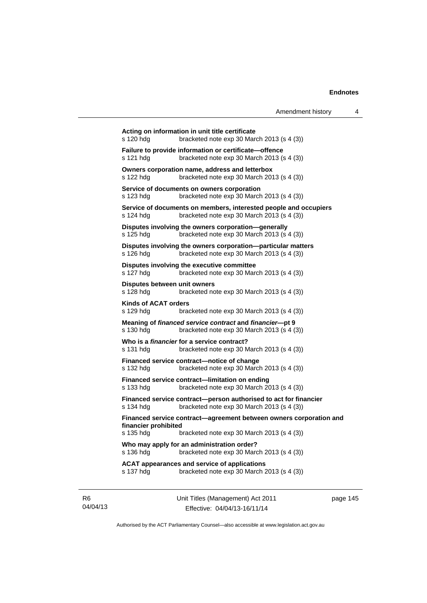| s 120 hdg                                | bracketed note exp 30 March 2013 (s 4 (3))                                                                         |
|------------------------------------------|--------------------------------------------------------------------------------------------------------------------|
| s 121 hdg                                | Failure to provide information or certificate-offence<br>bracketed note exp 30 March 2013 (s 4 (3))                |
| s 122 hdg                                | Owners corporation name, address and letterbox<br>bracketed note exp 30 March 2013 (s 4 (3))                       |
| s 123 hdg                                | Service of documents on owners corporation<br>bracketed note exp 30 March 2013 (s 4 (3))                           |
| s 124 hdg                                | Service of documents on members, interested people and occupiers<br>bracketed note exp 30 March 2013 (s 4 (3))     |
| s 125 hdg                                | Disputes involving the owners corporation-generally<br>bracketed note exp 30 March 2013 (s 4 (3))                  |
| s 126 hdg                                | Disputes involving the owners corporation-particular matters<br>bracketed note exp 30 March 2013 (s 4 (3))         |
| s 127 hdg                                | Disputes involving the executive committee<br>bracketed note exp 30 March 2013 (s 4 (3))                           |
| s 128 hdg                                | Disputes between unit owners<br>bracketed note exp 30 March 2013 (s 4 (3))                                         |
| <b>Kinds of ACAT orders</b><br>s 129 hdg | bracketed note $exp 30$ March 2013 (s 4 (3))                                                                       |
| s 130 hdg                                | Meaning of financed service contract and financier-pt 9<br>bracketed note $exp 30$ March 2013 (s 4 (3))            |
| s 131 hdg                                | Who is a <i>financier</i> for a service contract?<br>bracketed note $exp 30$ March 2013 (s 4 (3))                  |
| s 132 hdg                                | Financed service contract-notice of change<br>bracketed note exp 30 March 2013 (s 4 (3))                           |
| s 133 hdg                                | Financed service contract-limitation on ending<br>bracketed note exp 30 March 2013 (s 4 (3))                       |
| s 134 hdg                                | Financed service contract-person authorised to act for financier<br>bracketed note exp 30 March 2013 (s 4 (3))     |
| financier prohibited<br>s 135 hdg        | Financed service contract-agreement between owners corporation and<br>bracketed note $exp 30$ March 2013 (s 4 (3)) |
| s 136 hdg                                | Who may apply for an administration order?<br>bracketed note exp 30 March 2013 (s 4 (3))                           |
| s 137 hdg                                | <b>ACAT appearances and service of applications</b><br>bracketed note exp 30 March 2013 (s 4 (3))                  |

R6 04/04/13 Unit Titles (Management) Act 2011 Effective: 04/04/13-16/11/14

page 145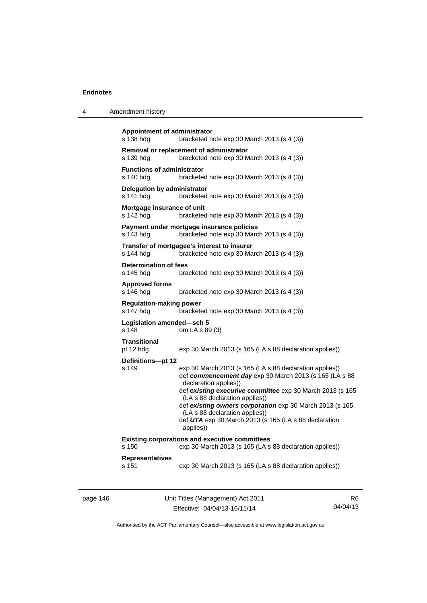| 4 | Amendment history |
|---|-------------------|
|---|-------------------|

```
Appointment of administrator 
s 138 hdg bracketed note exp 30 March 2013 (s 4 (3)) 
Removal or replacement of administrator 
s 139 hdg bracketed note exp 30 March 2013 (s 4 (3)) 
Functions of administrator 
s 140 hdg bracketed note exp 30 March 2013 (s 4 (3)) 
Delegation by administrator 
s 141 hdg bracketed note exp 30 March 2013 (s 4 (3))
Mortgage insurance of unit 
s 142 hdg bracketed note exp 30 March 2013 (s 4 (3))
Payment under mortgage insurance policies 
s 143 hdg bracketed note exp 30 March 2013 (s 4 (3)) 
Transfer of mortgagee's interest to insurer 
s 144 hdg bracketed note exp 30 March 2013 (s 4 (3)) 
Determination of fees 
s 145 hdg bracketed note exp 30 March 2013 (s 4 (3)) 
Approved forms 
s 146 hdg bracketed note exp 30 March 2013 (s 4 (3))
Regulation-making power 
s 147 hdg bracketed note exp 30 March 2013 (s 4 (3)) 
Legislation amended—sch 5 
s 148 om LA s 89 (3) 
Transitional 
pt 12 hdg exp 30 March 2013 (s 165 (LA s 88 declaration applies)) 
Definitions—pt 12 
s 149 exp 30 March 2013 (s 165 (LA s 88 declaration applies)) 
                  def commencement day exp 30 March 2013 (s 165 (LA s 88 
                  declaration applies)) 
                  def existing executive committee exp 30 March 2013 (s 165 
                  (LA s 88 declaration applies)) 
                  def existing owners corporation exp 30 March 2013 (s 165 
                  (LA s 88 declaration applies)) 
                  def UTA exp 30 March 2013 (s 165 (LA s 88 declaration 
                  applies)) 
Existing corporations and executive committees 
s 150 exp 30 March 2013 (s 165 (LA s 88 declaration applies)) 
Representatives 
s 151 exp 30 March 2013 (s 165 (LA s 88 declaration applies))
```
page 146 Unit Titles (Management) Act 2011 Effective: 04/04/13-16/11/14

R6 04/04/13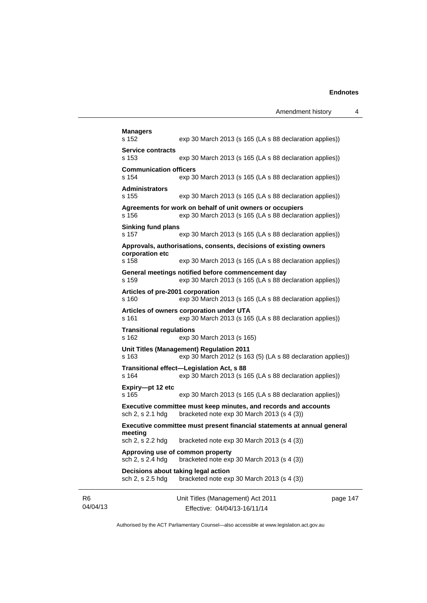| <b>Managers</b><br>s 152                                | exp 30 March 2013 (s 165 (LA s 88 declaration applies))                                                              |        |
|---------------------------------------------------------|----------------------------------------------------------------------------------------------------------------------|--------|
| Service contracts                                       |                                                                                                                      |        |
| s 153                                                   | exp 30 March 2013 (s 165 (LA s 88 declaration applies))                                                              |        |
| <b>Communication officers</b><br>s 154                  | exp 30 March 2013 (s 165 (LA s 88 declaration applies))                                                              |        |
| <b>Administrators</b><br>s 155                          | exp 30 March 2013 (s 165 (LA s 88 declaration applies))                                                              |        |
| s 156                                                   | Agreements for work on behalf of unit owners or occupiers<br>exp 30 March 2013 (s 165 (LA s 88 declaration applies)) |        |
| <b>Sinking fund plans</b><br>s 157                      | exp 30 March 2013 (s 165 (LA s 88 declaration applies))                                                              |        |
|                                                         | Approvals, authorisations, consents, decisions of existing owners                                                    |        |
| corporation etc<br>s 158                                | exp 30 March 2013 (s 165 (LA s 88 declaration applies))                                                              |        |
| s 159                                                   | General meetings notified before commencement day<br>exp 30 March 2013 (s 165 (LA s 88 declaration applies))         |        |
| Articles of pre-2001 corporation<br>s 160               | exp 30 March 2013 (s 165 (LA s 88 declaration applies))                                                              |        |
| s 161                                                   | Articles of owners corporation under UTA<br>exp 30 March 2013 (s 165 (LA s 88 declaration applies))                  |        |
| <b>Transitional regulations</b><br>s 162                | exp 30 March 2013 (s 165)                                                                                            |        |
| s 163                                                   | Unit Titles (Management) Regulation 2011<br>exp 30 March 2012 (s 163 (5) (LA s 88 declaration applies))              |        |
| s 164                                                   | Transitional effect-Legislation Act, s 88<br>exp 30 March 2013 (s 165 (LA s 88 declaration applies))                 |        |
| Expiry-pt 12 etc<br>s 165                               | exp 30 March 2013 (s 165 (LA s 88 declaration applies))                                                              |        |
| sch 2, s 2.1 hdg                                        | Executive committee must keep minutes, and records and accounts<br>bracketed note exp 30 March 2013 (s 4 (3))        |        |
| meeting                                                 | Executive committee must present financial statements at annual general                                              |        |
| sch 2, s 2.2 hdg                                        | bracketed note exp 30 March 2013 (s 4 (3))                                                                           |        |
| sch 2, s 2.4 hdg                                        | Approving use of common property<br>bracketed note exp 30 March 2013 (s 4 (3))                                       |        |
| Decisions about taking legal action<br>sch 2, s 2.5 hdg | bracketed note exp 30 March 2013 (s 4 (3))                                                                           |        |
|                                                         | Unit Titles (Management) Act 2011                                                                                    | page 1 |

R6 04/04/13

Effective: 04/04/13-16/11/14

page 147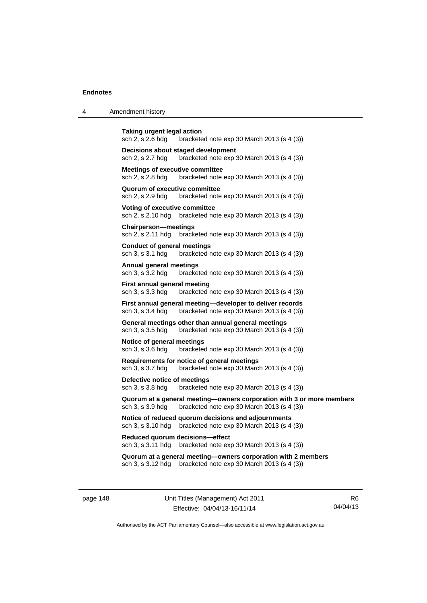| 4 | Amendment history                                                                                                                       |
|---|-----------------------------------------------------------------------------------------------------------------------------------------|
|   | <b>Taking urgent legal action</b><br>sch 2, s 2.6 hdg<br>bracketed note $exp 30$ March 2013 (s 4 (3))                                   |
|   | Decisions about staged development<br>bracketed note exp 30 March 2013 (s 4 (3))<br>sch 2, s 2.7 hdg                                    |
|   | <b>Meetings of executive committee</b><br>sch 2, s 2.8 hdg<br>bracketed note $exp 30$ March 2013 (s 4 (3))                              |
|   | Quorum of executive committee<br>sch 2, s 2.9 hdg<br>bracketed note $exp 30$ March 2013 $(s 4 (3))$                                     |
|   | Voting of executive committee<br>sch 2, s 2.10 hdg<br>bracketed note $exp 30$ March 2013 (s 4 (3))                                      |
|   | <b>Chairperson—meetings</b><br>sch 2, s 2.11 hdg<br>bracketed note $exp 30$ March 2013 (s 4 (3))                                        |
|   | <b>Conduct of general meetings</b><br>sch 3, s 3.1 hdg<br>bracketed note $exp 30$ March 2013 (s 4 (3))                                  |
|   | <b>Annual general meetings</b><br>sch 3, s 3.2 hdg<br>bracketed note $exp 30$ March 2013 (s 4 (3))                                      |
|   | First annual general meeting<br>sch 3, s 3.3 hdg<br>bracketed note exp 30 March 2013 (s 4 (3))                                          |
|   | First annual general meeting—developer to deliver records<br>sch 3, s 3.4 hdg<br>bracketed note $exp 30$ March 2013 (s 4 (3))           |
|   | General meetings other than annual general meetings<br>sch 3, s 3.5 hdg<br>bracketed note $exp 30$ March 2013 $(s 4 (3))$               |
|   | Notice of general meetings<br>sch 3, s 3.6 hdg<br>bracketed note $exp 30$ March 2013 (s 4 (3))                                          |
|   | Requirements for notice of general meetings<br>sch 3, s 3.7 hdg<br>bracketed note exp 30 March 2013 (s 4 (3))                           |
|   | Defective notice of meetings<br>sch 3, s 3.8 hdg<br>bracketed note exp 30 March 2013 (s 4 (3))                                          |
|   | Quorum at a general meeting—owners corporation with 3 or more members<br>bracketed note exp 30 March 2013 (s 4 (3))<br>sch 3, s 3.9 hdg |
|   | Notice of reduced quorum decisions and adjournments<br>bracketed note exp 30 March 2013 (s 4 (3))<br>sch 3, s 3.10 hdg                  |
|   | Reduced quorum decisions—effect<br>sch 3, s 3.11 hdg<br>bracketed note $\exp 30$ March 2013 (s 4 (3))                                   |
|   | Quorum at a general meeting-owners corporation with 2 members<br>bracketed note exp 30 March 2013 (s 4 (3))<br>sch 3, s 3.12 hdg        |

page 148 Unit Titles (Management) Act 2011 Effective: 04/04/13-16/11/14

R6 04/04/13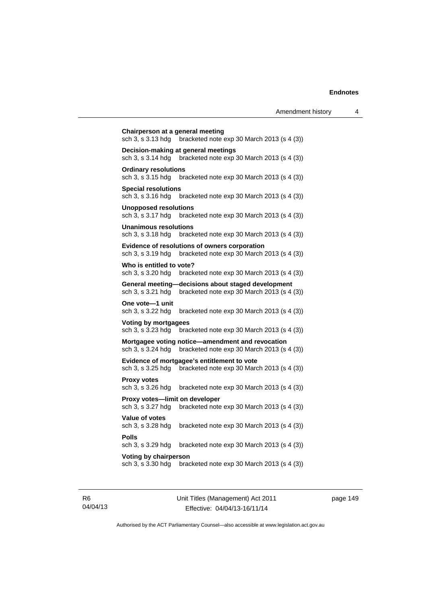|                                                     |                                                                                                  | Amendment history | 4 |
|-----------------------------------------------------|--------------------------------------------------------------------------------------------------|-------------------|---|
| Chairperson at a general meeting                    | sch 3, s 3.13 hdg bracketed note exp 30 March 2013 (s 4 (3))                                     |                   |   |
| sch 3, s 3.14 hdg                                   | Decision-making at general meetings<br>bracketed note $exp 30$ March 2013 (s 4 (3))              |                   |   |
| <b>Ordinary resolutions</b><br>sch 3, s 3.15 hdg    | bracketed note $exp 30$ March 2013 (s 4 (3))                                                     |                   |   |
| <b>Special resolutions</b><br>sch 3, s 3.16 hdg     | bracketed note exp 30 March 2013 (s 4 (3))                                                       |                   |   |
| <b>Unopposed resolutions</b><br>sch 3, s 3.17 hdg   | bracketed note $exp 30$ March 2013 (s 4 (3))                                                     |                   |   |
| <b>Unanimous resolutions</b><br>sch 3, s 3.18 hdg   | bracketed note $exp 30$ March 2013 (s 4 (3))                                                     |                   |   |
| sch 3, s 3.19 hdg                                   | Evidence of resolutions of owners corporation<br>bracketed note exp 30 March 2013 (s 4 (3))      |                   |   |
| Who is entitled to vote?<br>sch 3, s 3.20 hdg       | bracketed note $exp 30$ March 2013 (s 4 (3))                                                     |                   |   |
| sch 3, s 3.21 hdg                                   | General meeting-decisions about staged development<br>bracketed note exp 30 March 2013 (s 4 (3)) |                   |   |
| One vote-1 unit<br>sch 3, s 3.22 hdg                | bracketed note exp 30 March 2013 (s 4 (3))                                                       |                   |   |
| Voting by mortgagees<br>sch 3, s 3.23 hdg           | bracketed note $exp 30$ March 2013 (s 4 (3))                                                     |                   |   |
| sch 3, s 3.24 hdg                                   | Mortgagee voting notice—amendment and revocation<br>bracketed note exp 30 March 2013 (s 4 (3))   |                   |   |
| sch 3, s 3.25 hdg                                   | Evidence of mortgagee's entitlement to vote<br>bracketed note exp 30 March 2013 (s 4 (3))        |                   |   |
| <b>Proxy votes</b><br>sch 3, s 3.26 hdg             | bracketed note $exp 30$ March 2013 (s 4 (3))                                                     |                   |   |
| Proxy votes-limit on developer<br>sch 3, s 3.27 hdg | bracketed note exp 30 March 2013 (s 4 (3))                                                       |                   |   |
| <b>Value of votes</b><br>$L \cap A \cap A \cap L$   | $h$ realizated rate aim 00 Merch 0049 (a 4 (9))                                                  |                   |   |

**Special resolutions** sch 3, s 3.16 hdg **Unopposed resol** sch  $3, s$  3.17 hdg **Unanimous resol** sch 3, s 3.18 hdg **Evidence of resol** sch 3, s 3.19 hdg **Who is entitled t** sch 3, s 3.20 hdg **General meeting** sch 3, s 3.21 hdg One vote-1 uni sch 3, s 3.22 hdg **Voting by mortg** sch  $3, s$   $3.23$  hdg **Mortgagee votin** sch 3, s 3.24 hdg **Evidence of more** sch 3, s 3.25 hdg **Proxy votes**  sch 3, s 3.26 hdg **Proxy votes-lin** sch  $3$ , s  $3.27$  hdg **Value of votes**  sch 3, s 3.28 hdg bracketed note exp 30 March 2013 (s 4 (3)) **Polls**  sch 3, s 3.29 hdg bracketed note exp 30 March 2013 (s 4 (3)) **Voting by chairperson** 

sch 3, s 3.30 hdg bracketed note exp 30 March 2013 (s 4 (3))

R6 04/04/13 Unit Titles (Management) Act 2011 Effective: 04/04/13-16/11/14

page 149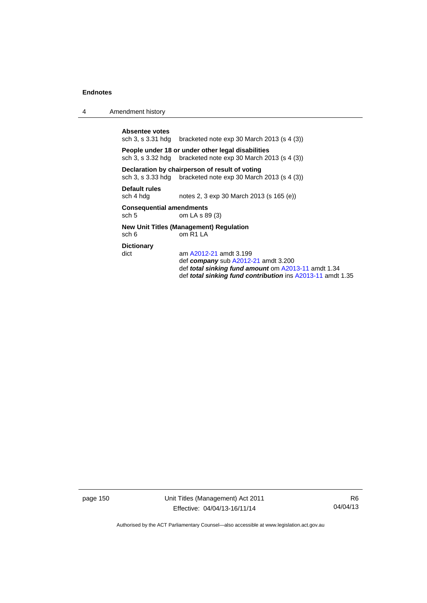4 Amendment history

Absentee votes<br>sch 3, s 3.31 hdg bracketed note exp 30 March 2013 (s  $4$  (3))

**People under 18 or under other legal disabilities**  sch 3, s 3.32 hdg bracketed note exp 30 March 2013 (s 4 (3))

## **Declaration by chairperson of result of voting**

sch 3, s 3.33 hdg bracketed note exp 30 March 2013 (s 4 (3))

**Default rules** 

sch 4 hdg notes 2, 3 exp 30 March 2013 (s 165 (e))

## **Consequential amendments**

sch 5 om LA s 89 (3)

# **New Unit Titles (Management) Regulation**

sch 6 om R1 LA

**Dictionary** 

dict am [A2012-21](http://www.legislation.act.gov.au/a/2012-21) amdt 3.199 def *company* sub [A2012-21](http://www.legislation.act.gov.au/a/2012-21) amdt 3.200 def *total sinking fund amount* om [A2013-11](http://www.legislation.act.gov.au/a/2013-11) amdt 1.34 def *total sinking fund contribution* ins [A2013-11](http://www.legislation.act.gov.au/a/2013-11) amdt 1.35

page 150 Unit Titles (Management) Act 2011 Effective: 04/04/13-16/11/14

R6 04/04/13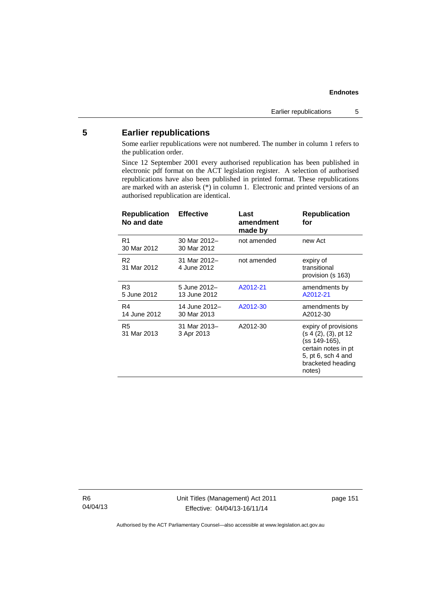# **5 Earlier republications**

Some earlier republications were not numbered. The number in column 1 refers to the publication order.

Since 12 September 2001 every authorised republication has been published in electronic pdf format on the ACT legislation register. A selection of authorised republications have also been published in printed format. These republications are marked with an asterisk (\*) in column 1. Electronic and printed versions of an authorised republication are identical.

| <b>Republication</b><br>No and date | <b>Effective</b>             | Last<br>amendment<br>made by | <b>Republication</b><br>for                                                                                                                |
|-------------------------------------|------------------------------|------------------------------|--------------------------------------------------------------------------------------------------------------------------------------------|
| R1<br>30 Mar 2012                   | 30 Mar 2012-<br>30 Mar 2012  | not amended                  | new Act                                                                                                                                    |
| R <sub>2</sub><br>31 Mar 2012       | 31 Mar 2012-<br>4 June 2012  | not amended                  | expiry of<br>transitional<br>provision (s 163)                                                                                             |
| R3<br>5 June 2012                   | 5 June 2012-<br>13 June 2012 | A2012-21                     | amendments by<br>A2012-21                                                                                                                  |
| R4<br>14 June 2012                  | 14 June 2012-<br>30 Mar 2013 | A2012-30                     | amendments by<br>A2012-30                                                                                                                  |
| R <sub>5</sub><br>31 Mar 2013       | 31 Mar 2013-<br>3 Apr 2013   | A2012-30                     | expiry of provisions<br>(s 4 (2), (3), pt 12)<br>(ss 149-165),<br>certain notes in pt<br>5, pt 6, sch 4 and<br>bracketed heading<br>notes) |

R6 04/04/13 Unit Titles (Management) Act 2011 Effective: 04/04/13-16/11/14

page 151